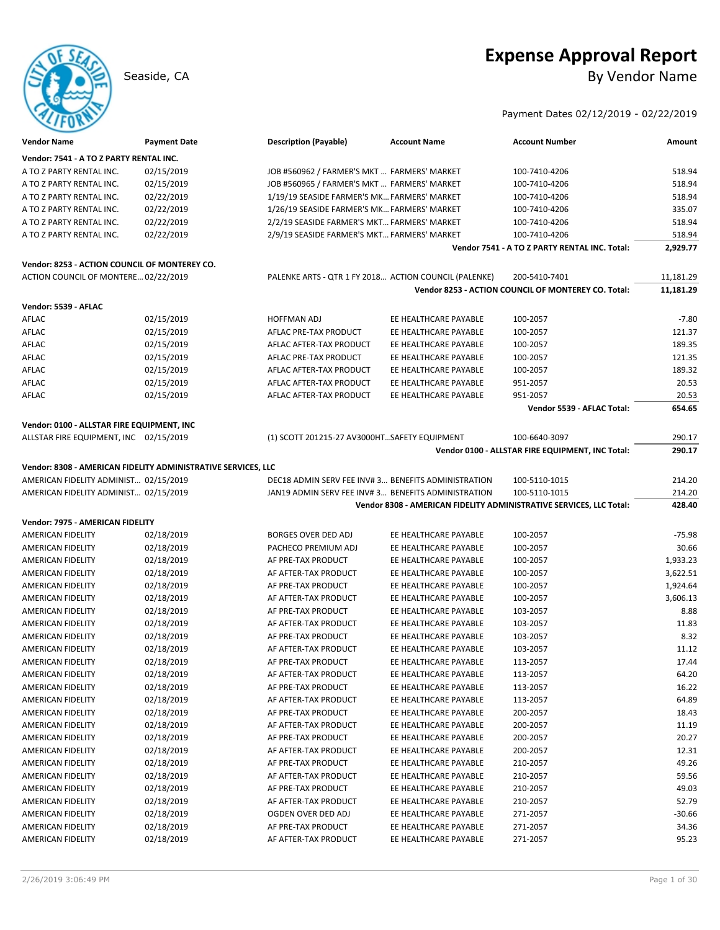

# **Expense Approval Report** Seaside, CA By Vendor Name

Payment Dates 02/12/2019 - 02/22/2019

| <b>Vendor Name</b>                            | <b>Payment Date</b>                                           | <b>Description (Payable)</b>                          | <b>Account Name</b>   | <b>Account Number</b>                                               | Amount           |
|-----------------------------------------------|---------------------------------------------------------------|-------------------------------------------------------|-----------------------|---------------------------------------------------------------------|------------------|
| Vendor: 7541 - A TO Z PARTY RENTAL INC.       |                                                               |                                                       |                       |                                                                     |                  |
| A TO Z PARTY RENTAL INC.                      | 02/15/2019                                                    | JOB #560962 / FARMER'S MKT  FARMERS' MARKET           |                       | 100-7410-4206                                                       | 518.94           |
| A TO Z PARTY RENTAL INC.                      | 02/15/2019                                                    | JOB #560965 / FARMER'S MKT  FARMERS' MARKET           |                       | 100-7410-4206                                                       | 518.94           |
| A TO Z PARTY RENTAL INC.                      | 02/22/2019                                                    | 1/19/19 SEASIDE FARMER'S MK FARMERS' MARKET           |                       | 100-7410-4206                                                       | 518.94           |
| A TO Z PARTY RENTAL INC.                      | 02/22/2019                                                    | 1/26/19 SEASIDE FARMER'S MK FARMERS' MARKET           |                       | 100-7410-4206                                                       | 335.07           |
| A TO Z PARTY RENTAL INC.                      | 02/22/2019                                                    | 2/2/19 SEASIDE FARMER'S MKT FARMERS' MARKET           |                       | 100-7410-4206                                                       | 518.94           |
| A TO Z PARTY RENTAL INC.                      | 02/22/2019                                                    | 2/9/19 SEASIDE FARMER'S MKT FARMERS' MARKET           |                       | 100-7410-4206                                                       | 518.94           |
|                                               |                                                               |                                                       |                       | Vendor 7541 - A TO Z PARTY RENTAL INC. Total:                       | 2,929.77         |
| Vendor: 8253 - ACTION COUNCIL OF MONTEREY CO. |                                                               |                                                       |                       |                                                                     |                  |
| ACTION COUNCIL OF MONTERE 02/22/2019          |                                                               | PALENKE ARTS - QTR 1 FY 2018 ACTION COUNCIL (PALENKE) |                       | 200-5410-7401                                                       | 11,181.29        |
|                                               |                                                               |                                                       |                       | Vendor 8253 - ACTION COUNCIL OF MONTEREY CO. Total:                 | 11,181.29        |
| Vendor: 5539 - AFLAC                          |                                                               |                                                       |                       |                                                                     |                  |
| AFLAC                                         | 02/15/2019                                                    | HOFFMAN ADJ                                           | EE HEALTHCARE PAYABLE | 100-2057                                                            | $-7.80$          |
| AFLAC                                         | 02/15/2019                                                    | AFLAC PRE-TAX PRODUCT                                 | EE HEALTHCARE PAYABLE | 100-2057                                                            | 121.37           |
| AFLAC                                         | 02/15/2019                                                    | AFLAC AFTER-TAX PRODUCT                               | EE HEALTHCARE PAYABLE | 100-2057                                                            | 189.35           |
| AFLAC                                         | 02/15/2019                                                    | AFLAC PRE-TAX PRODUCT                                 | EE HEALTHCARE PAYABLE | 100-2057                                                            | 121.35           |
| AFLAC                                         | 02/15/2019                                                    | AFLAC AFTER-TAX PRODUCT                               | EE HEALTHCARE PAYABLE | 100-2057                                                            | 189.32           |
| AFLAC                                         | 02/15/2019                                                    | AFLAC AFTER-TAX PRODUCT                               | EE HEALTHCARE PAYABLE | 951-2057                                                            | 20.53            |
| AFLAC                                         | 02/15/2019                                                    | AFLAC AFTER-TAX PRODUCT                               | EE HEALTHCARE PAYABLE | 951-2057                                                            | 20.53            |
|                                               |                                                               |                                                       |                       | Vendor 5539 - AFLAC Total:                                          | 654.65           |
|                                               |                                                               |                                                       |                       |                                                                     |                  |
| Vendor: 0100 - ALLSTAR FIRE EQUIPMENT, INC    |                                                               |                                                       |                       |                                                                     |                  |
| ALLSTAR FIRE EQUIPMENT, INC 02/15/2019        |                                                               | (1) SCOTT 201215-27 AV3000HT. SAFETY EQUIPMENT        |                       | 100-6640-3097                                                       | 290.17<br>290.17 |
|                                               |                                                               |                                                       |                       | Vendor 0100 - ALLSTAR FIRE EQUIPMENT, INC Total:                    |                  |
|                                               | Vendor: 8308 - AMERICAN FIDELITY ADMINISTRATIVE SERVICES, LLC |                                                       |                       |                                                                     |                  |
| AMERICAN FIDELITY ADMINIST 02/15/2019         |                                                               | DEC18 ADMIN SERV FEE INV#3 BENEFITS ADMINISTRATION    |                       | 100-5110-1015                                                       | 214.20           |
| AMERICAN FIDELITY ADMINIST 02/15/2019         |                                                               | JAN19 ADMIN SERV FEE INV#3 BENEFITS ADMINISTRATION    |                       | 100-5110-1015                                                       | 214.20           |
|                                               |                                                               |                                                       |                       | Vendor 8308 - AMERICAN FIDELITY ADMINISTRATIVE SERVICES, LLC Total: | 428.40           |
| Vendor: 7975 - AMERICAN FIDELITY              |                                                               |                                                       |                       |                                                                     |                  |
| AMERICAN FIDELITY                             | 02/18/2019                                                    | BORGES OVER DED ADJ                                   | EE HEALTHCARE PAYABLE | 100-2057                                                            | $-75.98$         |
| AMERICAN FIDELITY                             | 02/18/2019                                                    | PACHECO PREMIUM ADJ                                   | EE HEALTHCARE PAYABLE | 100-2057                                                            | 30.66            |
| AMERICAN FIDELITY                             | 02/18/2019                                                    | AF PRE-TAX PRODUCT                                    | EE HEALTHCARE PAYABLE | 100-2057                                                            | 1,933.23         |
| AMERICAN FIDELITY                             | 02/18/2019                                                    | AF AFTER-TAX PRODUCT                                  | EE HEALTHCARE PAYABLE | 100-2057                                                            | 3,622.51         |
| AMERICAN FIDELITY                             | 02/18/2019                                                    | AF PRE-TAX PRODUCT                                    | EE HEALTHCARE PAYABLE | 100-2057                                                            | 1,924.64         |
| AMERICAN FIDELITY                             | 02/18/2019                                                    | AF AFTER-TAX PRODUCT                                  | EE HEALTHCARE PAYABLE | 100-2057                                                            | 3,606.13         |
| AMERICAN FIDELITY                             | 02/18/2019                                                    | AF PRE-TAX PRODUCT                                    | EE HEALTHCARE PAYABLE | 103-2057                                                            | 8.88             |
| AMERICAN FIDELITY                             | 02/18/2019                                                    | AF AFTER-TAX PRODUCT                                  | EE HEALTHCARE PAYABLE | 103-2057                                                            | 11.83            |
| <b>AMERICAN FIDELITY</b>                      | 02/18/2019                                                    | AF PRE-TAX PRODUCT                                    | EE HEALTHCARE PAYABLE | 103-2057                                                            | 8.32             |
| AMERICAN FIDELITY                             | 02/18/2019                                                    | AF AFTER-TAX PRODUCT                                  | EE HEALTHCARE PAYABLE | 103-2057                                                            | 11.12            |
| <b>AMERICAN FIDELITY</b>                      | 02/18/2019                                                    | AF PRE-TAX PRODUCT                                    | EE HEALTHCARE PAYABLE | 113-2057                                                            | 17.44            |
| AMERICAN FIDELITY                             | 02/18/2019                                                    | AF AFTER-TAX PRODUCT                                  | EE HEALTHCARE PAYABLE | 113-2057                                                            | 64.20            |
| AMERICAN FIDELITY                             | 02/18/2019                                                    | AF PRE-TAX PRODUCT                                    | EE HEALTHCARE PAYABLE | 113-2057                                                            | 16.22            |
| AMERICAN FIDELITY                             | 02/18/2019                                                    | AF AFTER-TAX PRODUCT                                  | EE HEALTHCARE PAYABLE | 113-2057                                                            | 64.89            |
| AMERICAN FIDELITY                             | 02/18/2019                                                    | AF PRE-TAX PRODUCT                                    | EE HEALTHCARE PAYABLE | 200-2057                                                            | 18.43            |
| AMERICAN FIDELITY                             | 02/18/2019                                                    | AF AFTER-TAX PRODUCT                                  | EE HEALTHCARE PAYABLE | 200-2057                                                            | 11.19            |
| AMERICAN FIDELITY                             | 02/18/2019                                                    | AF PRE-TAX PRODUCT                                    | EE HEALTHCARE PAYABLE | 200-2057                                                            | 20.27            |
| AMERICAN FIDELITY                             | 02/18/2019                                                    | AF AFTER-TAX PRODUCT                                  | EE HEALTHCARE PAYABLE | 200-2057                                                            | 12.31            |
| AMERICAN FIDELITY                             | 02/18/2019                                                    | AF PRE-TAX PRODUCT                                    | EE HEALTHCARE PAYABLE | 210-2057                                                            | 49.26            |
| AMERICAN FIDELITY                             | 02/18/2019                                                    | AF AFTER-TAX PRODUCT                                  | EE HEALTHCARE PAYABLE | 210-2057                                                            | 59.56            |
| AMERICAN FIDELITY                             | 02/18/2019                                                    | AF PRE-TAX PRODUCT                                    | EE HEALTHCARE PAYABLE | 210-2057                                                            | 49.03            |
| AMERICAN FIDELITY                             | 02/18/2019                                                    | AF AFTER-TAX PRODUCT                                  | EE HEALTHCARE PAYABLE | 210-2057                                                            | 52.79            |
| AMERICAN FIDELITY                             | 02/18/2019                                                    | OGDEN OVER DED ADJ                                    | EE HEALTHCARE PAYABLE | 271-2057                                                            | $-30.66$         |
| AMERICAN FIDELITY                             | 02/18/2019                                                    | AF PRE-TAX PRODUCT                                    | EE HEALTHCARE PAYABLE | 271-2057                                                            | 34.36            |
| AMERICAN FIDELITY                             | 02/18/2019                                                    | AF AFTER-TAX PRODUCT                                  | EE HEALTHCARE PAYABLE | 271-2057                                                            | 95.23            |
|                                               |                                                               |                                                       |                       |                                                                     |                  |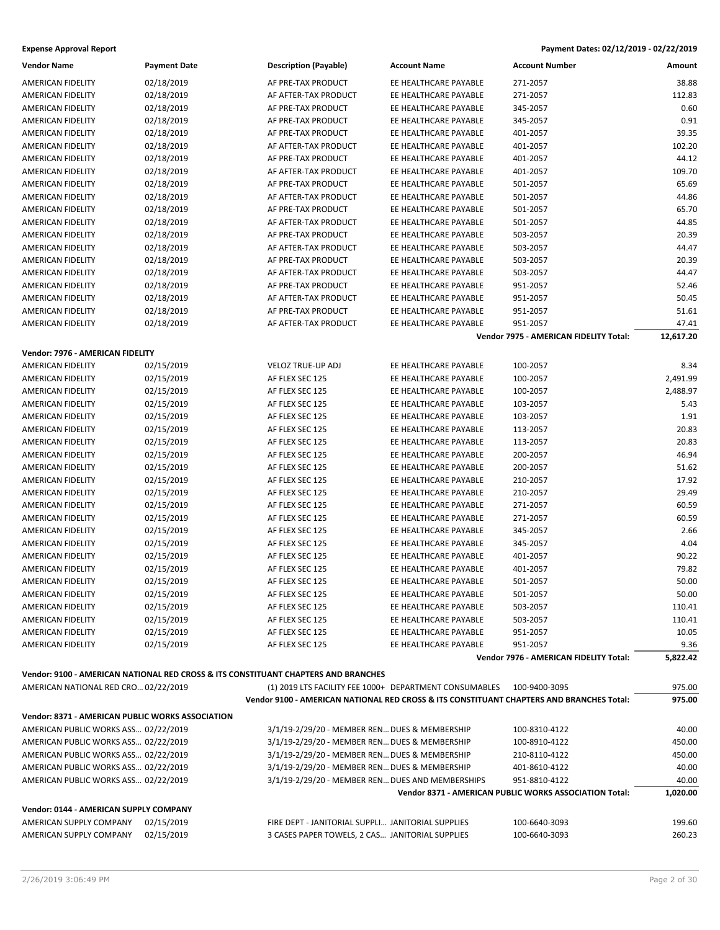| <b>Vendor Name</b>                               | <b>Payment Date</b>                                                                | <b>Description (Payable)</b>                                                             | <b>Account Name</b>   | <b>Account Number</b>                                  | Amount    |
|--------------------------------------------------|------------------------------------------------------------------------------------|------------------------------------------------------------------------------------------|-----------------------|--------------------------------------------------------|-----------|
| AMERICAN FIDELITY                                | 02/18/2019                                                                         | AF PRE-TAX PRODUCT                                                                       | EE HEALTHCARE PAYABLE | 271-2057                                               | 38.88     |
| <b>AMERICAN FIDELITY</b>                         | 02/18/2019                                                                         | AF AFTER-TAX PRODUCT                                                                     | EE HEALTHCARE PAYABLE | 271-2057                                               | 112.83    |
| AMERICAN FIDELITY                                | 02/18/2019                                                                         | AF PRE-TAX PRODUCT                                                                       | EE HEALTHCARE PAYABLE | 345-2057                                               | 0.60      |
| <b>AMERICAN FIDELITY</b>                         | 02/18/2019                                                                         | AF PRE-TAX PRODUCT                                                                       | EE HEALTHCARE PAYABLE | 345-2057                                               | 0.91      |
| AMERICAN FIDELITY                                | 02/18/2019                                                                         | AF PRE-TAX PRODUCT                                                                       | EE HEALTHCARE PAYABLE | 401-2057                                               | 39.35     |
| AMERICAN FIDELITY                                | 02/18/2019                                                                         | AF AFTER-TAX PRODUCT                                                                     | EE HEALTHCARE PAYABLE | 401-2057                                               | 102.20    |
| AMERICAN FIDELITY                                | 02/18/2019                                                                         | AF PRE-TAX PRODUCT                                                                       | EE HEALTHCARE PAYABLE | 401-2057                                               | 44.12     |
| AMERICAN FIDELITY                                | 02/18/2019                                                                         | AF AFTER-TAX PRODUCT                                                                     | EE HEALTHCARE PAYABLE | 401-2057                                               | 109.70    |
| AMERICAN FIDELITY                                | 02/18/2019                                                                         | AF PRE-TAX PRODUCT                                                                       | EE HEALTHCARE PAYABLE | 501-2057                                               | 65.69     |
| AMERICAN FIDELITY                                | 02/18/2019                                                                         | AF AFTER-TAX PRODUCT                                                                     | EE HEALTHCARE PAYABLE | 501-2057                                               | 44.86     |
| AMERICAN FIDELITY                                | 02/18/2019                                                                         | AF PRE-TAX PRODUCT                                                                       | EE HEALTHCARE PAYABLE | 501-2057                                               | 65.70     |
| <b>AMERICAN FIDELITY</b>                         | 02/18/2019                                                                         | AF AFTER-TAX PRODUCT                                                                     | EE HEALTHCARE PAYABLE | 501-2057                                               | 44.85     |
| AMERICAN FIDELITY                                | 02/18/2019                                                                         | AF PRE-TAX PRODUCT                                                                       | EE HEALTHCARE PAYABLE | 503-2057                                               | 20.39     |
| AMERICAN FIDELITY                                | 02/18/2019                                                                         | AF AFTER-TAX PRODUCT                                                                     | EE HEALTHCARE PAYABLE | 503-2057                                               | 44.47     |
| AMERICAN FIDELITY                                | 02/18/2019                                                                         | AF PRE-TAX PRODUCT                                                                       | EE HEALTHCARE PAYABLE | 503-2057                                               | 20.39     |
| AMERICAN FIDELITY                                | 02/18/2019                                                                         | AF AFTER-TAX PRODUCT                                                                     | EE HEALTHCARE PAYABLE | 503-2057                                               | 44.47     |
| AMERICAN FIDELITY                                | 02/18/2019                                                                         | AF PRE-TAX PRODUCT                                                                       | EE HEALTHCARE PAYABLE | 951-2057                                               | 52.46     |
| AMERICAN FIDELITY                                | 02/18/2019                                                                         | AF AFTER-TAX PRODUCT                                                                     | EE HEALTHCARE PAYABLE | 951-2057                                               | 50.45     |
| AMERICAN FIDELITY                                | 02/18/2019                                                                         | AF PRE-TAX PRODUCT                                                                       | EE HEALTHCARE PAYABLE | 951-2057                                               | 51.61     |
| AMERICAN FIDELITY                                | 02/18/2019                                                                         | AF AFTER-TAX PRODUCT                                                                     | EE HEALTHCARE PAYABLE | 951-2057                                               | 47.41     |
|                                                  |                                                                                    |                                                                                          |                       | Vendor 7975 - AMERICAN FIDELITY Total:                 | 12,617.20 |
|                                                  |                                                                                    |                                                                                          |                       |                                                        |           |
| Vendor: 7976 - AMERICAN FIDELITY                 |                                                                                    |                                                                                          |                       |                                                        |           |
| <b>AMERICAN FIDELITY</b>                         | 02/15/2019                                                                         | <b>VELOZ TRUE-UP ADJ</b>                                                                 | EE HEALTHCARE PAYABLE | 100-2057                                               | 8.34      |
| AMERICAN FIDELITY                                | 02/15/2019                                                                         | AF FLEX SEC 125                                                                          | EE HEALTHCARE PAYABLE | 100-2057                                               | 2,491.99  |
| AMERICAN FIDELITY                                | 02/15/2019                                                                         | AF FLEX SEC 125                                                                          | EE HEALTHCARE PAYABLE | 100-2057                                               | 2,488.97  |
| AMERICAN FIDELITY                                | 02/15/2019                                                                         | AF FLEX SEC 125                                                                          | EE HEALTHCARE PAYABLE | 103-2057                                               | 5.43      |
| AMERICAN FIDELITY                                | 02/15/2019                                                                         | AF FLEX SEC 125                                                                          | EE HEALTHCARE PAYABLE | 103-2057                                               | 1.91      |
| AMERICAN FIDELITY                                | 02/15/2019                                                                         | AF FLEX SEC 125                                                                          | EE HEALTHCARE PAYABLE | 113-2057                                               | 20.83     |
| AMERICAN FIDELITY                                | 02/15/2019                                                                         | AF FLEX SEC 125                                                                          | EE HEALTHCARE PAYABLE | 113-2057                                               | 20.83     |
| AMERICAN FIDELITY                                | 02/15/2019                                                                         | AF FLEX SEC 125                                                                          | EE HEALTHCARE PAYABLE | 200-2057                                               | 46.94     |
| AMERICAN FIDELITY                                | 02/15/2019                                                                         | AF FLEX SEC 125                                                                          | EE HEALTHCARE PAYABLE | 200-2057                                               | 51.62     |
| AMERICAN FIDELITY                                | 02/15/2019                                                                         | AF FLEX SEC 125                                                                          | EE HEALTHCARE PAYABLE | 210-2057                                               | 17.92     |
| AMERICAN FIDELITY                                | 02/15/2019                                                                         | AF FLEX SEC 125                                                                          | EE HEALTHCARE PAYABLE | 210-2057                                               | 29.49     |
| AMERICAN FIDELITY                                | 02/15/2019                                                                         | AF FLEX SEC 125                                                                          | EE HEALTHCARE PAYABLE | 271-2057                                               | 60.59     |
| <b>AMERICAN FIDELITY</b>                         | 02/15/2019                                                                         | AF FLEX SEC 125                                                                          | EE HEALTHCARE PAYABLE | 271-2057                                               | 60.59     |
| AMERICAN FIDELITY                                | 02/15/2019                                                                         | AF FLEX SEC 125                                                                          | EE HEALTHCARE PAYABLE | 345-2057                                               | 2.66      |
| AMERICAN FIDELITY                                | 02/15/2019                                                                         | AF FLEX SEC 125                                                                          | EE HEALTHCARE PAYABLE | 345-2057                                               | 4.04      |
| AMERICAN FIDELITY                                | 02/15/2019                                                                         | AF FLEX SEC 125                                                                          | EE HEALTHCARE PAYABLE | 401-2057                                               | 90.22     |
| AMERICAN FIDELITY                                | 02/15/2019                                                                         | AF FLEX SEC 125                                                                          | EE HEALTHCARE PAYABLE | 401-2057                                               | 79.82     |
| <b>AMERICAN FIDELITY</b>                         | 02/15/2019                                                                         | AF FLEX SEC 125                                                                          | EE HEALTHCARE PAYABLE | 501-2057                                               | 50.00     |
| AMERICAN FIDELITY                                | 02/15/2019                                                                         | AF FLEX SEC 125                                                                          | EE HEALTHCARE PAYABLE | 501-2057                                               | 50.00     |
| <b>AMERICAN FIDELITY</b>                         | 02/15/2019                                                                         | AF FLEX SEC 125                                                                          | EE HEALTHCARE PAYABLE | 503-2057                                               | 110.41    |
| AMERICAN FIDELITY                                | 02/15/2019                                                                         | AF FLEX SEC 125                                                                          | EE HEALTHCARE PAYABLE | 503-2057                                               | 110.41    |
| AMERICAN FIDELITY                                | 02/15/2019                                                                         | AF FLEX SEC 125                                                                          | EE HEALTHCARE PAYABLE | 951-2057                                               | 10.05     |
| AMERICAN FIDELITY                                | 02/15/2019                                                                         | AF FLEX SEC 125                                                                          | EE HEALTHCARE PAYABLE | 951-2057                                               | 9.36      |
|                                                  |                                                                                    |                                                                                          |                       | Vendor 7976 - AMERICAN FIDELITY Total:                 | 5,822.42  |
|                                                  | Vendor: 9100 - AMERICAN NATIONAL RED CROSS & ITS CONSTITUANT CHAPTERS AND BRANCHES |                                                                                          |                       |                                                        |           |
| AMERICAN NATIONAL RED CRO 02/22/2019             |                                                                                    | (1) 2019 LTS FACILITY FEE 1000+ DEPARTMENT CONSUMABLES                                   |                       | 100-9400-3095                                          | 975.00    |
|                                                  |                                                                                    | Vendor 9100 - AMERICAN NATIONAL RED CROSS & ITS CONSTITUANT CHAPTERS AND BRANCHES Total: |                       |                                                        | 975.00    |
| Vendor: 8371 - AMERICAN PUBLIC WORKS ASSOCIATION |                                                                                    |                                                                                          |                       |                                                        |           |
| AMERICAN PUBLIC WORKS ASS 02/22/2019             |                                                                                    | 3/1/19-2/29/20 - MEMBER REN DUES & MEMBERSHIP                                            |                       | 100-8310-4122                                          | 40.00     |
| AMERICAN PUBLIC WORKS ASS 02/22/2019             |                                                                                    | 3/1/19-2/29/20 - MEMBER REN DUES & MEMBERSHIP                                            |                       | 100-8910-4122                                          | 450.00    |
| AMERICAN PUBLIC WORKS ASS 02/22/2019             |                                                                                    | 3/1/19-2/29/20 - MEMBER REN DUES & MEMBERSHIP                                            |                       |                                                        | 450.00    |
| AMERICAN PUBLIC WORKS ASS 02/22/2019             |                                                                                    | 3/1/19-2/29/20 - MEMBER REN DUES & MEMBERSHIP                                            |                       | 210-8110-4122<br>401-8610-4122                         | 40.00     |
| AMERICAN PUBLIC WORKS ASS 02/22/2019             |                                                                                    | 3/1/19-2/29/20 - MEMBER REN DUES AND MEMBERSHIPS                                         |                       | 951-8810-4122                                          | 40.00     |
|                                                  |                                                                                    |                                                                                          |                       | Vendor 8371 - AMERICAN PUBLIC WORKS ASSOCIATION Total: | 1,020.00  |
|                                                  |                                                                                    |                                                                                          |                       |                                                        |           |
| Vendor: 0144 - AMERICAN SUPPLY COMPANY           |                                                                                    |                                                                                          |                       |                                                        |           |
| AMERICAN SUPPLY COMPANY                          | 02/15/2019                                                                         | FIRE DEPT - JANITORIAL SUPPLI JANITORIAL SUPPLIES                                        |                       | 100-6640-3093                                          | 199.60    |
| AMERICAN SUPPLY COMPANY                          | 02/15/2019                                                                         | 3 CASES PAPER TOWELS, 2 CAS JANITORIAL SUPPLIES                                          |                       | 100-6640-3093                                          | 260.23    |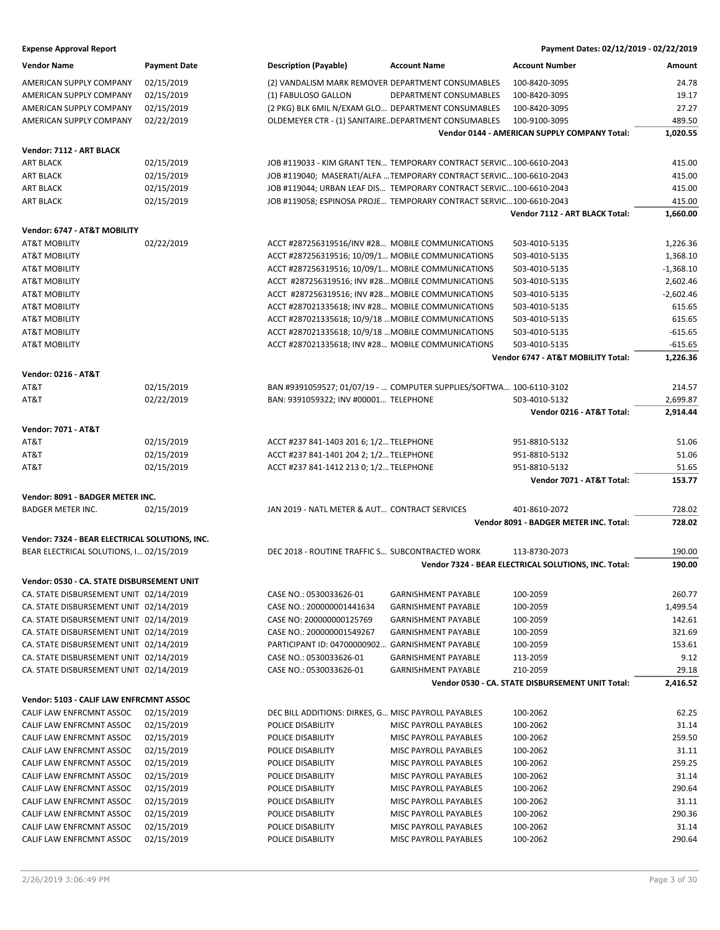### **Expense Approval Report**

| Payment Dates: 02/12/2019 - 02/22/2019 |               |
|----------------------------------------|---------------|
| Account Number                         | <b>Amount</b> |

| Vendor Name                                    | <b>Payment Date</b> | <b>Description (Payable)</b>                                        | <b>Account Name</b>        | <b>Account Number</b>                                        | Amount            |
|------------------------------------------------|---------------------|---------------------------------------------------------------------|----------------------------|--------------------------------------------------------------|-------------------|
| AMERICAN SUPPLY COMPANY                        | 02/15/2019          | (2) VANDALISM MARK REMOVER DEPARTMENT CONSUMABLES                   |                            | 100-8420-3095                                                | 24.78             |
| AMERICAN SUPPLY COMPANY                        | 02/15/2019          | (1) FABULOSO GALLON                                                 | DEPARTMENT CONSUMABLES     | 100-8420-3095                                                | 19.17             |
| AMERICAN SUPPLY COMPANY                        | 02/15/2019          | (2 PKG) BLK 6MIL N/EXAM GLO DEPARTMENT CONSUMABLES                  |                            | 100-8420-3095                                                | 27.27             |
| AMERICAN SUPPLY COMPANY                        | 02/22/2019          | OLDEMEYER CTR - (1) SANITAIREDEPARTMENT CONSUMABLES                 |                            | 100-9100-3095                                                | 489.50            |
|                                                |                     |                                                                     |                            | Vendor 0144 - AMERICAN SUPPLY COMPANY Total:                 | 1,020.55          |
| Vendor: 7112 - ART BLACK                       |                     |                                                                     |                            |                                                              |                   |
| <b>ART BLACK</b>                               | 02/15/2019          | JOB #119033 - KIM GRANT TEN TEMPORARY CONTRACT SERVIC 100-6610-2043 |                            |                                                              | 415.00            |
| <b>ART BLACK</b>                               | 02/15/2019          | JOB #119040; MASERATI/ALFA  TEMPORARY CONTRACT SERVIC 100-6610-2043 |                            |                                                              | 415.00            |
| <b>ART BLACK</b>                               | 02/15/2019          | JOB #119044; URBAN LEAF DIS TEMPORARY CONTRACT SERVIC100-6610-2043  |                            |                                                              | 415.00            |
| <b>ART BLACK</b>                               | 02/15/2019          | JOB #119058; ESPINOSA PROJE TEMPORARY CONTRACT SERVIC100-6610-2043  |                            |                                                              | 415.00            |
|                                                |                     |                                                                     |                            | Vendor 7112 - ART BLACK Total:                               | 1,660.00          |
| Vendor: 6747 - AT&T MOBILITY                   |                     |                                                                     |                            |                                                              |                   |
| AT&T MOBILITY                                  | 02/22/2019          | ACCT #287256319516/INV #28 MOBILE COMMUNICATIONS                    |                            | 503-4010-5135                                                | 1,226.36          |
| <b>AT&amp;T MOBILITY</b>                       |                     | ACCT #287256319516; 10/09/1 MOBILE COMMUNICATIONS                   |                            | 503-4010-5135                                                | 1,368.10          |
| <b>AT&amp;T MOBILITY</b>                       |                     | ACCT #287256319516; 10/09/1 MOBILE COMMUNICATIONS                   |                            | 503-4010-5135                                                | $-1,368.10$       |
| <b>AT&amp;T MOBILITY</b>                       |                     | ACCT #287256319516; INV #28 MOBILE COMMUNICATIONS                   |                            | 503-4010-5135                                                | 2,602.46          |
| AT&T MOBILITY                                  |                     | ACCT #287256319516; INV #28 MOBILE COMMUNICATIONS                   |                            | 503-4010-5135                                                | $-2,602.46$       |
| AT&T MOBILITY                                  |                     | ACCT #287021335618; INV #28 MOBILE COMMUNICATIONS                   |                            | 503-4010-5135                                                | 615.65            |
| <b>AT&amp;T MOBILITY</b>                       |                     | ACCT #287021335618; 10/9/18  MOBILE COMMUNICATIONS                  |                            | 503-4010-5135                                                | 615.65            |
| <b>AT&amp;T MOBILITY</b>                       |                     | ACCT #287021335618; 10/9/18  MOBILE COMMUNICATIONS                  |                            | 503-4010-5135                                                | $-615.65$         |
| AT&T MOBILITY                                  |                     | ACCT #287021335618; INV #28 MOBILE COMMUNICATIONS                   |                            | 503-4010-5135                                                | $-615.65$         |
|                                                |                     |                                                                     |                            | Vendor 6747 - AT&T MOBILITY Total:                           | 1,226.36          |
| <b>Vendor: 0216 - AT&amp;T</b>                 |                     |                                                                     |                            |                                                              |                   |
| AT&T                                           | 02/15/2019          | BAN #9391059527; 01/07/19 -  COMPUTER SUPPLIES/SOFTWA 100-6110-3102 |                            |                                                              | 214.57            |
| AT&T                                           | 02/22/2019          | BAN: 9391059322; INV #00001 TELEPHONE                               |                            | 503-4010-5132                                                | 2,699.87          |
|                                                |                     |                                                                     |                            | Vendor 0216 - AT&T Total:                                    | 2,914.44          |
| <b>Vendor: 7071 - AT&amp;T</b>                 |                     |                                                                     |                            |                                                              |                   |
| AT&T                                           | 02/15/2019          | ACCT #237 841-1403 201 6; 1/2 TELEPHONE                             |                            | 951-8810-5132                                                | 51.06             |
| AT&T                                           | 02/15/2019          | ACCT #237 841-1401 204 2; 1/2 TELEPHONE                             |                            | 951-8810-5132                                                | 51.06             |
| AT&T                                           | 02/15/2019          | ACCT #237 841-1412 213 0; 1/2 TELEPHONE                             |                            | 951-8810-5132                                                | 51.65             |
|                                                |                     |                                                                     |                            | Vendor 7071 - AT&T Total:                                    | 153.77            |
| Vendor: 8091 - BADGER METER INC.               |                     |                                                                     |                            |                                                              |                   |
| <b>BADGER METER INC.</b>                       | 02/15/2019          | JAN 2019 - NATL METER & AUT CONTRACT SERVICES                       |                            | 401-8610-2072                                                | 728.02            |
|                                                |                     |                                                                     |                            | Vendor 8091 - BADGER METER INC. Total:                       | 728.02            |
| Vendor: 7324 - BEAR ELECTRICAL SOLUTIONS, INC. |                     |                                                                     |                            |                                                              |                   |
| BEAR ELECTRICAL SOLUTIONS, I 02/15/2019        |                     | DEC 2018 - ROUTINE TRAFFIC S SUBCONTRACTED WORK                     |                            | 113-8730-2073                                                | 190.00<br>190.00  |
|                                                |                     |                                                                     |                            | Vendor 7324 - BEAR ELECTRICAL SOLUTIONS, INC. Total:         |                   |
| Vendor: 0530 - CA. STATE DISBURSEMENT UNIT     |                     |                                                                     |                            |                                                              |                   |
| CA. STATE DISBURSEMENT UNIT 02/14/2019         |                     | CASE NO.: 0530033626-01                                             | <b>GARNISHMENT PAYABLE</b> | 100-2059                                                     | 260.77            |
| CA. STATE DISBURSEMENT UNIT 02/14/2019         |                     | CASE NO.: 200000001441634                                           | <b>GARNISHMENT PAYABLE</b> | 100-2059                                                     | 1,499.54          |
| CA. STATE DISBURSEMENT UNIT 02/14/2019         |                     | CASE NO: 200000000125769                                            | <b>GARNISHMENT PAYABLE</b> | 100-2059                                                     | 142.61            |
| CA. STATE DISBURSEMENT UNIT 02/14/2019         |                     | CASE NO.: 200000001549267                                           | <b>GARNISHMENT PAYABLE</b> | 100-2059                                                     | 321.69            |
| CA. STATE DISBURSEMENT UNIT 02/14/2019         |                     | PARTICIPANT ID: 04700000902                                         | <b>GARNISHMENT PAYABLE</b> | 100-2059                                                     | 153.61            |
| CA. STATE DISBURSEMENT UNIT 02/14/2019         |                     | CASE NO.: 0530033626-01                                             | <b>GARNISHMENT PAYABLE</b> | 113-2059                                                     | 9.12              |
| CA. STATE DISBURSEMENT UNIT 02/14/2019         |                     | CASE NO.: 0530033626-01                                             | <b>GARNISHMENT PAYABLE</b> | 210-2059<br>Vendor 0530 - CA. STATE DISBURSEMENT UNIT Total: | 29.18<br>2,416.52 |
|                                                |                     |                                                                     |                            |                                                              |                   |
| Vendor: 5103 - CALIF LAW ENFRCMNT ASSOC        |                     |                                                                     |                            |                                                              |                   |
| CALIF LAW ENFRCMNT ASSOC                       | 02/15/2019          | DEC BILL ADDITIONS: DIRKES, G MISC PAYROLL PAYABLES                 |                            | 100-2062                                                     | 62.25             |
| CALIF LAW ENFRCMNT ASSOC                       | 02/15/2019          | POLICE DISABILITY                                                   | MISC PAYROLL PAYABLES      | 100-2062                                                     | 31.14             |
| CALIF LAW ENFRCMNT ASSOC                       | 02/15/2019          | POLICE DISABILITY                                                   | MISC PAYROLL PAYABLES      | 100-2062                                                     | 259.50            |
| CALIF LAW ENFRCMNT ASSOC                       | 02/15/2019          | POLICE DISABILITY                                                   | MISC PAYROLL PAYABLES      | 100-2062                                                     | 31.11             |
| CALIF LAW ENFRCMNT ASSOC                       | 02/15/2019          | POLICE DISABILITY                                                   | MISC PAYROLL PAYABLES      | 100-2062                                                     | 259.25            |
| CALIF LAW ENFRCMNT ASSOC                       | 02/15/2019          | POLICE DISABILITY                                                   | MISC PAYROLL PAYABLES      | 100-2062                                                     | 31.14             |
| CALIF LAW ENFRCMNT ASSOC                       | 02/15/2019          | POLICE DISABILITY                                                   | MISC PAYROLL PAYABLES      | 100-2062                                                     | 290.64            |
| CALIF LAW ENFRCMNT ASSOC                       | 02/15/2019          | POLICE DISABILITY                                                   | MISC PAYROLL PAYABLES      | 100-2062                                                     | 31.11             |
| CALIF LAW ENFRCMNT ASSOC                       | 02/15/2019          | POLICE DISABILITY                                                   | MISC PAYROLL PAYABLES      | 100-2062                                                     | 290.36            |
| CALIF LAW ENFRCMNT ASSOC                       | 02/15/2019          | POLICE DISABILITY                                                   | MISC PAYROLL PAYABLES      | 100-2062                                                     | 31.14             |
| CALIF LAW ENFRCMNT ASSOC                       | 02/15/2019          | POLICE DISABILITY                                                   | MISC PAYROLL PAYABLES      | 100-2062                                                     | 290.64            |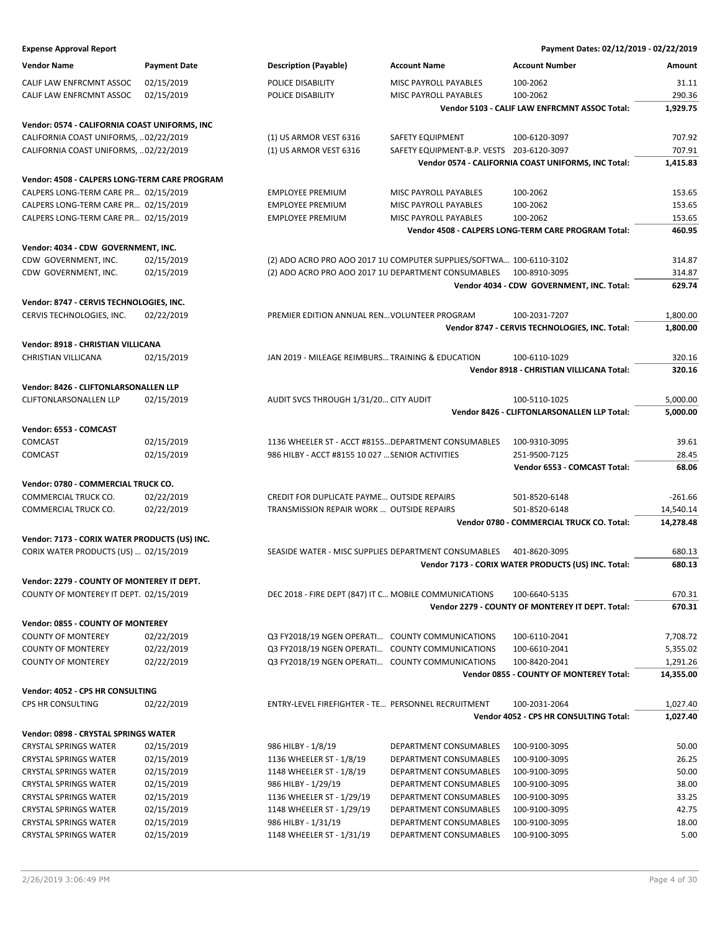| <b>Vendor Name</b>                                                                   | <b>Payment Date</b> | <b>Description (Payable)</b>                          | <b>Account Name</b>                                                 | <b>Account Number</b>                               | Amount           |
|--------------------------------------------------------------------------------------|---------------------|-------------------------------------------------------|---------------------------------------------------------------------|-----------------------------------------------------|------------------|
| CALIF LAW ENFRCMNT ASSOC                                                             | 02/15/2019          | POLICE DISABILITY                                     | MISC PAYROLL PAYABLES                                               | 100-2062                                            | 31.11            |
| CALIF LAW ENFRCMNT ASSOC                                                             | 02/15/2019          | POLICE DISABILITY                                     | MISC PAYROLL PAYABLES                                               | 100-2062                                            | 290.36           |
|                                                                                      |                     |                                                       |                                                                     | Vendor 5103 - CALIF LAW ENFRCMNT ASSOC Total:       | 1,929.75         |
| Vendor: 0574 - CALIFORNIA COAST UNIFORMS, INC                                        |                     |                                                       |                                                                     |                                                     |                  |
| CALIFORNIA COAST UNIFORMS,  02/22/2019                                               |                     | (1) US ARMOR VEST 6316                                | SAFETY EQUIPMENT                                                    | 100-6120-3097                                       | 707.92           |
| CALIFORNIA COAST UNIFORMS,  02/22/2019                                               |                     | (1) US ARMOR VEST 6316                                | SAFETY EQUIPMENT-B.P. VESTS 203-6120-3097                           |                                                     | 707.91           |
|                                                                                      |                     |                                                       |                                                                     | Vendor 0574 - CALIFORNIA COAST UNIFORMS, INC Total: | 1,415.83         |
| Vendor: 4508 - CALPERS LONG-TERM CARE PROGRAM                                        |                     |                                                       |                                                                     |                                                     |                  |
| CALPERS LONG-TERM CARE PR 02/15/2019                                                 |                     | <b>EMPLOYEE PREMIUM</b>                               | MISC PAYROLL PAYABLES                                               | 100-2062                                            | 153.65           |
| CALPERS LONG-TERM CARE PR 02/15/2019                                                 |                     | <b>EMPLOYEE PREMIUM</b>                               | MISC PAYROLL PAYABLES                                               | 100-2062                                            | 153.65           |
| CALPERS LONG-TERM CARE PR 02/15/2019                                                 |                     | <b>EMPLOYEE PREMIUM</b>                               | MISC PAYROLL PAYABLES                                               | 100-2062                                            | 153.65           |
|                                                                                      |                     |                                                       |                                                                     | Vendor 4508 - CALPERS LONG-TERM CARE PROGRAM Total: | 460.95           |
|                                                                                      |                     |                                                       |                                                                     |                                                     |                  |
| Vendor: 4034 - CDW GOVERNMENT, INC.                                                  |                     |                                                       |                                                                     |                                                     |                  |
| CDW GOVERNMENT, INC.                                                                 | 02/15/2019          |                                                       | (2) ADO ACRO PRO AOO 2017 1U COMPUTER SUPPLIES/SOFTWA 100-6110-3102 |                                                     | 314.87           |
| CDW GOVERNMENT, INC.                                                                 | 02/15/2019          | (2) ADO ACRO PRO AOO 2017 1U DEPARTMENT CONSUMABLES   |                                                                     | 100-8910-3095                                       | 314.87<br>629.74 |
|                                                                                      |                     |                                                       |                                                                     | Vendor 4034 - CDW GOVERNMENT, INC. Total:           |                  |
| Vendor: 8747 - CERVIS TECHNOLOGIES, INC.                                             |                     |                                                       |                                                                     |                                                     |                  |
| CERVIS TECHNOLOGIES, INC.                                                            | 02/22/2019          | PREMIER EDITION ANNUAL REN VOLUNTEER PROGRAM          |                                                                     | 100-2031-7207                                       | 1,800.00         |
|                                                                                      |                     |                                                       |                                                                     | Vendor 8747 - CERVIS TECHNOLOGIES, INC. Total:      | 1,800.00         |
| Vendor: 8918 - CHRISTIAN VILLICANA                                                   |                     |                                                       |                                                                     |                                                     |                  |
| CHRISTIAN VILLICANA                                                                  | 02/15/2019          | JAN 2019 - MILEAGE REIMBURS TRAINING & EDUCATION      |                                                                     | 100-6110-1029                                       | 320.16           |
|                                                                                      |                     |                                                       |                                                                     | Vendor 8918 - CHRISTIAN VILLICANA Total:            | 320.16           |
| Vendor: 8426 - CLIFTONLARSONALLEN LLP                                                |                     |                                                       |                                                                     |                                                     |                  |
| CLIFTONLARSONALLEN LLP                                                               | 02/15/2019          | AUDIT SVCS THROUGH 1/31/20 CITY AUDIT                 |                                                                     | 100-5110-1025                                       | 5,000.00         |
|                                                                                      |                     |                                                       |                                                                     | Vendor 8426 - CLIFTONLARSONALLEN LLP Total:         | 5,000.00         |
| Vendor: 6553 - COMCAST                                                               |                     |                                                       |                                                                     |                                                     |                  |
| COMCAST                                                                              | 02/15/2019          | 1136 WHEELER ST - ACCT #8155 DEPARTMENT CONSUMABLES   |                                                                     | 100-9310-3095                                       | 39.61            |
| COMCAST                                                                              | 02/15/2019          | 986 HILBY - ACCT #8155 10 027  SENIOR ACTIVITIES      |                                                                     | 251-9500-7125                                       | 28.45            |
|                                                                                      |                     |                                                       |                                                                     | Vendor 6553 - COMCAST Total:                        | 68.06            |
| Vendor: 0780 - COMMERCIAL TRUCK CO.                                                  |                     |                                                       |                                                                     |                                                     |                  |
| COMMERCIAL TRUCK CO.                                                                 | 02/22/2019          | CREDIT FOR DUPLICATE PAYME OUTSIDE REPAIRS            |                                                                     | 501-8520-6148                                       | $-261.66$        |
| COMMERCIAL TRUCK CO.                                                                 | 02/22/2019          | TRANSMISSION REPAIR WORK  OUTSIDE REPAIRS             |                                                                     | 501-8520-6148                                       | 14,540.14        |
|                                                                                      |                     |                                                       |                                                                     | Vendor 0780 - COMMERCIAL TRUCK CO. Total:           | 14,278.48        |
| Vendor: 7173 - CORIX WATER PRODUCTS (US) INC.                                        |                     |                                                       |                                                                     |                                                     |                  |
| CORIX WATER PRODUCTS (US)  02/15/2019                                                |                     | SEASIDE WATER - MISC SUPPLIES DEPARTMENT CONSUMABLES  |                                                                     | 401-8620-3095                                       | 680.13           |
|                                                                                      |                     |                                                       |                                                                     | Vendor 7173 - CORIX WATER PRODUCTS (US) INC. Total: | 680.13           |
|                                                                                      |                     |                                                       |                                                                     |                                                     |                  |
| Vendor: 2279 - COUNTY OF MONTEREY IT DEPT.<br>COUNTY OF MONTEREY IT DEPT. 02/15/2019 |                     | DEC 2018 - FIRE DEPT (847) IT C MOBILE COMMUNICATIONS |                                                                     | 100-6640-5135                                       | 670.31           |
|                                                                                      |                     |                                                       |                                                                     | Vendor 2279 - COUNTY OF MONTEREY IT DEPT. Total:    | 670.31           |
|                                                                                      |                     |                                                       |                                                                     |                                                     |                  |
| Vendor: 0855 - COUNTY OF MONTEREY                                                    |                     |                                                       |                                                                     |                                                     |                  |
| <b>COUNTY OF MONTEREY</b>                                                            | 02/22/2019          | Q3 FY2018/19 NGEN OPERATI COUNTY COMMUNICATIONS       |                                                                     | 100-6110-2041                                       | 7,708.72         |
| <b>COUNTY OF MONTEREY</b>                                                            | 02/22/2019          | Q3 FY2018/19 NGEN OPERATI COUNTY COMMUNICATIONS       |                                                                     | 100-6610-2041                                       | 5,355.02         |
| <b>COUNTY OF MONTEREY</b>                                                            | 02/22/2019          | Q3 FY2018/19 NGEN OPERATI COUNTY COMMUNICATIONS       |                                                                     | 100-8420-2041                                       | 1,291.26         |
|                                                                                      |                     |                                                       |                                                                     | Vendor 0855 - COUNTY OF MONTEREY Total:             | 14,355.00        |
| Vendor: 4052 - CPS HR CONSULTING                                                     |                     |                                                       |                                                                     |                                                     |                  |
| CPS HR CONSULTING                                                                    | 02/22/2019          | ENTRY-LEVEL FIREFIGHTER - TE PERSONNEL RECRUITMENT    |                                                                     | 100-2031-2064                                       | 1,027.40         |
|                                                                                      |                     |                                                       |                                                                     | Vendor 4052 - CPS HR CONSULTING Total:              | 1,027.40         |
| Vendor: 0898 - CRYSTAL SPRINGS WATER                                                 |                     |                                                       |                                                                     |                                                     |                  |
| <b>CRYSTAL SPRINGS WATER</b>                                                         | 02/15/2019          | 986 HILBY - 1/8/19                                    | DEPARTMENT CONSUMABLES                                              | 100-9100-3095                                       | 50.00            |
| <b>CRYSTAL SPRINGS WATER</b>                                                         | 02/15/2019          | 1136 WHEELER ST - 1/8/19                              | DEPARTMENT CONSUMABLES                                              | 100-9100-3095                                       | 26.25            |
| <b>CRYSTAL SPRINGS WATER</b>                                                         | 02/15/2019          | 1148 WHEELER ST - 1/8/19                              | DEPARTMENT CONSUMABLES                                              | 100-9100-3095                                       | 50.00            |
| <b>CRYSTAL SPRINGS WATER</b>                                                         | 02/15/2019          | 986 HILBY - 1/29/19                                   | DEPARTMENT CONSUMABLES                                              | 100-9100-3095                                       | 38.00            |
| <b>CRYSTAL SPRINGS WATER</b>                                                         | 02/15/2019          | 1136 WHEELER ST - 1/29/19                             | DEPARTMENT CONSUMABLES                                              | 100-9100-3095                                       | 33.25            |
| <b>CRYSTAL SPRINGS WATER</b>                                                         | 02/15/2019          | 1148 WHEELER ST - 1/29/19                             | DEPARTMENT CONSUMABLES                                              | 100-9100-3095                                       | 42.75            |
| <b>CRYSTAL SPRINGS WATER</b>                                                         | 02/15/2019          | 986 HILBY - 1/31/19                                   | DEPARTMENT CONSUMABLES                                              | 100-9100-3095                                       | 18.00            |
| <b>CRYSTAL SPRINGS WATER</b>                                                         | 02/15/2019          | 1148 WHEELER ST - 1/31/19                             | DEPARTMENT CONSUMABLES                                              | 100-9100-3095                                       | 5.00             |
|                                                                                      |                     |                                                       |                                                                     |                                                     |                  |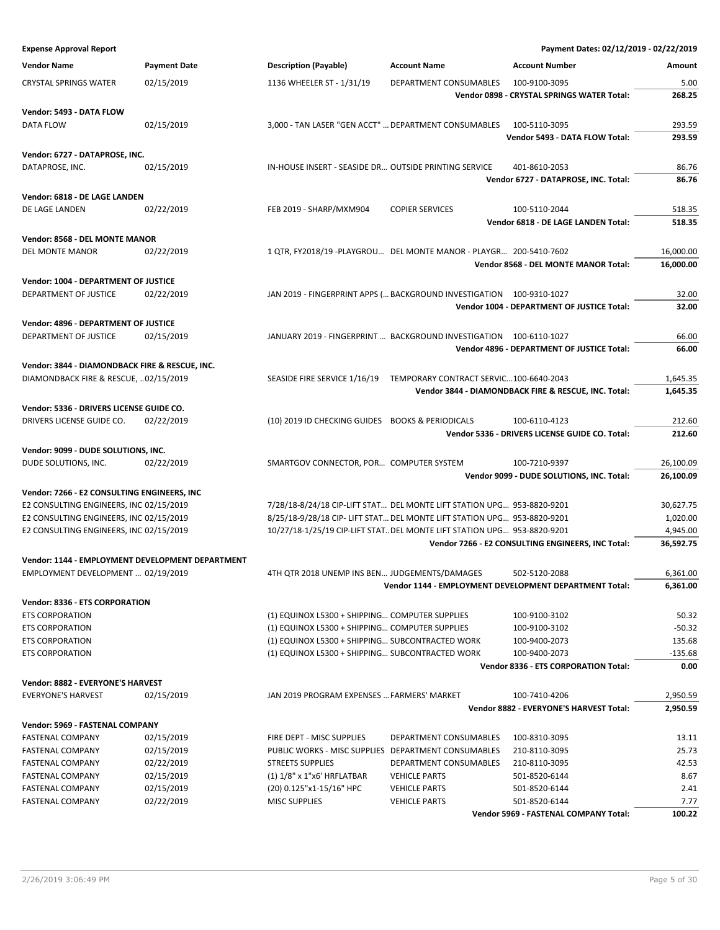| <b>Expense Approval Report</b>                                                          |                     |                                                                                                    |                                        | Payment Dates: 02/12/2019 - 02/22/2019                 |                     |
|-----------------------------------------------------------------------------------------|---------------------|----------------------------------------------------------------------------------------------------|----------------------------------------|--------------------------------------------------------|---------------------|
| <b>Vendor Name</b>                                                                      | <b>Payment Date</b> | <b>Description (Payable)</b>                                                                       | <b>Account Name</b>                    | <b>Account Number</b>                                  | Amount              |
| <b>CRYSTAL SPRINGS WATER</b>                                                            | 02/15/2019          | 1136 WHEELER ST - 1/31/19                                                                          | DEPARTMENT CONSUMABLES                 | 100-9100-3095                                          | 5.00                |
|                                                                                         |                     |                                                                                                    |                                        | Vendor 0898 - CRYSTAL SPRINGS WATER Total:             | 268.25              |
| Vendor: 5493 - DATA FLOW                                                                |                     |                                                                                                    |                                        |                                                        |                     |
| DATA FLOW                                                                               | 02/15/2019          | 3,000 - TAN LASER "GEN ACCT"  DEPARTMENT CONSUMABLES                                               |                                        | 100-5110-3095                                          | 293.59              |
|                                                                                         |                     |                                                                                                    |                                        | Vendor 5493 - DATA FLOW Total:                         | 293.59              |
| Vendor: 6727 - DATAPROSE, INC.                                                          |                     |                                                                                                    |                                        |                                                        |                     |
| DATAPROSE, INC.                                                                         | 02/15/2019          | IN-HOUSE INSERT - SEASIDE DR OUTSIDE PRINTING SERVICE                                              |                                        | 401-8610-2053                                          | 86.76               |
|                                                                                         |                     |                                                                                                    |                                        | Vendor 6727 - DATAPROSE, INC. Total:                   | 86.76               |
| Vendor: 6818 - DE LAGE LANDEN                                                           |                     |                                                                                                    |                                        |                                                        |                     |
| DE LAGE LANDEN                                                                          | 02/22/2019          | FEB 2019 - SHARP/MXM904                                                                            | <b>COPIER SERVICES</b>                 | 100-5110-2044                                          | 518.35              |
|                                                                                         |                     |                                                                                                    |                                        | Vendor 6818 - DE LAGE LANDEN Total:                    | 518.35              |
| Vendor: 8568 - DEL MONTE MANOR                                                          |                     |                                                                                                    |                                        |                                                        |                     |
| DEL MONTE MANOR                                                                         | 02/22/2019          | 1 QTR, FY2018/19 -PLAYGROU DEL MONTE MANOR - PLAYGR 200-5410-7602                                  |                                        |                                                        | 16,000.00           |
|                                                                                         |                     |                                                                                                    |                                        | Vendor 8568 - DEL MONTE MANOR Total:                   | 16,000.00           |
| Vendor: 1004 - DEPARTMENT OF JUSTICE                                                    |                     |                                                                                                    |                                        |                                                        |                     |
| DEPARTMENT OF JUSTICE                                                                   | 02/22/2019          | JAN 2019 - FINGERPRINT APPS ( BACKGROUND INVESTIGATION 100-9310-1027                               |                                        |                                                        | 32.00               |
|                                                                                         |                     |                                                                                                    |                                        | Vendor 1004 - DEPARTMENT OF JUSTICE Total:             | 32.00               |
| Vendor: 4896 - DEPARTMENT OF JUSTICE                                                    |                     |                                                                                                    |                                        |                                                        |                     |
| DEPARTMENT OF JUSTICE                                                                   | 02/15/2019          | JANUARY 2019 - FINGERPRINT  BACKGROUND INVESTIGATION 100-6110-1027                                 |                                        | Vendor 4896 - DEPARTMENT OF JUSTICE Total:             | 66.00<br>66.00      |
|                                                                                         |                     |                                                                                                    |                                        |                                                        |                     |
| Vendor: 3844 - DIAMONDBACK FIRE & RESCUE, INC.<br>DIAMONDBACK FIRE & RESCUE, 02/15/2019 |                     | SEASIDE FIRE SERVICE 1/16/19                                                                       | TEMPORARY CONTRACT SERVIC100-6640-2043 |                                                        | 1,645.35            |
|                                                                                         |                     |                                                                                                    |                                        | Vendor 3844 - DIAMONDBACK FIRE & RESCUE, INC. Total:   | 1,645.35            |
|                                                                                         |                     |                                                                                                    |                                        |                                                        |                     |
| Vendor: 5336 - DRIVERS LICENSE GUIDE CO.<br>DRIVERS LICENSE GUIDE CO.                   | 02/22/2019          | (10) 2019 ID CHECKING GUIDES BOOKS & PERIODICALS                                                   |                                        | 100-6110-4123                                          | 212.60              |
|                                                                                         |                     |                                                                                                    |                                        | Vendor 5336 - DRIVERS LICENSE GUIDE CO. Total:         | 212.60              |
|                                                                                         |                     |                                                                                                    |                                        |                                                        |                     |
| Vendor: 9099 - DUDE SOLUTIONS, INC.<br>DUDE SOLUTIONS, INC.                             | 02/22/2019          | SMARTGOV CONNECTOR, POR COMPUTER SYSTEM                                                            |                                        | 100-7210-9397                                          | 26,100.09           |
|                                                                                         |                     |                                                                                                    |                                        | Vendor 9099 - DUDE SOLUTIONS, INC. Total:              | 26,100.09           |
| Vendor: 7266 - E2 CONSULTING ENGINEERS, INC                                             |                     |                                                                                                    |                                        |                                                        |                     |
| E2 CONSULTING ENGINEERS, INC 02/15/2019                                                 |                     | 7/28/18-8/24/18 CIP-LIFT STAT DEL MONTE LIFT STATION UPG 953-8820-9201                             |                                        |                                                        | 30,627.75           |
| E2 CONSULTING ENGINEERS, INC 02/15/2019                                                 |                     | 8/25/18-9/28/18 CIP- LIFT STAT DEL MONTE LIFT STATION UPG 953-8820-9201                            |                                        |                                                        | 1,020.00            |
| E2 CONSULTING ENGINEERS, INC 02/15/2019                                                 |                     | 10/27/18-1/25/19 CIP-LIFT STAT DEL MONTE LIFT STATION UPG 953-8820-9201                            |                                        |                                                        | 4,945.00            |
|                                                                                         |                     |                                                                                                    |                                        | Vendor 7266 - E2 CONSULTING ENGINEERS, INC Total:      | 36,592.75           |
| Vendor: 1144 - EMPLOYMENT DEVELOPMENT DEPARTMENT                                        |                     |                                                                                                    |                                        |                                                        |                     |
| EMPLOYMENT DEVELOPMENT  02/19/2019                                                      |                     | 4TH QTR 2018 UNEMP INS BEN JUDGEMENTS/DAMAGES                                                      |                                        | 502-5120-2088                                          | 6,361.00            |
|                                                                                         |                     |                                                                                                    |                                        | Vendor 1144 - EMPLOYMENT DEVELOPMENT DEPARTMENT Total: | 6,361.00            |
| <b>Vendor: 8336 - ETS CORPORATION</b>                                                   |                     |                                                                                                    |                                        |                                                        |                     |
| <b>ETS CORPORATION</b>                                                                  |                     | (1) EQUINOX L5300 + SHIPPING COMPUTER SUPPLIES                                                     |                                        | 100-9100-3102                                          | 50.32               |
| <b>ETS CORPORATION</b>                                                                  |                     | (1) EQUINOX L5300 + SHIPPING COMPUTER SUPPLIES                                                     |                                        | 100-9100-3102                                          | $-50.32$            |
| <b>ETS CORPORATION</b><br><b>ETS CORPORATION</b>                                        |                     | (1) EQUINOX L5300 + SHIPPING SUBCONTRACTED WORK<br>(1) EQUINOX L5300 + SHIPPING SUBCONTRACTED WORK |                                        | 100-9400-2073<br>100-9400-2073                         | 135.68<br>$-135.68$ |
|                                                                                         |                     |                                                                                                    |                                        | <b>Vendor 8336 - ETS CORPORATION Total:</b>            | 0.00                |
| <b>Vendor: 8882 - EVERYONE'S HARVEST</b>                                                |                     |                                                                                                    |                                        |                                                        |                     |
| <b>EVERYONE'S HARVEST</b>                                                               | 02/15/2019          | JAN 2019 PROGRAM EXPENSES  FARMERS' MARKET                                                         |                                        | 100-7410-4206                                          | 2,950.59            |
|                                                                                         |                     |                                                                                                    |                                        | Vendor 8882 - EVERYONE'S HARVEST Total:                | 2,950.59            |
| Vendor: 5969 - FASTENAL COMPANY                                                         |                     |                                                                                                    |                                        |                                                        |                     |
| <b>FASTENAL COMPANY</b>                                                                 | 02/15/2019          | FIRE DEPT - MISC SUPPLIES                                                                          | DEPARTMENT CONSUMABLES                 | 100-8310-3095                                          | 13.11               |
| <b>FASTENAL COMPANY</b>                                                                 | 02/15/2019          | PUBLIC WORKS - MISC SUPPLIES DEPARTMENT CONSUMABLES                                                |                                        | 210-8110-3095                                          | 25.73               |
| <b>FASTENAL COMPANY</b>                                                                 | 02/22/2019          | <b>STREETS SUPPLIES</b>                                                                            | DEPARTMENT CONSUMABLES                 | 210-8110-3095                                          | 42.53               |
| <b>FASTENAL COMPANY</b>                                                                 | 02/15/2019          | (1) $1/8$ " x 1"x6' HRFLATBAR                                                                      | <b>VEHICLE PARTS</b>                   | 501-8520-6144                                          | 8.67                |
| <b>FASTENAL COMPANY</b>                                                                 | 02/15/2019          | (20) 0.125"x1-15/16" HPC                                                                           | <b>VEHICLE PARTS</b>                   | 501-8520-6144                                          | 2.41                |
| <b>FASTENAL COMPANY</b>                                                                 | 02/22/2019          | <b>MISC SUPPLIES</b>                                                                               | <b>VEHICLE PARTS</b>                   | 501-8520-6144                                          | 7.77                |
|                                                                                         |                     |                                                                                                    |                                        | Vendor 5969 - FASTENAL COMPANY Total:                  | 100.22              |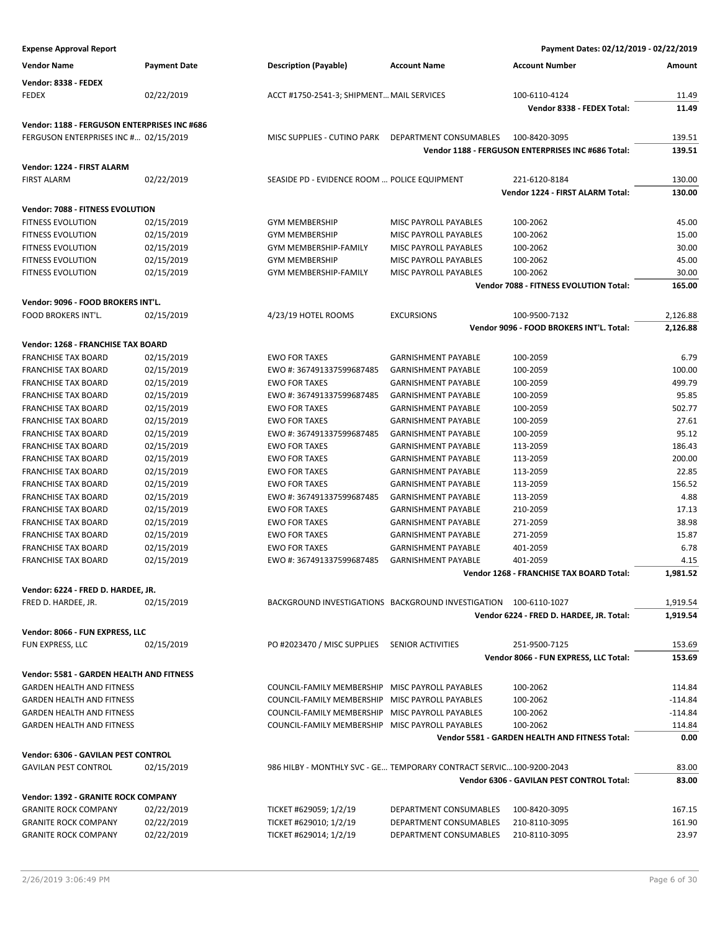| <b>Expense Approval Report</b>                                   |                          |                                                                     |                                                          | Payment Dates: 02/12/2019 - 02/22/2019             |                      |
|------------------------------------------------------------------|--------------------------|---------------------------------------------------------------------|----------------------------------------------------------|----------------------------------------------------|----------------------|
| <b>Vendor Name</b>                                               | <b>Payment Date</b>      | <b>Description (Payable)</b>                                        | <b>Account Name</b>                                      | <b>Account Number</b>                              | Amount               |
| Vendor: 8338 - FEDEX                                             |                          |                                                                     |                                                          |                                                    |                      |
| FEDEX                                                            | 02/22/2019               | ACCT #1750-2541-3; SHIPMENT MAIL SERVICES                           |                                                          | 100-6110-4124                                      | 11.49                |
|                                                                  |                          |                                                                     |                                                          | Vendor 8338 - FEDEX Total:                         | 11.49                |
| Vendor: 1188 - FERGUSON ENTERPRISES INC #686                     |                          |                                                                     |                                                          |                                                    |                      |
| FERGUSON ENTERPRISES INC # 02/15/2019                            |                          | MISC SUPPLIES - CUTINO PARK                                         | DEPARTMENT CONSUMABLES                                   | 100-8420-3095                                      | 139.51               |
|                                                                  |                          |                                                                     |                                                          | Vendor 1188 - FERGUSON ENTERPRISES INC #686 Total: | 139.51               |
| Vendor: 1224 - FIRST ALARM                                       |                          |                                                                     |                                                          |                                                    |                      |
| <b>FIRST ALARM</b>                                               | 02/22/2019               | SEASIDE PD - EVIDENCE ROOM  POLICE EQUIPMENT                        |                                                          | 221-6120-8184                                      | 130.00               |
|                                                                  |                          |                                                                     |                                                          | Vendor 1224 - FIRST ALARM Total:                   | 130.00               |
| Vendor: 7088 - FITNESS EVOLUTION                                 |                          |                                                                     |                                                          |                                                    |                      |
| <b>FITNESS EVOLUTION</b>                                         | 02/15/2019               | <b>GYM MEMBERSHIP</b>                                               | MISC PAYROLL PAYABLES                                    | 100-2062                                           | 45.00                |
| <b>FITNESS EVOLUTION</b>                                         | 02/15/2019               | <b>GYM MEMBERSHIP</b>                                               | MISC PAYROLL PAYABLES                                    | 100-2062                                           | 15.00                |
| FITNESS EVOLUTION                                                | 02/15/2019               | GYM MEMBERSHIP-FAMILY                                               | MISC PAYROLL PAYABLES                                    | 100-2062                                           | 30.00                |
| FITNESS EVOLUTION                                                | 02/15/2019               | <b>GYM MEMBERSHIP</b>                                               | MISC PAYROLL PAYABLES                                    | 100-2062                                           | 45.00                |
| <b>FITNESS EVOLUTION</b>                                         | 02/15/2019               | GYM MEMBERSHIP-FAMILY                                               | <b>MISC PAYROLL PAYABLES</b>                             | 100-2062                                           | 30.00                |
|                                                                  |                          |                                                                     |                                                          | Vendor 7088 - FITNESS EVOLUTION Total:             | 165.00               |
| Vendor: 9096 - FOOD BROKERS INT'L.                               |                          |                                                                     |                                                          |                                                    |                      |
| <b>FOOD BROKERS INT'L.</b>                                       | 02/15/2019               | 4/23/19 HOTEL ROOMS                                                 | <b>EXCURSIONS</b>                                        | 100-9500-7132                                      | 2,126.88             |
|                                                                  |                          |                                                                     |                                                          | Vendor 9096 - FOOD BROKERS INT'L. Total:           | 2,126.88             |
|                                                                  |                          |                                                                     |                                                          |                                                    |                      |
| Vendor: 1268 - FRANCHISE TAX BOARD<br><b>FRANCHISE TAX BOARD</b> |                          |                                                                     | <b>GARNISHMENT PAYABLE</b>                               |                                                    |                      |
|                                                                  | 02/15/2019               | <b>EWO FOR TAXES</b><br>EWO #: 367491337599687485                   | <b>GARNISHMENT PAYABLE</b>                               | 100-2059                                           | 6.79<br>100.00       |
| <b>FRANCHISE TAX BOARD</b><br><b>FRANCHISE TAX BOARD</b>         | 02/15/2019<br>02/15/2019 | <b>EWO FOR TAXES</b>                                                | <b>GARNISHMENT PAYABLE</b>                               | 100-2059<br>100-2059                               | 499.79               |
|                                                                  |                          | EWO #: 367491337599687485                                           | <b>GARNISHMENT PAYABLE</b>                               |                                                    | 95.85                |
| <b>FRANCHISE TAX BOARD</b>                                       | 02/15/2019               | <b>EWO FOR TAXES</b>                                                |                                                          | 100-2059                                           | 502.77               |
| <b>FRANCHISE TAX BOARD</b><br><b>FRANCHISE TAX BOARD</b>         | 02/15/2019<br>02/15/2019 | <b>EWO FOR TAXES</b>                                                | <b>GARNISHMENT PAYABLE</b><br><b>GARNISHMENT PAYABLE</b> | 100-2059<br>100-2059                               | 27.61                |
| <b>FRANCHISE TAX BOARD</b>                                       | 02/15/2019               | EWO #: 367491337599687485                                           | <b>GARNISHMENT PAYABLE</b>                               | 100-2059                                           | 95.12                |
| <b>FRANCHISE TAX BOARD</b>                                       | 02/15/2019               | <b>EWO FOR TAXES</b>                                                | <b>GARNISHMENT PAYABLE</b>                               | 113-2059                                           | 186.43               |
| <b>FRANCHISE TAX BOARD</b>                                       | 02/15/2019               | <b>EWO FOR TAXES</b>                                                | <b>GARNISHMENT PAYABLE</b>                               | 113-2059                                           | 200.00               |
| <b>FRANCHISE TAX BOARD</b>                                       | 02/15/2019               | <b>EWO FOR TAXES</b>                                                | <b>GARNISHMENT PAYABLE</b>                               | 113-2059                                           | 22.85                |
| <b>FRANCHISE TAX BOARD</b>                                       | 02/15/2019               | <b>EWO FOR TAXES</b>                                                | <b>GARNISHMENT PAYABLE</b>                               | 113-2059                                           | 156.52               |
| <b>FRANCHISE TAX BOARD</b>                                       | 02/15/2019               | EWO #: 367491337599687485                                           | <b>GARNISHMENT PAYABLE</b>                               | 113-2059                                           | 4.88                 |
| <b>FRANCHISE TAX BOARD</b>                                       | 02/15/2019               | <b>EWO FOR TAXES</b>                                                | <b>GARNISHMENT PAYABLE</b>                               | 210-2059                                           | 17.13                |
| <b>FRANCHISE TAX BOARD</b>                                       | 02/15/2019               | <b>EWO FOR TAXES</b>                                                | <b>GARNISHMENT PAYABLE</b>                               | 271-2059                                           | 38.98                |
| <b>FRANCHISE TAX BOARD</b>                                       | 02/15/2019               | <b>EWO FOR TAXES</b>                                                | <b>GARNISHMENT PAYABLE</b>                               | 271-2059                                           | 15.87                |
| <b>FRANCHISE TAX BOARD</b>                                       | 02/15/2019               | <b>EWO FOR TAXES</b>                                                | <b>GARNISHMENT PAYABLE</b>                               | 401-2059                                           | 6.78                 |
| <b>FRANCHISE TAX BOARD</b>                                       | 02/15/2019               | EWO #: 367491337599687485                                           | <b>GARNISHMENT PAYABLE</b>                               | 401-2059                                           | 4.15                 |
|                                                                  |                          |                                                                     |                                                          | Vendor 1268 - FRANCHISE TAX BOARD Total:           | 1,981.52             |
|                                                                  |                          |                                                                     |                                                          |                                                    |                      |
| Vendor: 6224 - FRED D. HARDEE, JR.<br>FRED D. HARDEE, JR.        | 02/15/2019               | BACKGROUND INVESTIGATIONS BACKGROUND INVESTIGATION 100-6110-1027    |                                                          |                                                    |                      |
|                                                                  |                          |                                                                     |                                                          | Vendor 6224 - FRED D. HARDEE, JR. Total:           | 1,919.54<br>1,919.54 |
|                                                                  |                          |                                                                     |                                                          |                                                    |                      |
| Vendor: 8066 - FUN EXPRESS, LLC                                  |                          |                                                                     |                                                          |                                                    |                      |
| FUN EXPRESS, LLC                                                 | 02/15/2019               | PO #2023470 / MISC SUPPLIES                                         | <b>SENIOR ACTIVITIES</b>                                 | 251-9500-7125                                      | 153.69               |
|                                                                  |                          |                                                                     |                                                          | Vendor 8066 - FUN EXPRESS, LLC Total:              | 153.69               |
| Vendor: 5581 - GARDEN HEALTH AND FITNESS                         |                          |                                                                     |                                                          |                                                    |                      |
| <b>GARDEN HEALTH AND FITNESS</b>                                 |                          | COUNCIL-FAMILY MEMBERSHIP MISC PAYROLL PAYABLES                     |                                                          | 100-2062                                           | 114.84               |
| <b>GARDEN HEALTH AND FITNESS</b>                                 |                          | COUNCIL-FAMILY MEMBERSHIP MISC PAYROLL PAYABLES                     |                                                          | 100-2062                                           | $-114.84$            |
| <b>GARDEN HEALTH AND FITNESS</b>                                 |                          | COUNCIL-FAMILY MEMBERSHIP MISC PAYROLL PAYABLES                     |                                                          | 100-2062                                           | $-114.84$            |
| <b>GARDEN HEALTH AND FITNESS</b>                                 |                          | COUNCIL-FAMILY MEMBERSHIP MISC PAYROLL PAYABLES                     |                                                          | 100-2062                                           | 114.84               |
|                                                                  |                          |                                                                     |                                                          | Vendor 5581 - GARDEN HEALTH AND FITNESS Total:     | 0.00                 |
| Vendor: 6306 - GAVILAN PEST CONTROL                              |                          |                                                                     |                                                          |                                                    |                      |
| <b>GAVILAN PEST CONTROL</b>                                      | 02/15/2019               | 986 HILBY - MONTHLY SVC - GE TEMPORARY CONTRACT SERVIC100-9200-2043 |                                                          |                                                    | 83.00                |
|                                                                  |                          |                                                                     |                                                          | Vendor 6306 - GAVILAN PEST CONTROL Total:          | 83.00                |
| Vendor: 1392 - GRANITE ROCK COMPANY                              |                          |                                                                     |                                                          |                                                    |                      |
| <b>GRANITE ROCK COMPANY</b>                                      | 02/22/2019               | TICKET #629059; 1/2/19                                              | DEPARTMENT CONSUMABLES                                   | 100-8420-3095                                      | 167.15               |
| <b>GRANITE ROCK COMPANY</b>                                      | 02/22/2019               | TICKET #629010; 1/2/19                                              | DEPARTMENT CONSUMABLES                                   | 210-8110-3095                                      | 161.90               |
| <b>GRANITE ROCK COMPANY</b>                                      | 02/22/2019               | TICKET #629014; 1/2/19                                              | DEPARTMENT CONSUMABLES                                   | 210-8110-3095                                      | 23.97                |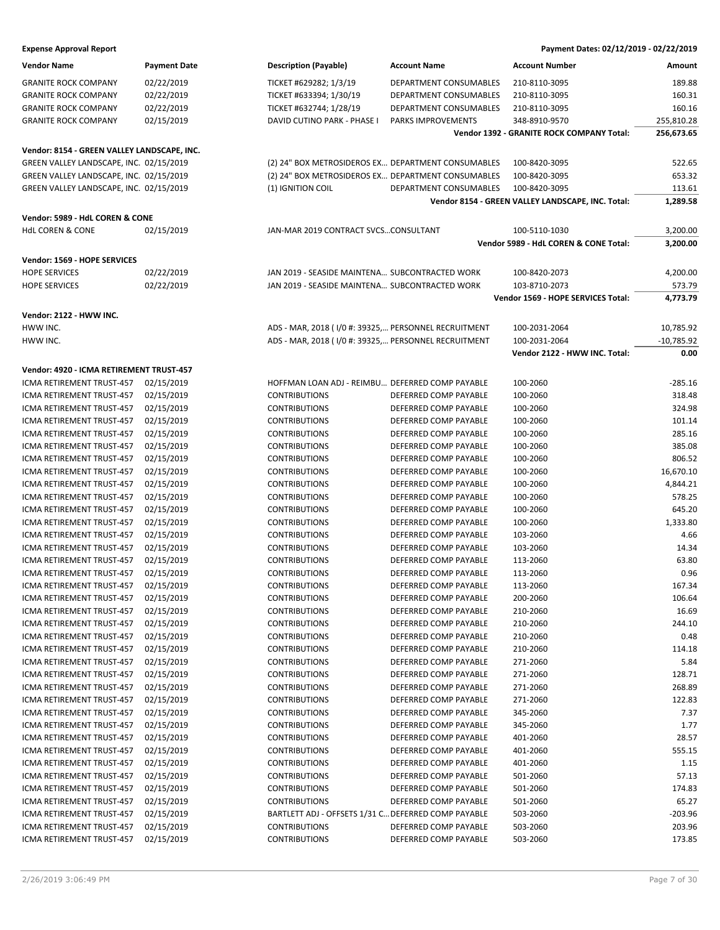| <b>Vendor Name</b>                                     | <b>Payment Date</b>      | <b>Description (Payable)</b>                         | <b>Account Name</b>                            | <b>Account Number</b>                             | Amount               |
|--------------------------------------------------------|--------------------------|------------------------------------------------------|------------------------------------------------|---------------------------------------------------|----------------------|
| <b>GRANITE ROCK COMPANY</b>                            | 02/22/2019               | TICKET #629282; 1/3/19                               | DEPARTMENT CONSUMABLES                         | 210-8110-3095                                     | 189.88               |
| <b>GRANITE ROCK COMPANY</b>                            | 02/22/2019               | TICKET #633394; 1/30/19                              | DEPARTMENT CONSUMABLES                         | 210-8110-3095                                     | 160.31               |
| <b>GRANITE ROCK COMPANY</b>                            | 02/22/2019               | TICKET #632744; 1/28/19                              | DEPARTMENT CONSUMABLES                         | 210-8110-3095                                     | 160.16               |
| <b>GRANITE ROCK COMPANY</b>                            | 02/15/2019               | DAVID CUTINO PARK - PHASE I                          | PARKS IMPROVEMENTS                             | 348-8910-9570                                     | 255,810.28           |
|                                                        |                          |                                                      |                                                | Vendor 1392 - GRANITE ROCK COMPANY Total:         | 256,673.65           |
|                                                        |                          |                                                      |                                                |                                                   |                      |
| Vendor: 8154 - GREEN VALLEY LANDSCAPE, INC.            |                          |                                                      |                                                |                                                   |                      |
| GREEN VALLEY LANDSCAPE, INC. 02/15/2019                |                          | (2) 24" BOX METROSIDEROS EX DEPARTMENT CONSUMABLES   |                                                | 100-8420-3095                                     | 522.65               |
| GREEN VALLEY LANDSCAPE, INC. 02/15/2019                |                          | (2) 24" BOX METROSIDEROS EX DEPARTMENT CONSUMABLES   |                                                | 100-8420-3095                                     | 653.32               |
| GREEN VALLEY LANDSCAPE, INC. 02/15/2019                |                          | (1) IGNITION COIL                                    | DEPARTMENT CONSUMABLES                         | 100-8420-3095                                     | 113.61               |
|                                                        |                          |                                                      |                                                | Vendor 8154 - GREEN VALLEY LANDSCAPE, INC. Total: | 1,289.58             |
| Vendor: 5989 - HdL COREN & CONE                        |                          |                                                      |                                                |                                                   |                      |
| <b>HdL COREN &amp; CONE</b>                            | 02/15/2019               | JAN-MAR 2019 CONTRACT SVCSCONSULTANT                 |                                                | 100-5110-1030                                     | 3,200.00             |
|                                                        |                          |                                                      |                                                | Vendor 5989 - HdL COREN & CONE Total:             | 3,200.00             |
| Vendor: 1569 - HOPE SERVICES                           |                          |                                                      |                                                |                                                   |                      |
| <b>HOPE SERVICES</b>                                   | 02/22/2019               | JAN 2019 - SEASIDE MAINTENA SUBCONTRACTED WORK       |                                                | 100-8420-2073                                     | 4,200.00             |
| <b>HOPE SERVICES</b>                                   | 02/22/2019               | JAN 2019 - SEASIDE MAINTENA SUBCONTRACTED WORK       |                                                | 103-8710-2073                                     | 573.79               |
|                                                        |                          |                                                      |                                                | Vendor 1569 - HOPE SERVICES Total:                | 4.773.79             |
| Vendor: 2122 - HWW INC.                                |                          |                                                      |                                                |                                                   |                      |
| HWW INC.                                               |                          |                                                      |                                                |                                                   | 10,785.92            |
|                                                        |                          | ADS - MAR, 2018 (1/0 #: 39325, PERSONNEL RECRUITMENT |                                                | 100-2031-2064                                     |                      |
| HWW INC.                                               |                          | ADS - MAR, 2018 (1/0 #: 39325, PERSONNEL RECRUITMENT |                                                | 100-2031-2064<br>Vendor 2122 - HWW INC. Total:    | $-10,785.92$<br>0.00 |
|                                                        |                          |                                                      |                                                |                                                   |                      |
| Vendor: 4920 - ICMA RETIREMENT TRUST-457               |                          |                                                      |                                                |                                                   |                      |
| ICMA RETIREMENT TRUST-457                              | 02/15/2019               | HOFFMAN LOAN ADJ - REIMBU DEFERRED COMP PAYABLE      |                                                | 100-2060                                          | $-285.16$            |
| ICMA RETIREMENT TRUST-457                              | 02/15/2019               | <b>CONTRIBUTIONS</b>                                 | DEFERRED COMP PAYABLE                          | 100-2060                                          | 318.48               |
| ICMA RETIREMENT TRUST-457                              | 02/15/2019               | <b>CONTRIBUTIONS</b>                                 | DEFERRED COMP PAYABLE                          | 100-2060                                          | 324.98               |
| ICMA RETIREMENT TRUST-457                              | 02/15/2019               | <b>CONTRIBUTIONS</b>                                 | DEFERRED COMP PAYABLE                          | 100-2060                                          | 101.14               |
| ICMA RETIREMENT TRUST-457                              | 02/15/2019               | <b>CONTRIBUTIONS</b>                                 | DEFERRED COMP PAYABLE                          | 100-2060                                          | 285.16               |
| ICMA RETIREMENT TRUST-457                              | 02/15/2019               | <b>CONTRIBUTIONS</b>                                 | DEFERRED COMP PAYABLE                          | 100-2060                                          | 385.08               |
| ICMA RETIREMENT TRUST-457                              | 02/15/2019               | <b>CONTRIBUTIONS</b>                                 | DEFERRED COMP PAYABLE                          | 100-2060                                          | 806.52               |
| ICMA RETIREMENT TRUST-457                              | 02/15/2019               | <b>CONTRIBUTIONS</b>                                 | DEFERRED COMP PAYABLE                          | 100-2060                                          | 16,670.10            |
| ICMA RETIREMENT TRUST-457                              | 02/15/2019               | <b>CONTRIBUTIONS</b>                                 | DEFERRED COMP PAYABLE                          | 100-2060                                          | 4,844.21             |
| ICMA RETIREMENT TRUST-457                              | 02/15/2019               | <b>CONTRIBUTIONS</b>                                 | DEFERRED COMP PAYABLE                          | 100-2060                                          | 578.25               |
| ICMA RETIREMENT TRUST-457                              | 02/15/2019               | <b>CONTRIBUTIONS</b>                                 | DEFERRED COMP PAYABLE                          | 100-2060                                          | 645.20               |
| ICMA RETIREMENT TRUST-457                              | 02/15/2019               | <b>CONTRIBUTIONS</b>                                 | DEFERRED COMP PAYABLE                          | 100-2060                                          | 1,333.80             |
| ICMA RETIREMENT TRUST-457                              | 02/15/2019               | <b>CONTRIBUTIONS</b>                                 | DEFERRED COMP PAYABLE                          | 103-2060                                          | 4.66                 |
| ICMA RETIREMENT TRUST-457                              | 02/15/2019               | <b>CONTRIBUTIONS</b>                                 | DEFERRED COMP PAYABLE                          | 103-2060                                          | 14.34                |
| ICMA RETIREMENT TRUST-457                              | 02/15/2019               | <b>CONTRIBUTIONS</b>                                 | DEFERRED COMP PAYABLE                          | 113-2060                                          | 63.80                |
| ICMA RETIREMENT TRUST-457                              | 02/15/2019               | <b>CONTRIBUTIONS</b>                                 | DEFERRED COMP PAYABLE                          | 113-2060                                          | 0.96                 |
| ICMA RETIREMENT TRUST-457 02/15/2019                   |                          | <b>CONTRIBUTIONS</b>                                 | DEFERRED COMP PAYABLE                          | 113-2060                                          | 167.34               |
| ICMA RETIREMENT TRUST-457                              | 02/15/2019               | <b>CONTRIBUTIONS</b>                                 | DEFERRED COMP PAYABLE                          | 200-2060                                          | 106.64               |
| ICMA RETIREMENT TRUST-457                              | 02/15/2019               | <b>CONTRIBUTIONS</b>                                 | DEFERRED COMP PAYABLE                          | 210-2060                                          | 16.69                |
| ICMA RETIREMENT TRUST-457                              | 02/15/2019               | <b>CONTRIBUTIONS</b>                                 | DEFERRED COMP PAYABLE<br>DEFERRED COMP PAYABLE | 210-2060                                          | 244.10               |
| ICMA RETIREMENT TRUST-457                              | 02/15/2019<br>02/15/2019 | <b>CONTRIBUTIONS</b><br><b>CONTRIBUTIONS</b>         |                                                | 210-2060                                          | 0.48                 |
| ICMA RETIREMENT TRUST-457                              |                          | <b>CONTRIBUTIONS</b>                                 | DEFERRED COMP PAYABLE<br>DEFERRED COMP PAYABLE | 210-2060                                          | 114.18               |
| ICMA RETIREMENT TRUST-457<br>ICMA RETIREMENT TRUST-457 | 02/15/2019<br>02/15/2019 | <b>CONTRIBUTIONS</b>                                 |                                                | 271-2060<br>271-2060                              | 5.84<br>128.71       |
|                                                        |                          |                                                      | DEFERRED COMP PAYABLE<br>DEFERRED COMP PAYABLE |                                                   |                      |
| ICMA RETIREMENT TRUST-457                              | 02/15/2019               | <b>CONTRIBUTIONS</b><br><b>CONTRIBUTIONS</b>         |                                                | 271-2060                                          | 268.89<br>122.83     |
| ICMA RETIREMENT TRUST-457                              | 02/15/2019               |                                                      | DEFERRED COMP PAYABLE<br>DEFERRED COMP PAYABLE | 271-2060                                          | 7.37                 |
| ICMA RETIREMENT TRUST-457                              | 02/15/2019               | <b>CONTRIBUTIONS</b><br><b>CONTRIBUTIONS</b>         |                                                | 345-2060<br>345-2060                              |                      |
| ICMA RETIREMENT TRUST-457                              | 02/15/2019               | <b>CONTRIBUTIONS</b>                                 | DEFERRED COMP PAYABLE                          | 401-2060                                          | 1.77<br>28.57        |
| ICMA RETIREMENT TRUST-457<br>ICMA RETIREMENT TRUST-457 | 02/15/2019<br>02/15/2019 | <b>CONTRIBUTIONS</b>                                 | DEFERRED COMP PAYABLE<br>DEFERRED COMP PAYABLE | 401-2060                                          | 555.15               |
| ICMA RETIREMENT TRUST-457                              | 02/15/2019               | <b>CONTRIBUTIONS</b>                                 | DEFERRED COMP PAYABLE                          | 401-2060                                          | 1.15                 |
| ICMA RETIREMENT TRUST-457                              | 02/15/2019               | <b>CONTRIBUTIONS</b>                                 | DEFERRED COMP PAYABLE                          | 501-2060                                          | 57.13                |
| ICMA RETIREMENT TRUST-457                              | 02/15/2019               | <b>CONTRIBUTIONS</b>                                 | DEFERRED COMP PAYABLE                          | 501-2060                                          | 174.83               |
| ICMA RETIREMENT TRUST-457                              | 02/15/2019               | <b>CONTRIBUTIONS</b>                                 | DEFERRED COMP PAYABLE                          | 501-2060                                          | 65.27                |
| ICMA RETIREMENT TRUST-457                              | 02/15/2019               | BARTLETT ADJ - OFFSETS 1/31 C DEFERRED COMP PAYABLE  |                                                | 503-2060                                          | $-203.96$            |
| ICMA RETIREMENT TRUST-457                              | 02/15/2019               | <b>CONTRIBUTIONS</b>                                 | DEFERRED COMP PAYABLE                          | 503-2060                                          | 203.96               |
| ICMA RETIREMENT TRUST-457                              | 02/15/2019               | <b>CONTRIBUTIONS</b>                                 | DEFERRED COMP PAYABLE                          | 503-2060                                          | 173.85               |
|                                                        |                          |                                                      |                                                |                                                   |                      |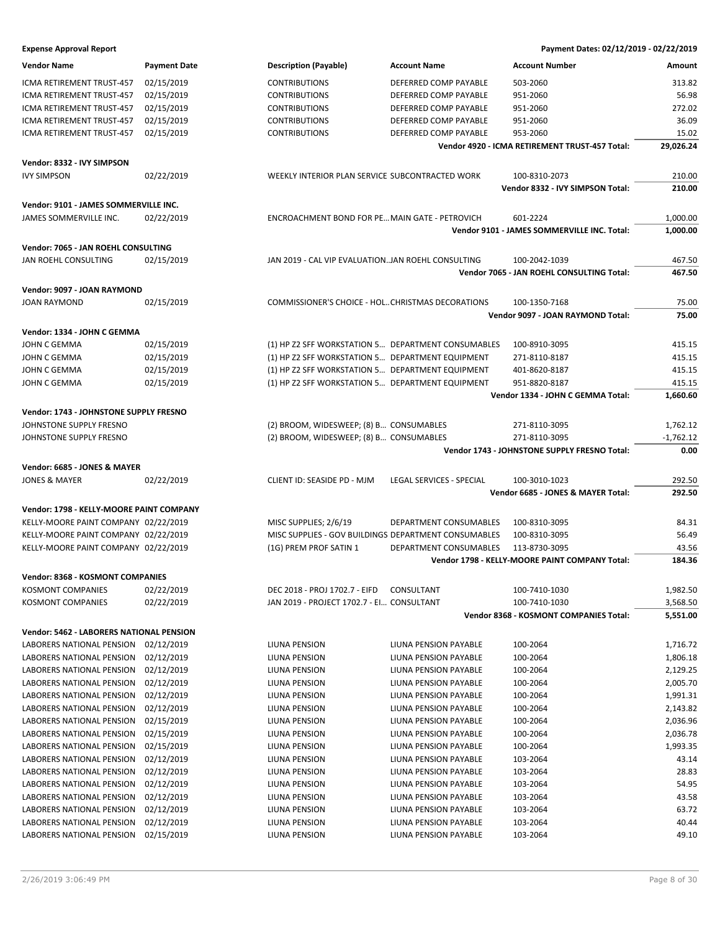| <b>Vendor Name</b>                       | <b>Payment Date</b> | <b>Description (Payable)</b>                         | <b>Account Name</b>      | <b>Account Number</b>                          | Amount      |
|------------------------------------------|---------------------|------------------------------------------------------|--------------------------|------------------------------------------------|-------------|
| ICMA RETIREMENT TRUST-457                | 02/15/2019          | <b>CONTRIBUTIONS</b>                                 | DEFERRED COMP PAYABLE    | 503-2060                                       | 313.82      |
| ICMA RETIREMENT TRUST-457                | 02/15/2019          | <b>CONTRIBUTIONS</b>                                 | DEFERRED COMP PAYABLE    | 951-2060                                       | 56.98       |
| ICMA RETIREMENT TRUST-457                | 02/15/2019          | <b>CONTRIBUTIONS</b>                                 | DEFERRED COMP PAYABLE    | 951-2060                                       | 272.02      |
| ICMA RETIREMENT TRUST-457                | 02/15/2019          | <b>CONTRIBUTIONS</b>                                 | DEFERRED COMP PAYABLE    | 951-2060                                       | 36.09       |
| ICMA RETIREMENT TRUST-457                | 02/15/2019          | <b>CONTRIBUTIONS</b>                                 | DEFERRED COMP PAYABLE    | 953-2060                                       | 15.02       |
|                                          |                     |                                                      |                          | Vendor 4920 - ICMA RETIREMENT TRUST-457 Total: | 29,026.24   |
| Vendor: 8332 - IVY SIMPSON               |                     |                                                      |                          |                                                |             |
| <b>IVY SIMPSON</b>                       | 02/22/2019          | WEEKLY INTERIOR PLAN SERVICE SUBCONTRACTED WORK      |                          | 100-8310-2073                                  | 210.00      |
|                                          |                     |                                                      |                          | Vendor 8332 - IVY SIMPSON Total:               | 210.00      |
| Vendor: 9101 - JAMES SOMMERVILLE INC.    |                     |                                                      |                          |                                                |             |
| JAMES SOMMERVILLE INC.                   | 02/22/2019          | ENCROACHMENT BOND FOR PE MAIN GATE - PETROVICH       |                          | 601-2224                                       | 1,000.00    |
|                                          |                     |                                                      |                          | Vendor 9101 - JAMES SOMMERVILLE INC. Total:    | 1,000.00    |
| Vendor: 7065 - JAN ROEHL CONSULTING      |                     |                                                      |                          |                                                |             |
| JAN ROEHL CONSULTING                     | 02/15/2019          | JAN 2019 - CAL VIP EVALUATIONJAN ROEHL CONSULTING    |                          | 100-2042-1039                                  | 467.50      |
|                                          |                     |                                                      |                          | Vendor 7065 - JAN ROEHL CONSULTING Total:      | 467.50      |
| Vendor: 9097 - JOAN RAYMOND              |                     |                                                      |                          |                                                |             |
| <b>JOAN RAYMOND</b>                      | 02/15/2019          | COMMISSIONER'S CHOICE - HOL CHRISTMAS DECORATIONS    |                          | 100-1350-7168                                  | 75.00       |
|                                          |                     |                                                      |                          | Vendor 9097 - JOAN RAYMOND Total:              | 75.00       |
| Vendor: 1334 - JOHN C GEMMA              |                     |                                                      |                          |                                                |             |
| <b>JOHN C GEMMA</b>                      | 02/15/2019          | (1) HP Z2 SFF WORKSTATION 5 DEPARTMENT CONSUMABLES   |                          | 100-8910-3095                                  | 415.15      |
| JOHN C GEMMA                             | 02/15/2019          | (1) HP Z2 SFF WORKSTATION 5 DEPARTMENT EQUIPMENT     |                          | 271-8110-8187                                  | 415.15      |
| JOHN C GEMMA                             | 02/15/2019          | (1) HP Z2 SFF WORKSTATION 5 DEPARTMENT EQUIPMENT     |                          | 401-8620-8187                                  | 415.15      |
| <b>JOHN C GEMMA</b>                      | 02/15/2019          | (1) HP Z2 SFF WORKSTATION 5 DEPARTMENT EQUIPMENT     |                          | 951-8820-8187                                  | 415.15      |
|                                          |                     |                                                      |                          | Vendor 1334 - JOHN C GEMMA Total:              | 1,660.60    |
| Vendor: 1743 - JOHNSTONE SUPPLY FRESNO   |                     |                                                      |                          |                                                |             |
| JOHNSTONE SUPPLY FRESNO                  |                     | (2) BROOM, WIDESWEEP; (8) B CONSUMABLES              |                          | 271-8110-3095                                  | 1,762.12    |
| JOHNSTONE SUPPLY FRESNO                  |                     | (2) BROOM, WIDESWEEP; (8) B CONSUMABLES              |                          | 271-8110-3095                                  | $-1,762.12$ |
|                                          |                     |                                                      |                          | Vendor 1743 - JOHNSTONE SUPPLY FRESNO Total:   | 0.00        |
| Vendor: 6685 - JONES & MAYER             |                     |                                                      |                          |                                                |             |
| <b>JONES &amp; MAYER</b>                 | 02/22/2019          | CLIENT ID: SEASIDE PD - MJM                          | LEGAL SERVICES - SPECIAL | 100-3010-1023                                  | 292.50      |
|                                          |                     |                                                      |                          | Vendor 6685 - JONES & MAYER Total:             | 292.50      |
| Vendor: 1798 - KELLY-MOORE PAINT COMPANY |                     |                                                      |                          |                                                |             |
| KELLY-MOORE PAINT COMPANY 02/22/2019     |                     | MISC SUPPLIES; 2/6/19                                | DEPARTMENT CONSUMABLES   | 100-8310-3095                                  | 84.31       |
| KELLY-MOORE PAINT COMPANY 02/22/2019     |                     | MISC SUPPLIES - GOV BUILDINGS DEPARTMENT CONSUMABLES |                          | 100-8310-3095                                  | 56.49       |
| KELLY-MOORE PAINT COMPANY 02/22/2019     |                     | (1G) PREM PROF SATIN 1                               | DEPARTMENT CONSUMABLES   | 113-8730-3095                                  | 43.56       |
|                                          |                     |                                                      |                          | Vendor 1798 - KELLY-MOORE PAINT COMPANY Total: | 184.36      |
| Vendor: 8368 - KOSMONT COMPANIES         |                     |                                                      |                          |                                                |             |
| <b>KOSMONT COMPANIES</b>                 | 02/22/2019          | DEC 2018 - PROJ 1702.7 - EIFD                        | CONSULTANT               | 100-7410-1030                                  | 1,982.50    |
| <b>KOSMONT COMPANIES</b>                 | 02/22/2019          | JAN 2019 - PROJECT 1702.7 - EI CONSULTANT            |                          | 100-7410-1030                                  | 3,568.50    |
|                                          |                     |                                                      |                          | Vendor 8368 - KOSMONT COMPANIES Total:         | 5,551.00    |
| Vendor: 5462 - LABORERS NATIONAL PENSION |                     |                                                      |                          |                                                |             |
| LABORERS NATIONAL PENSION                | 02/12/2019          | LIUNA PENSION                                        | LIUNA PENSION PAYABLE    | 100-2064                                       | 1,716.72    |
| LABORERS NATIONAL PENSION                | 02/12/2019          | LIUNA PENSION                                        | LIUNA PENSION PAYABLE    | 100-2064                                       | 1,806.18    |
| LABORERS NATIONAL PENSION                | 02/12/2019          | LIUNA PENSION                                        | LIUNA PENSION PAYABLE    | 100-2064                                       | 2,129.25    |
| LABORERS NATIONAL PENSION                | 02/12/2019          | LIUNA PENSION                                        | LIUNA PENSION PAYABLE    | 100-2064                                       | 2,005.70    |
| LABORERS NATIONAL PENSION                | 02/12/2019          | LIUNA PENSION                                        | LIUNA PENSION PAYABLE    | 100-2064                                       | 1,991.31    |
| LABORERS NATIONAL PENSION                | 02/12/2019          | LIUNA PENSION                                        | LIUNA PENSION PAYABLE    | 100-2064                                       | 2,143.82    |
| LABORERS NATIONAL PENSION                | 02/15/2019          | LIUNA PENSION                                        | LIUNA PENSION PAYABLE    | 100-2064                                       | 2,036.96    |
| LABORERS NATIONAL PENSION                | 02/15/2019          | LIUNA PENSION                                        | LIUNA PENSION PAYABLE    | 100-2064                                       | 2,036.78    |
| LABORERS NATIONAL PENSION                | 02/15/2019          | LIUNA PENSION                                        | LIUNA PENSION PAYABLE    | 100-2064                                       | 1,993.35    |
| LABORERS NATIONAL PENSION                | 02/12/2019          | LIUNA PENSION                                        | LIUNA PENSION PAYABLE    | 103-2064                                       | 43.14       |
| LABORERS NATIONAL PENSION                | 02/12/2019          | LIUNA PENSION                                        | LIUNA PENSION PAYABLE    | 103-2064                                       | 28.83       |
| LABORERS NATIONAL PENSION                | 02/12/2019          | LIUNA PENSION                                        | LIUNA PENSION PAYABLE    | 103-2064                                       | 54.95       |
| LABORERS NATIONAL PENSION                | 02/12/2019          | LIUNA PENSION                                        | LIUNA PENSION PAYABLE    | 103-2064                                       | 43.58       |
| LABORERS NATIONAL PENSION                | 02/12/2019          | LIUNA PENSION                                        | LIUNA PENSION PAYABLE    | 103-2064                                       | 63.72       |
| LABORERS NATIONAL PENSION                | 02/12/2019          | LIUNA PENSION                                        | LIUNA PENSION PAYABLE    | 103-2064                                       | 40.44       |
| LABORERS NATIONAL PENSION                | 02/15/2019          | LIUNA PENSION                                        | LIUNA PENSION PAYABLE    | 103-2064                                       | 49.10       |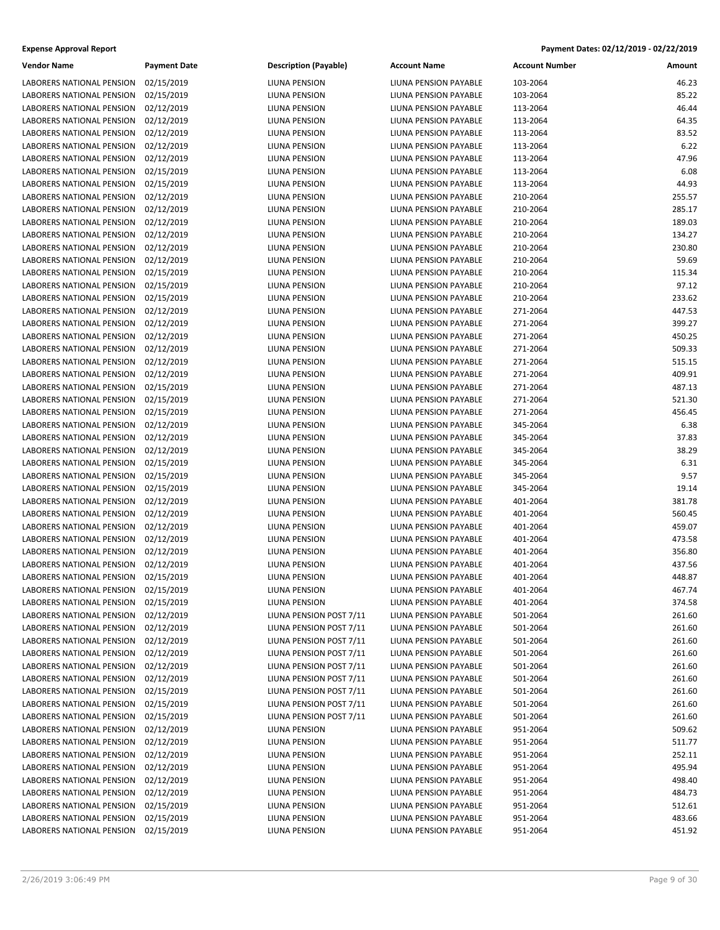| <b>Vendor Name</b>               | <b>Payment Date</b> | <b>Description (Payable)</b> | Ac  |
|----------------------------------|---------------------|------------------------------|-----|
| LABORERS NATIONAL PENSION        | 02/15/2019          | LIUNA PENSION                | LIU |
| LABORERS NATIONAL PENSION        | 02/15/2019          | <b>LIUNA PENSION</b>         | LIU |
| LABORERS NATIONAL PENSION        | 02/12/2019          | LIUNA PENSION                | LIU |
| <b>LABORERS NATIONAL PENSION</b> | 02/12/2019          | LIUNA PENSION                | LIU |
| LABORERS NATIONAL PENSION        | 02/12/2019          | LIUNA PENSION                | LIU |
| LABORERS NATIONAL PENSION        | 02/12/2019          | LIUNA PENSION                | LIU |
| LABORERS NATIONAL PENSION        | 02/12/2019          | LIUNA PENSION                | LIU |
| <b>LABORERS NATIONAL PENSION</b> | 02/15/2019          | LIUNA PENSION                | LIU |
| <b>LABORERS NATIONAL PENSION</b> | 02/15/2019          | <b>LIUNA PENSION</b>         | LIU |
| <b>LABORERS NATIONAL PENSION</b> | 02/12/2019          | LIUNA PENSION                | LIU |
| LABORERS NATIONAL PENSION        | 02/12/2019          | LIUNA PENSION                | LIU |
| LABORERS NATIONAL PENSION        | 02/12/2019          | LIUNA PENSION                | LIU |
| LABORERS NATIONAL PENSION        | 02/12/2019          | LIUNA PENSION                | LIU |
| LABORERS NATIONAL PENSION        | 02/12/2019          | LIUNA PENSION                | LIU |
| LABORERS NATIONAL PENSION        | 02/12/2019          | LIUNA PENSION                | LIU |
| LABORERS NATIONAL PENSION        | 02/15/2019          | LIUNA PENSION                | LIU |
| <b>LABORERS NATIONAL PENSION</b> | 02/15/2019          | LIUNA PENSION                | LIU |
| <b>LABORERS NATIONAL PENSION</b> | 02/15/2019          | LIUNA PENSION                | LIU |
| LABORERS NATIONAL PENSION        | 02/12/2019          | <b>LIUNA PENSION</b>         | LIU |
| LABORERS NATIONAL PENSION        | 02/12/2019          | LIUNA PENSION                | LIU |
| LABORERS NATIONAL PENSION        | 02/12/2019          | LIUNA PENSION                | LIU |
| LABORERS NATIONAL PENSION        | 02/12/2019          | LIUNA PENSION                | LIU |
| LABORERS NATIONAL PENSION        | 02/12/2019          | LIUNA PENSION                | LIU |
| LABORERS NATIONAL PENSION        | 02/12/2019          | LIUNA PENSION                | LIU |
| LABORERS NATIONAL PENSION        | 02/15/2019          | LIUNA PENSION                | LIU |
| LABORERS NATIONAL PENSION        | 02/15/2019          | LIUNA PENSION                | LIU |
| LABORERS NATIONAL PENSION        | 02/15/2019          | LIUNA PENSION                | LIU |
| LABORERS NATIONAL PENSION        | 02/12/2019          | LIUNA PENSION                | LIU |
| LABORERS NATIONAL PENSION        | 02/12/2019          | LIUNA PENSION                | LIU |
| LABORERS NATIONAL PENSION        | 02/12/2019          | LIUNA PENSION                | LIU |
| LABORERS NATIONAL PENSION        | 02/15/2019          | LIUNA PENSION                | LIU |
| LABORERS NATIONAL PENSION        | 02/15/2019          | LIUNA PENSION                | LIU |
| LABORERS NATIONAL PENSION        | 02/15/2019          | LIUNA PENSION                | LIU |
| LABORERS NATIONAL PENSION        | 02/12/2019          | LIUNA PENSION                | LIU |
| LABORERS NATIONAL PENSION        | 02/12/2019          | LIUNA PENSION                | LIU |
| LABORERS NATIONAL PENSION        | 02/12/2019          | LIUNA PENSION                | LIU |
| LABORERS NATIONAL PENSION        | 02/12/2019          | LIUNA PENSION                | LIU |
| LABORERS NATIONAL PENSION        | 02/12/2019          | LIUNA PENSION                | LIU |
| LABORERS NATIONAL PENSION        | 02/12/2019          | LIUNA PENSION                | LIU |
| LABORERS NATIONAL PENSION        | 02/15/2019          | LIUNA PENSION                | LIU |
| LABORERS NATIONAL PENSION        | 02/15/2019          | LIUNA PENSION                | LIU |
| LABORERS NATIONAL PENSION        | 02/15/2019          | LIUNA PENSION                | LIU |
| LABORERS NATIONAL PENSION        | 02/12/2019          | LIUNA PENSION POST 7/11      | LIU |
| LABORERS NATIONAL PENSION        | 02/12/2019          | LIUNA PENSION POST 7/11      | LIU |
| LABORERS NATIONAL PENSION        | 02/12/2019          | LIUNA PENSION POST 7/11      | LIU |
| LABORERS NATIONAL PENSION        | 02/12/2019          | LIUNA PENSION POST 7/11      | LIU |
| LABORERS NATIONAL PENSION        | 02/12/2019          | LIUNA PENSION POST 7/11      | LIU |
| LABORERS NATIONAL PENSION        | 02/12/2019          | LIUNA PENSION POST 7/11      | LIU |
| LABORERS NATIONAL PENSION        | 02/15/2019          | LIUNA PENSION POST 7/11      | LIU |
| LABORERS NATIONAL PENSION        | 02/15/2019          | LIUNA PENSION POST 7/11      | LIU |
| LABORERS NATIONAL PENSION        | 02/15/2019          | LIUNA PENSION POST 7/11      | LIU |
| LABORERS NATIONAL PENSION        | 02/12/2019          | LIUNA PENSION                | LIU |
| LABORERS NATIONAL PENSION        | 02/12/2019          | LIUNA PENSION                | LIU |
| LABORERS NATIONAL PENSION        | 02/12/2019          | LIUNA PENSION                | LIU |
| LABORERS NATIONAL PENSION        | 02/12/2019          | LIUNA PENSION                | LIU |
| LABORERS NATIONAL PENSION        | 02/12/2019          | LIUNA PENSION                | LIU |
| LABORERS NATIONAL PENSION        | 02/12/2019          | LIUNA PENSION                | LIU |
| LABORERS NATIONAL PENSION        | 02/15/2019          | LIUNA PENSION                | LIU |
| LABORERS NATIONAL PENSION        | 02/15/2019          | LIUNA PENSION                | LIU |
| LABORERS NATIONAL PENSION        | 02/15/2019          | LIUNA PENSION                | LIU |

| IUNA PENSION.                              |  |  |  |  |
|--------------------------------------------|--|--|--|--|
| IUNA PENSION.                              |  |  |  |  |
| IUNA PENSION.                              |  |  |  |  |
| <b>IUNA PENSION</b>                        |  |  |  |  |
| <b>IUNA PENSION</b>                        |  |  |  |  |
| <b>IUNA PENSION</b>                        |  |  |  |  |
| IUNA PENSION.                              |  |  |  |  |
| IUNA PENSION.                              |  |  |  |  |
| <b>IUNA PENSION</b>                        |  |  |  |  |
| <b>IUNA PENSION</b>                        |  |  |  |  |
| <b>IUNA PENSION</b>                        |  |  |  |  |
| IUNA PENSION.                              |  |  |  |  |
| IUNA PENSION.                              |  |  |  |  |
| <b>IUNA PENSION</b>                        |  |  |  |  |
| <b>IUNA PENSION</b>                        |  |  |  |  |
| <b>IUNA PENSION</b>                        |  |  |  |  |
| IUNA PENSION.                              |  |  |  |  |
| IUNA PENSION.                              |  |  |  |  |
| <b>IUNA PENSION</b>                        |  |  |  |  |
| <b>IUNA PENSION</b>                        |  |  |  |  |
| <b>IUNA PENSION</b>                        |  |  |  |  |
|                                            |  |  |  |  |
| IUNA PENSION.                              |  |  |  |  |
| IUNA PENSION.                              |  |  |  |  |
| <b>IUNA PENSION</b><br><b>IUNA PENSION</b> |  |  |  |  |
|                                            |  |  |  |  |
| <b>IUNA PENSION</b>                        |  |  |  |  |
| IUNA PENSION.                              |  |  |  |  |
| IUNA PENSION.                              |  |  |  |  |
| <b>IUNA PENSION</b>                        |  |  |  |  |
| <b>IUNA PENSION</b>                        |  |  |  |  |
| <b>IUNA PENSION</b>                        |  |  |  |  |
| IUNA PENSION.                              |  |  |  |  |
| IUNA PENSION.                              |  |  |  |  |
| <b>IUNA PENSION</b>                        |  |  |  |  |
| <b>IUNA PENSION</b>                        |  |  |  |  |
| <b>IUNA PENSION</b>                        |  |  |  |  |
| <b>IUNA PENSION</b>                        |  |  |  |  |
| <b>JUNA PENSION</b>                        |  |  |  |  |
| <b>IUNA PENSION</b>                        |  |  |  |  |
| <b>IUNA PENSION</b>                        |  |  |  |  |
| <b>IUNA PENSION</b>                        |  |  |  |  |
| IUNA PENSION POST 7/11.                    |  |  |  |  |
| IUNA PENSION POST 7/11                     |  |  |  |  |
| IUNA PENSION POST 7/11                     |  |  |  |  |
| IUNA PENSION POST 7/11                     |  |  |  |  |
| IUNA PENSION POST 7/11                     |  |  |  |  |
| IUNA PENSION POST 7/11                     |  |  |  |  |
| IUNA PENSION POST 7/11                     |  |  |  |  |
| IUNA PENSION POST 7/11                     |  |  |  |  |
| IUNA PENSION POST 7/11                     |  |  |  |  |
| <b>IUNA PENSION</b>                        |  |  |  |  |
| <b>IUNA PENSION</b>                        |  |  |  |  |
| <b>IUNA PENSION</b>                        |  |  |  |  |
| <b>IUNA PENSION</b>                        |  |  |  |  |
| <b>IUNA PENSION</b>                        |  |  |  |  |
| <b>IUNA PENSION</b>                        |  |  |  |  |
| <b>IUNA PENSION</b>                        |  |  |  |  |
| <b>IUNA PENSION</b>                        |  |  |  |  |
| <b>IUNA PENSION</b>                        |  |  |  |  |
|                                            |  |  |  |  |

| Vendor Name               | <b>Payment Date</b> | <b>Description (Payable)</b> | <b>Account Name</b>   | Account Number | Amount |
|---------------------------|---------------------|------------------------------|-----------------------|----------------|--------|
| LABORERS NATIONAL PENSION | 02/15/2019          | LIUNA PENSION                | LIUNA PENSION PAYABLE | 103-2064       | 46.23  |
| LABORERS NATIONAL PENSION | 02/15/2019          | LIUNA PENSION                | LIUNA PENSION PAYABLE | 103-2064       | 85.22  |
| LABORERS NATIONAL PENSION | 02/12/2019          | LIUNA PENSION                | LIUNA PENSION PAYABLE | 113-2064       | 46.44  |
| LABORERS NATIONAL PENSION | 02/12/2019          | LIUNA PENSION                | LIUNA PENSION PAYABLE | 113-2064       | 64.35  |
| LABORERS NATIONAL PENSION | 02/12/2019          | LIUNA PENSION                | LIUNA PENSION PAYABLE | 113-2064       | 83.52  |
| LABORERS NATIONAL PENSION | 02/12/2019          | LIUNA PENSION                | LIUNA PENSION PAYABLE | 113-2064       | 6.22   |
| LABORERS NATIONAL PENSION | 02/12/2019          | LIUNA PENSION                | LIUNA PENSION PAYABLE | 113-2064       | 47.96  |
| LABORERS NATIONAL PENSION | 02/15/2019          | LIUNA PENSION                | LIUNA PENSION PAYABLE | 113-2064       | 6.08   |
| LABORERS NATIONAL PENSION | 02/15/2019          | LIUNA PENSION                | LIUNA PENSION PAYABLE | 113-2064       | 44.93  |
| LABORERS NATIONAL PENSION | 02/12/2019          | LIUNA PENSION                | LIUNA PENSION PAYABLE | 210-2064       | 255.57 |
| LABORERS NATIONAL PENSION | 02/12/2019          | LIUNA PENSION                | LIUNA PENSION PAYABLE | 210-2064       | 285.17 |
| LABORERS NATIONAL PENSION | 02/12/2019          | LIUNA PENSION                | LIUNA PENSION PAYABLE | 210-2064       | 189.03 |
| LABORERS NATIONAL PENSION | 02/12/2019          | LIUNA PENSION                | LIUNA PENSION PAYABLE | 210-2064       | 134.27 |
| LABORERS NATIONAL PENSION | 02/12/2019          | LIUNA PENSION                | LIUNA PENSION PAYABLE | 210-2064       | 230.80 |
| LABORERS NATIONAL PENSION | 02/12/2019          | LIUNA PENSION                | LIUNA PENSION PAYABLE | 210-2064       | 59.69  |
| LABORERS NATIONAL PENSION | 02/15/2019          | LIUNA PENSION                | LIUNA PENSION PAYABLE | 210-2064       | 115.34 |
| LABORERS NATIONAL PENSION | 02/15/2019          | LIUNA PENSION                | LIUNA PENSION PAYABLE | 210-2064       | 97.12  |
| LABORERS NATIONAL PENSION | 02/15/2019          | LIUNA PENSION                | LIUNA PENSION PAYABLE | 210-2064       | 233.62 |
| LABORERS NATIONAL PENSION | 02/12/2019          | LIUNA PENSION                | LIUNA PENSION PAYABLE | 271-2064       | 447.53 |
| LABORERS NATIONAL PENSION | 02/12/2019          | LIUNA PENSION                | LIUNA PENSION PAYABLE | 271-2064       | 399.27 |
| LABORERS NATIONAL PENSION | 02/12/2019          | LIUNA PENSION                | LIUNA PENSION PAYABLE | 271-2064       | 450.25 |
| LABORERS NATIONAL PENSION | 02/12/2019          | LIUNA PENSION                | LIUNA PENSION PAYABLE | 271-2064       | 509.33 |
| LABORERS NATIONAL PENSION | 02/12/2019          | LIUNA PENSION                | LIUNA PENSION PAYABLE | 271-2064       | 515.15 |
| LABORERS NATIONAL PENSION | 02/12/2019          | LIUNA PENSION                | LIUNA PENSION PAYABLE | 271-2064       | 409.91 |
| LABORERS NATIONAL PENSION | 02/15/2019          | LIUNA PENSION                | LIUNA PENSION PAYABLE | 271-2064       | 487.13 |
| LABORERS NATIONAL PENSION | 02/15/2019          | LIUNA PENSION                | LIUNA PENSION PAYABLE | 271-2064       | 521.30 |
| LABORERS NATIONAL PENSION | 02/15/2019          | LIUNA PENSION                | LIUNA PENSION PAYABLE | 271-2064       | 456.45 |
| LABORERS NATIONAL PENSION | 02/12/2019          | LIUNA PENSION                | LIUNA PENSION PAYABLE | 345-2064       | 6.38   |
| LABORERS NATIONAL PENSION | 02/12/2019          | LIUNA PENSION                | LIUNA PENSION PAYABLE | 345-2064       | 37.83  |
| LABORERS NATIONAL PENSION | 02/12/2019          | LIUNA PENSION                | LIUNA PENSION PAYABLE | 345-2064       | 38.29  |
| LABORERS NATIONAL PENSION | 02/15/2019          | LIUNA PENSION                | LIUNA PENSION PAYABLE | 345-2064       | 6.31   |
| LABORERS NATIONAL PENSION | 02/15/2019          | LIUNA PENSION                | LIUNA PENSION PAYABLE | 345-2064       | 9.57   |
| LABORERS NATIONAL PENSION | 02/15/2019          | LIUNA PENSION                | LIUNA PENSION PAYABLE | 345-2064       | 19.14  |
| LABORERS NATIONAL PENSION | 02/12/2019          | LIUNA PENSION                | LIUNA PENSION PAYABLE | 401-2064       | 381.78 |
| LABORERS NATIONAL PENSION | 02/12/2019          | LIUNA PENSION                | LIUNA PENSION PAYABLE | 401-2064       | 560.45 |
| LABORERS NATIONAL PENSION | 02/12/2019          | LIUNA PENSION                | LIUNA PENSION PAYABLE | 401-2064       | 459.07 |
| LABORERS NATIONAL PENSION | 02/12/2019          | LIUNA PENSION                | LIUNA PENSION PAYABLE | 401-2064       | 473.58 |
| LABORERS NATIONAL PENSION | 02/12/2019          | LIUNA PENSION                | LIUNA PENSION PAYABLE | 401-2064       | 356.80 |
| LABORERS NATIONAL PENSION | 02/12/2019          | LIUNA PENSION                | LIUNA PENSION PAYABLE | 401-2064       | 437.56 |
| LABORERS NATIONAL PENSION | 02/15/2019          | LIUNA PENSION                | LIUNA PENSION PAYABLE | 401-2064       | 448.87 |
| LABORERS NATIONAL PENSION | 02/15/2019          | LIUNA PENSION                | LIUNA PENSION PAYABLE | 401-2064       | 467.74 |
| LABORERS NATIONAL PENSION | 02/15/2019          | LIUNA PENSION                | LIUNA PENSION PAYABLE | 401-2064       | 374.58 |
| LABORERS NATIONAL PENSION | 02/12/2019          | LIUNA PENSION POST 7/11      | LIUNA PENSION PAYABLE | 501-2064       | 261.60 |
| LABORERS NATIONAL PENSION | 02/12/2019          | LIUNA PENSION POST 7/11      | LIUNA PENSION PAYABLE | 501-2064       | 261.60 |
| LABORERS NATIONAL PENSION | 02/12/2019          | LIUNA PENSION POST 7/11      | LIUNA PENSION PAYABLE | 501-2064       | 261.60 |
| LABORERS NATIONAL PENSION | 02/12/2019          | LIUNA PENSION POST 7/11      | LIUNA PENSION PAYABLE | 501-2064       | 261.60 |
| LABORERS NATIONAL PENSION | 02/12/2019          | LIUNA PENSION POST 7/11      | LIUNA PENSION PAYABLE | 501-2064       | 261.60 |
| LABORERS NATIONAL PENSION | 02/12/2019          | LIUNA PENSION POST 7/11      | LIUNA PENSION PAYABLE | 501-2064       | 261.60 |
| LABORERS NATIONAL PENSION | 02/15/2019          | LIUNA PENSION POST 7/11      | LIUNA PENSION PAYABLE | 501-2064       | 261.60 |
| LABORERS NATIONAL PENSION | 02/15/2019          | LIUNA PENSION POST 7/11      | LIUNA PENSION PAYABLE | 501-2064       | 261.60 |
| LABORERS NATIONAL PENSION | 02/15/2019          | LIUNA PENSION POST 7/11      | LIUNA PENSION PAYABLE | 501-2064       | 261.60 |
| LABORERS NATIONAL PENSION | 02/12/2019          | LIUNA PENSION                | LIUNA PENSION PAYABLE | 951-2064       | 509.62 |
| LABORERS NATIONAL PENSION | 02/12/2019          | LIUNA PENSION                | LIUNA PENSION PAYABLE | 951-2064       | 511.77 |
| LABORERS NATIONAL PENSION | 02/12/2019          | LIUNA PENSION                | LIUNA PENSION PAYABLE | 951-2064       | 252.11 |
| LABORERS NATIONAL PENSION | 02/12/2019          | LIUNA PENSION                | LIUNA PENSION PAYABLE | 951-2064       | 495.94 |
| LABORERS NATIONAL PENSION | 02/12/2019          | LIUNA PENSION                | LIUNA PENSION PAYABLE | 951-2064       | 498.40 |
| LABORERS NATIONAL PENSION | 02/12/2019          | LIUNA PENSION                | LIUNA PENSION PAYABLE | 951-2064       | 484.73 |
| LABORERS NATIONAL PENSION | 02/15/2019          | LIUNA PENSION                | LIUNA PENSION PAYABLE | 951-2064       | 512.61 |
| LABORERS NATIONAL PENSION | 02/15/2019          | LIUNA PENSION                | LIUNA PENSION PAYABLE | 951-2064       | 483.66 |
| LABORERS NATIONAL PENSION | 02/15/2019          | LIUNA PENSION                | LIUNA PENSION PAYABLE | 951-2064       | 451.92 |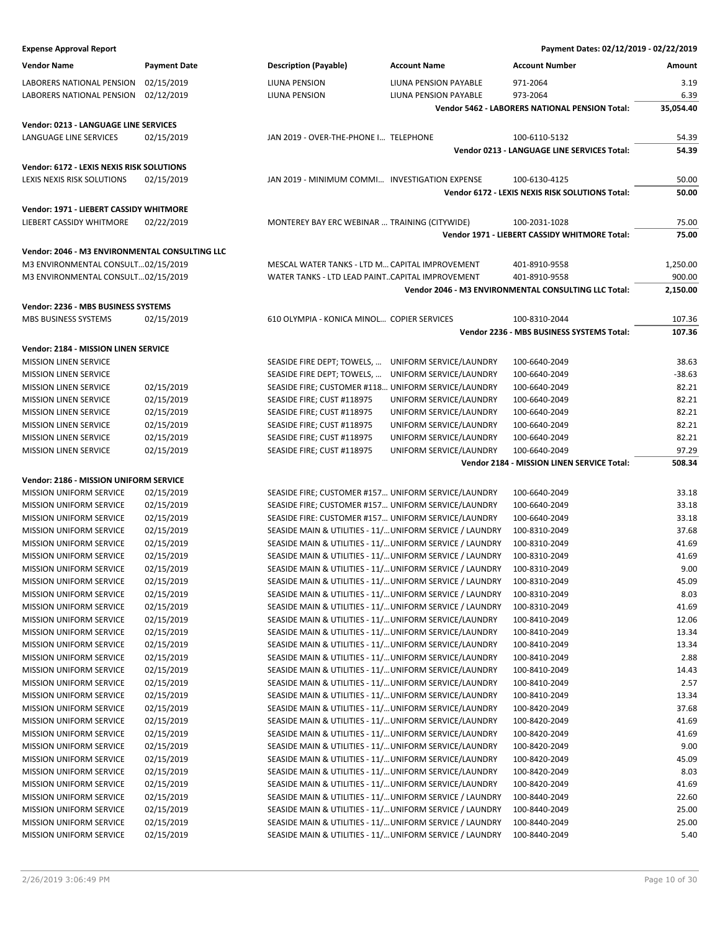| <b>Expense Approval Report</b>                            |                          |                                                 |                                                                                                                  | Payment Dates: 02/12/2019 - 02/22/2019               |                |
|-----------------------------------------------------------|--------------------------|-------------------------------------------------|------------------------------------------------------------------------------------------------------------------|------------------------------------------------------|----------------|
| <b>Vendor Name</b>                                        | <b>Payment Date</b>      | <b>Description (Payable)</b>                    | <b>Account Name</b>                                                                                              | <b>Account Number</b>                                | Amount         |
| LABORERS NATIONAL PENSION                                 | 02/15/2019               | LIUNA PENSION                                   | LIUNA PENSION PAYABLE                                                                                            | 971-2064                                             | 3.19           |
| LABORERS NATIONAL PENSION                                 | 02/12/2019               | LIUNA PENSION                                   | LIUNA PENSION PAYABLE                                                                                            | 973-2064                                             | 6.39           |
|                                                           |                          |                                                 |                                                                                                                  | Vendor 5462 - LABORERS NATIONAL PENSION Total:       | 35,054.40      |
| Vendor: 0213 - LANGUAGE LINE SERVICES                     |                          |                                                 |                                                                                                                  |                                                      |                |
| LANGUAGE LINE SERVICES                                    | 02/15/2019               | JAN 2019 - OVER-THE-PHONE I TELEPHONE           |                                                                                                                  | 100-6110-5132                                        | 54.39          |
|                                                           |                          |                                                 |                                                                                                                  | Vendor 0213 - LANGUAGE LINE SERVICES Total:          | 54.39          |
| Vendor: 6172 - LEXIS NEXIS RISK SOLUTIONS                 |                          |                                                 |                                                                                                                  |                                                      |                |
| LEXIS NEXIS RISK SOLUTIONS                                | 02/15/2019               | JAN 2019 - MINIMUM COMMI INVESTIGATION EXPENSE  |                                                                                                                  | 100-6130-4125                                        | 50.00          |
|                                                           |                          |                                                 |                                                                                                                  | Vendor 6172 - LEXIS NEXIS RISK SOLUTIONS Total:      | 50.00          |
|                                                           |                          |                                                 |                                                                                                                  |                                                      |                |
| Vendor: 1971 - LIEBERT CASSIDY WHITMORE                   |                          |                                                 |                                                                                                                  |                                                      |                |
| LIEBERT CASSIDY WHITMORE                                  | 02/22/2019               | MONTEREY BAY ERC WEBINAR  TRAINING (CITYWIDE)   |                                                                                                                  | 100-2031-1028                                        | 75.00          |
|                                                           |                          |                                                 |                                                                                                                  | Vendor 1971 - LIEBERT CASSIDY WHITMORE Total:        | 75.00          |
| Vendor: 2046 - M3 ENVIRONMENTAL CONSULTING LLC            |                          |                                                 |                                                                                                                  |                                                      |                |
| M3 ENVIRONMENTAL CONSULT02/15/2019                        |                          | MESCAL WATER TANKS - LTD M CAPITAL IMPROVEMENT  |                                                                                                                  | 401-8910-9558                                        | 1,250.00       |
| M3 ENVIRONMENTAL CONSULT02/15/2019                        |                          | WATER TANKS - LTD LEAD PAINTCAPITAL IMPROVEMENT |                                                                                                                  | 401-8910-9558                                        | 900.00         |
|                                                           |                          |                                                 |                                                                                                                  | Vendor 2046 - M3 ENVIRONMENTAL CONSULTING LLC Total: | 2,150.00       |
| Vendor: 2236 - MBS BUSINESS SYSTEMS                       |                          |                                                 |                                                                                                                  |                                                      |                |
| MBS BUSINESS SYSTEMS                                      | 02/15/2019               | 610 OLYMPIA - KONICA MINOL COPIER SERVICES      |                                                                                                                  | 100-8310-2044                                        | 107.36         |
|                                                           |                          |                                                 |                                                                                                                  | Vendor 2236 - MBS BUSINESS SYSTEMS Total:            | 107.36         |
| Vendor: 2184 - MISSION LINEN SERVICE                      |                          |                                                 |                                                                                                                  |                                                      |                |
| <b>MISSION LINEN SERVICE</b>                              |                          | SEASIDE FIRE DEPT; TOWELS,                      | UNIFORM SERVICE/LAUNDRY                                                                                          | 100-6640-2049                                        | 38.63          |
| MISSION LINEN SERVICE                                     |                          | SEASIDE FIRE DEPT; TOWELS,                      | UNIFORM SERVICE/LAUNDRY                                                                                          | 100-6640-2049                                        | $-38.63$       |
| <b>MISSION LINEN SERVICE</b>                              | 02/15/2019               |                                                 | SEASIDE FIRE; CUSTOMER #118 UNIFORM SERVICE/LAUNDRY                                                              | 100-6640-2049                                        | 82.21          |
| <b>MISSION LINEN SERVICE</b>                              | 02/15/2019               | SEASIDE FIRE; CUST #118975                      | UNIFORM SERVICE/LAUNDRY                                                                                          | 100-6640-2049                                        | 82.21          |
| <b>MISSION LINEN SERVICE</b>                              | 02/15/2019               | SEASIDE FIRE; CUST #118975                      | UNIFORM SERVICE/LAUNDRY                                                                                          | 100-6640-2049                                        | 82.21          |
| <b>MISSION LINEN SERVICE</b>                              | 02/15/2019               | SEASIDE FIRE; CUST #118975                      | UNIFORM SERVICE/LAUNDRY                                                                                          | 100-6640-2049                                        | 82.21          |
| MISSION LINEN SERVICE                                     | 02/15/2019               | SEASIDE FIRE; CUST #118975                      | UNIFORM SERVICE/LAUNDRY                                                                                          | 100-6640-2049                                        | 82.21          |
| <b>MISSION LINEN SERVICE</b>                              | 02/15/2019               | SEASIDE FIRE; CUST #118975                      | UNIFORM SERVICE/LAUNDRY                                                                                          | 100-6640-2049                                        | 97.29          |
|                                                           |                          |                                                 |                                                                                                                  | Vendor 2184 - MISSION LINEN SERVICE Total:           | 508.34         |
| Vendor: 2186 - MISSION UNIFORM SERVICE                    |                          |                                                 |                                                                                                                  |                                                      |                |
| <b>MISSION UNIFORM SERVICE</b>                            | 02/15/2019               |                                                 | SEASIDE FIRE; CUSTOMER #157 UNIFORM SERVICE/LAUNDRY                                                              | 100-6640-2049                                        | 33.18          |
| MISSION UNIFORM SERVICE                                   | 02/15/2019               |                                                 | SEASIDE FIRE; CUSTOMER #157 UNIFORM SERVICE/LAUNDRY                                                              | 100-6640-2049                                        | 33.18          |
| <b>MISSION UNIFORM SERVICE</b>                            | 02/15/2019               |                                                 | SEASIDE FIRE: CUSTOMER #157 UNIFORM SERVICE/LAUNDRY                                                              | 100-6640-2049                                        | 33.18          |
| MISSION UNIFORM SERVICE                                   | 02/15/2019               |                                                 | SEASIDE MAIN & UTILITIES - 11/ UNIFORM SERVICE / LAUNDRY                                                         | 100-8310-2049                                        | 37.68          |
| MISSION UNIFORM SERVICE                                   | 02/15/2019               |                                                 | SEASIDE MAIN & UTILITIES - 11/ UNIFORM SERVICE / LAUNDRY                                                         | 100-8310-2049                                        | 41.69          |
| <b>MISSION UNIFORM SERVICE</b>                            | 02/15/2019               |                                                 | SEASIDE MAIN & UTILITIES - 11/ UNIFORM SERVICE / LAUNDRY                                                         | 100-8310-2049                                        | 41.69          |
| MISSION UNIFORM SERVICE                                   | 02/15/2019               |                                                 | SEASIDE MAIN & UTILITIES - 11/ UNIFORM SERVICE / LAUNDRY                                                         | 100-8310-2049                                        | 9.00           |
| <b>MISSION UNIFORM SERVICE</b>                            | 02/15/2019               |                                                 | SEASIDE MAIN & UTILITIES - 11/ UNIFORM SERVICE / LAUNDRY                                                         | 100-8310-2049                                        | 45.09          |
| <b>MISSION UNIFORM SERVICE</b>                            | 02/15/2019               |                                                 | SEASIDE MAIN & UTILITIES - 11/ UNIFORM SERVICE / LAUNDRY                                                         | 100-8310-2049                                        | 8.03           |
| MISSION UNIFORM SERVICE                                   | 02/15/2019               |                                                 | SEASIDE MAIN & UTILITIES - 11/ UNIFORM SERVICE / LAUNDRY                                                         | 100-8310-2049                                        | 41.69          |
| MISSION UNIFORM SERVICE                                   | 02/15/2019               |                                                 | SEASIDE MAIN & UTILITIES - 11/ UNIFORM SERVICE/LAUNDRY                                                           | 100-8410-2049                                        | 12.06          |
| <b>MISSION UNIFORM SERVICE</b>                            | 02/15/2019               |                                                 | SEASIDE MAIN & UTILITIES - 11/ UNIFORM SERVICE/LAUNDRY                                                           | 100-8410-2049                                        | 13.34          |
| <b>MISSION UNIFORM SERVICE</b>                            | 02/15/2019               |                                                 | SEASIDE MAIN & UTILITIES - 11/ UNIFORM SERVICE/LAUNDRY                                                           | 100-8410-2049                                        | 13.34          |
| <b>MISSION UNIFORM SERVICE</b>                            | 02/15/2019               |                                                 | SEASIDE MAIN & UTILITIES - 11/ UNIFORM SERVICE/LAUNDRY                                                           | 100-8410-2049                                        | 2.88           |
| MISSION UNIFORM SERVICE                                   | 02/15/2019               |                                                 | SEASIDE MAIN & UTILITIES - 11/ UNIFORM SERVICE/LAUNDRY                                                           | 100-8410-2049                                        | 14.43          |
| MISSION UNIFORM SERVICE                                   | 02/15/2019               |                                                 | SEASIDE MAIN & UTILITIES - 11/ UNIFORM SERVICE/LAUNDRY                                                           | 100-8410-2049                                        | 2.57           |
| MISSION UNIFORM SERVICE                                   | 02/15/2019               |                                                 | SEASIDE MAIN & UTILITIES - 11/ UNIFORM SERVICE/LAUNDRY                                                           | 100-8410-2049                                        | 13.34          |
| <b>MISSION UNIFORM SERVICE</b><br>MISSION UNIFORM SERVICE | 02/15/2019<br>02/15/2019 |                                                 | SEASIDE MAIN & UTILITIES - 11/ UNIFORM SERVICE/LAUNDRY                                                           | 100-8420-2049                                        | 37.68<br>41.69 |
| MISSION UNIFORM SERVICE                                   | 02/15/2019               |                                                 | SEASIDE MAIN & UTILITIES - 11/ UNIFORM SERVICE/LAUNDRY<br>SEASIDE MAIN & UTILITIES - 11/ UNIFORM SERVICE/LAUNDRY | 100-8420-2049<br>100-8420-2049                       | 41.69          |
| MISSION UNIFORM SERVICE                                   | 02/15/2019               |                                                 | SEASIDE MAIN & UTILITIES - 11/ UNIFORM SERVICE/LAUNDRY                                                           | 100-8420-2049                                        | 9.00           |
| <b>MISSION UNIFORM SERVICE</b>                            | 02/15/2019               |                                                 | SEASIDE MAIN & UTILITIES - 11/ UNIFORM SERVICE/LAUNDRY                                                           | 100-8420-2049                                        | 45.09          |
| <b>MISSION UNIFORM SERVICE</b>                            | 02/15/2019               |                                                 | SEASIDE MAIN & UTILITIES - 11/ UNIFORM SERVICE/LAUNDRY                                                           | 100-8420-2049                                        | 8.03           |
| <b>MISSION UNIFORM SERVICE</b>                            | 02/15/2019               |                                                 | SEASIDE MAIN & UTILITIES - 11/ UNIFORM SERVICE/LAUNDRY                                                           | 100-8420-2049                                        | 41.69          |
| MISSION UNIFORM SERVICE                                   | 02/15/2019               |                                                 | SEASIDE MAIN & UTILITIES - 11/ UNIFORM SERVICE / LAUNDRY                                                         | 100-8440-2049                                        | 22.60          |
| MISSION UNIFORM SERVICE                                   | 02/15/2019               |                                                 | SEASIDE MAIN & UTILITIES - 11/ UNIFORM SERVICE / LAUNDRY                                                         | 100-8440-2049                                        | 25.00          |

MISSION UNIFORM SERVICE 02/15/2019 SEASIDE MAIN & UTILITIES - 11/…UNIFORM SERVICE / LAUNDRY 100-8440-2049 25.00 MISSION UNIFORM SERVICE 02/15/2019 SEASIDE MAIN & UTILITIES - 11/... UNIFORM SERVICE / LAUNDRY 100-8440-2049 5.40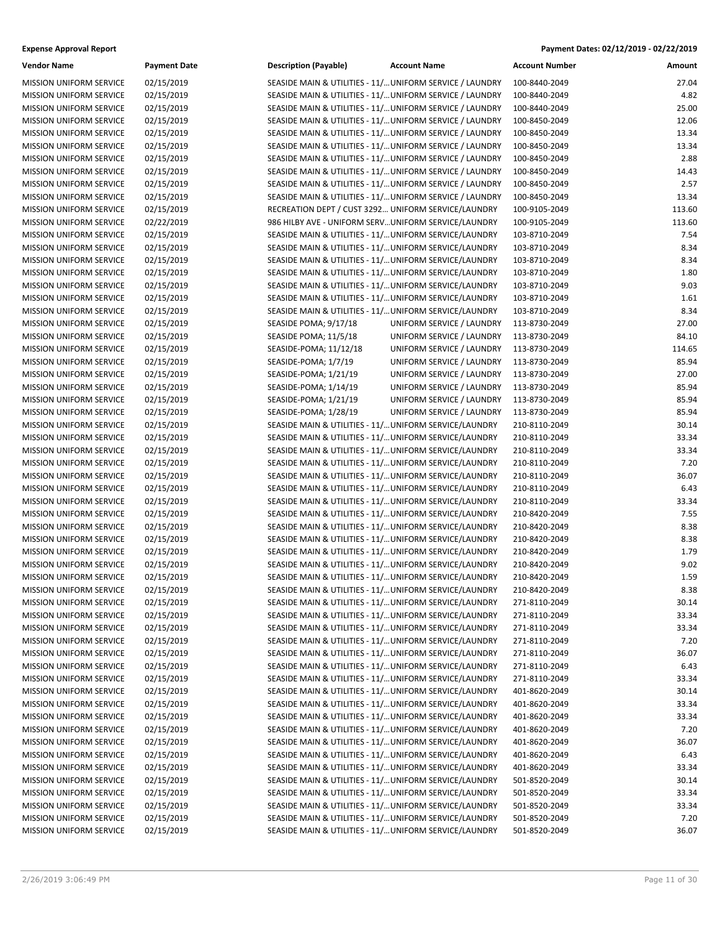| <b>Vendor Name</b>                                               | <b>Payment Date</b> | <b>Description (Payable)</b>                             | <b>Account Name</b>       | Account Number | Amount |
|------------------------------------------------------------------|---------------------|----------------------------------------------------------|---------------------------|----------------|--------|
| <b>MISSION UNIFORM SERVICE</b>                                   | 02/15/2019          | SEASIDE MAIN & UTILITIES - 11/ UNIFORM SERVICE / LAUNDRY |                           | 100-8440-2049  | 27.04  |
| MISSION UNIFORM SERVICE                                          | 02/15/2019          | SEASIDE MAIN & UTILITIES - 11/ UNIFORM SERVICE / LAUNDRY |                           | 100-8440-2049  | 4.82   |
| MISSION UNIFORM SERVICE                                          | 02/15/2019          | SEASIDE MAIN & UTILITIES - 11/ UNIFORM SERVICE / LAUNDRY |                           | 100-8440-2049  | 25.00  |
| MISSION UNIFORM SERVICE                                          | 02/15/2019          | SEASIDE MAIN & UTILITIES - 11/ UNIFORM SERVICE / LAUNDRY |                           | 100-8450-2049  | 12.06  |
| MISSION UNIFORM SERVICE                                          | 02/15/2019          | SEASIDE MAIN & UTILITIES - 11/ UNIFORM SERVICE / LAUNDRY |                           | 100-8450-2049  | 13.34  |
| <b>MISSION UNIFORM SERVICE</b>                                   | 02/15/2019          | SEASIDE MAIN & UTILITIES - 11/ UNIFORM SERVICE / LAUNDRY |                           | 100-8450-2049  | 13.34  |
| MISSION UNIFORM SERVICE                                          | 02/15/2019          | SEASIDE MAIN & UTILITIES - 11/ UNIFORM SERVICE / LAUNDRY |                           | 100-8450-2049  | 2.88   |
| MISSION UNIFORM SERVICE                                          | 02/15/2019          | SEASIDE MAIN & UTILITIES - 11/ UNIFORM SERVICE / LAUNDRY |                           | 100-8450-2049  | 14.43  |
| MISSION UNIFORM SERVICE                                          | 02/15/2019          | SEASIDE MAIN & UTILITIES - 11/ UNIFORM SERVICE / LAUNDRY |                           | 100-8450-2049  | 2.57   |
| MISSION UNIFORM SERVICE                                          | 02/15/2019          | SEASIDE MAIN & UTILITIES - 11/ UNIFORM SERVICE / LAUNDRY |                           | 100-8450-2049  | 13.34  |
| <b>MISSION UNIFORM SERVICE</b>                                   | 02/15/2019          | RECREATION DEPT / CUST 3292 UNIFORM SERVICE/LAUNDRY      |                           | 100-9105-2049  | 113.60 |
| MISSION UNIFORM SERVICE                                          | 02/22/2019          | 986 HILBY AVE - UNIFORM SERV UNIFORM SERVICE/LAUNDRY     |                           | 100-9105-2049  | 113.60 |
| MISSION UNIFORM SERVICE                                          | 02/15/2019          | SEASIDE MAIN & UTILITIES - 11/ UNIFORM SERVICE/LAUNDRY   |                           | 103-8710-2049  | 7.54   |
| MISSION UNIFORM SERVICE                                          | 02/15/2019          | SEASIDE MAIN & UTILITIES - 11/ UNIFORM SERVICE/LAUNDRY   |                           | 103-8710-2049  | 8.34   |
| <b>MISSION UNIFORM SERVICE</b>                                   | 02/15/2019          | SEASIDE MAIN & UTILITIES - 11/ UNIFORM SERVICE/LAUNDRY   |                           | 103-8710-2049  | 8.34   |
| MISSION UNIFORM SERVICE                                          | 02/15/2019          | SEASIDE MAIN & UTILITIES - 11/ UNIFORM SERVICE/LAUNDRY   |                           | 103-8710-2049  | 1.80   |
| <b>MISSION UNIFORM SERVICE</b>                                   | 02/15/2019          | SEASIDE MAIN & UTILITIES - 11/ UNIFORM SERVICE/LAUNDRY   |                           | 103-8710-2049  | 9.03   |
| MISSION UNIFORM SERVICE                                          | 02/15/2019          | SEASIDE MAIN & UTILITIES - 11/ UNIFORM SERVICE/LAUNDRY   |                           | 103-8710-2049  | 1.61   |
|                                                                  |                     | SEASIDE MAIN & UTILITIES - 11/ UNIFORM SERVICE/LAUNDRY   |                           |                | 8.34   |
| MISSION UNIFORM SERVICE                                          | 02/15/2019          |                                                          |                           | 103-8710-2049  |        |
| <b>MISSION UNIFORM SERVICE</b><br><b>MISSION UNIFORM SERVICE</b> | 02/15/2019          | SEASIDE POMA; 9/17/18                                    | UNIFORM SERVICE / LAUNDRY | 113-8730-2049  | 27.00  |
|                                                                  | 02/15/2019          | SEASIDE POMA; 11/5/18                                    | UNIFORM SERVICE / LAUNDRY | 113-8730-2049  | 84.10  |
| MISSION UNIFORM SERVICE                                          | 02/15/2019          | SEASIDE-POMA; 11/12/18                                   | UNIFORM SERVICE / LAUNDRY | 113-8730-2049  | 114.65 |
| MISSION UNIFORM SERVICE                                          | 02/15/2019          | SEASIDE-POMA; 1/7/19                                     | UNIFORM SERVICE / LAUNDRY | 113-8730-2049  | 85.94  |
| <b>MISSION UNIFORM SERVICE</b>                                   | 02/15/2019          | SEASIDE-POMA; 1/21/19                                    | UNIFORM SERVICE / LAUNDRY | 113-8730-2049  | 27.00  |
| <b>MISSION UNIFORM SERVICE</b>                                   | 02/15/2019          | SEASIDE-POMA; 1/14/19                                    | UNIFORM SERVICE / LAUNDRY | 113-8730-2049  | 85.94  |
| <b>MISSION UNIFORM SERVICE</b>                                   | 02/15/2019          | SEASIDE-POMA; 1/21/19                                    | UNIFORM SERVICE / LAUNDRY | 113-8730-2049  | 85.94  |
| MISSION UNIFORM SERVICE                                          | 02/15/2019          | SEASIDE-POMA; 1/28/19                                    | UNIFORM SERVICE / LAUNDRY | 113-8730-2049  | 85.94  |
| MISSION UNIFORM SERVICE                                          | 02/15/2019          | SEASIDE MAIN & UTILITIES - 11/ UNIFORM SERVICE/LAUNDRY   |                           | 210-8110-2049  | 30.14  |
| <b>MISSION UNIFORM SERVICE</b>                                   | 02/15/2019          | SEASIDE MAIN & UTILITIES - 11/ UNIFORM SERVICE/LAUNDRY   |                           | 210-8110-2049  | 33.34  |
| MISSION UNIFORM SERVICE                                          | 02/15/2019          | SEASIDE MAIN & UTILITIES - 11/ UNIFORM SERVICE/LAUNDRY   |                           | 210-8110-2049  | 33.34  |
| <b>MISSION UNIFORM SERVICE</b>                                   | 02/15/2019          | SEASIDE MAIN & UTILITIES - 11/ UNIFORM SERVICE/LAUNDRY   |                           | 210-8110-2049  | 7.20   |
| MISSION UNIFORM SERVICE                                          | 02/15/2019          | SEASIDE MAIN & UTILITIES - 11/ UNIFORM SERVICE/LAUNDRY   |                           | 210-8110-2049  | 36.07  |
| MISSION UNIFORM SERVICE                                          | 02/15/2019          | SEASIDE MAIN & UTILITIES - 11/ UNIFORM SERVICE/LAUNDRY   |                           | 210-8110-2049  | 6.43   |
| MISSION UNIFORM SERVICE                                          | 02/15/2019          | SEASIDE MAIN & UTILITIES - 11/ UNIFORM SERVICE/LAUNDRY   |                           | 210-8110-2049  | 33.34  |
| <b>MISSION UNIFORM SERVICE</b>                                   | 02/15/2019          | SEASIDE MAIN & UTILITIES - 11/ UNIFORM SERVICE/LAUNDRY   |                           | 210-8420-2049  | 7.55   |
| MISSION UNIFORM SERVICE                                          | 02/15/2019          | SEASIDE MAIN & UTILITIES - 11/ UNIFORM SERVICE/LAUNDRY   |                           | 210-8420-2049  | 8.38   |
| <b>MISSION UNIFORM SERVICE</b>                                   | 02/15/2019          | SEASIDE MAIN & UTILITIES - 11/ UNIFORM SERVICE/LAUNDRY   |                           | 210-8420-2049  | 8.38   |
| <b>MISSION UNIFORM SERVICE</b>                                   | 02/15/2019          | SEASIDE MAIN & UTILITIES - 11/ UNIFORM SERVICE/LAUNDRY   |                           | 210-8420-2049  | 1.79   |
| MISSION UNIFORM SERVICE                                          | 02/15/2019          | SEASIDE MAIN & UTILITIES - 11/ UNIFORM SERVICE/LAUNDRY   |                           | 210-8420-2049  | 9.02   |
| <b>MISSION UNIFORM SERVICE</b>                                   | 02/15/2019          | SEASIDE MAIN & UTILITIES - 11/ UNIFORM SERVICE/LAUNDRY   |                           | 210-8420-2049  | 1.59   |
| MISSION UNIFORM SERVICE                                          | 02/15/2019          | SEASIDE MAIN & UTILITIES - 11/ UNIFORM SERVICE/LAUNDRY   |                           | 210-8420-2049  | 8.38   |
| <b>MISSION UNIFORM SERVICE</b>                                   | 02/15/2019          | SEASIDE MAIN & UTILITIES - 11/ UNIFORM SERVICE/LAUNDRY   |                           | 271-8110-2049  | 30.14  |
| MISSION UNIFORM SERVICE                                          | 02/15/2019          | SEASIDE MAIN & UTILITIES - 11/ UNIFORM SERVICE/LAUNDRY   |                           | 271-8110-2049  | 33.34  |
| MISSION UNIFORM SERVICE                                          | 02/15/2019          | SEASIDE MAIN & UTILITIES - 11/ UNIFORM SERVICE/LAUNDRY   |                           | 271-8110-2049  | 33.34  |
| MISSION UNIFORM SERVICE                                          | 02/15/2019          | SEASIDE MAIN & UTILITIES - 11/ UNIFORM SERVICE/LAUNDRY   |                           | 271-8110-2049  | 7.20   |
| <b>MISSION UNIFORM SERVICE</b>                                   | 02/15/2019          | SEASIDE MAIN & UTILITIES - 11/ UNIFORM SERVICE/LAUNDRY   |                           | 271-8110-2049  | 36.07  |
| MISSION UNIFORM SERVICE                                          | 02/15/2019          | SEASIDE MAIN & UTILITIES - 11/ UNIFORM SERVICE/LAUNDRY   |                           | 271-8110-2049  | 6.43   |
| MISSION UNIFORM SERVICE                                          | 02/15/2019          | SEASIDE MAIN & UTILITIES - 11/ UNIFORM SERVICE/LAUNDRY   |                           | 271-8110-2049  | 33.34  |
| MISSION UNIFORM SERVICE                                          | 02/15/2019          | SEASIDE MAIN & UTILITIES - 11/ UNIFORM SERVICE/LAUNDRY   |                           | 401-8620-2049  | 30.14  |
| MISSION UNIFORM SERVICE                                          | 02/15/2019          | SEASIDE MAIN & UTILITIES - 11/ UNIFORM SERVICE/LAUNDRY   |                           | 401-8620-2049  | 33.34  |
| MISSION UNIFORM SERVICE                                          | 02/15/2019          | SEASIDE MAIN & UTILITIES - 11/ UNIFORM SERVICE/LAUNDRY   |                           | 401-8620-2049  | 33.34  |
| MISSION UNIFORM SERVICE                                          | 02/15/2019          | SEASIDE MAIN & UTILITIES - 11/ UNIFORM SERVICE/LAUNDRY   |                           | 401-8620-2049  | 7.20   |
| MISSION UNIFORM SERVICE                                          | 02/15/2019          | SEASIDE MAIN & UTILITIES - 11/ UNIFORM SERVICE/LAUNDRY   |                           | 401-8620-2049  | 36.07  |
| MISSION UNIFORM SERVICE                                          | 02/15/2019          | SEASIDE MAIN & UTILITIES - 11/ UNIFORM SERVICE/LAUNDRY   |                           | 401-8620-2049  | 6.43   |
| MISSION UNIFORM SERVICE                                          | 02/15/2019          | SEASIDE MAIN & UTILITIES - 11/ UNIFORM SERVICE/LAUNDRY   |                           | 401-8620-2049  | 33.34  |
| <b>MISSION UNIFORM SERVICE</b>                                   | 02/15/2019          | SEASIDE MAIN & UTILITIES - 11/ UNIFORM SERVICE/LAUNDRY   |                           | 501-8520-2049  | 30.14  |
| MISSION UNIFORM SERVICE                                          | 02/15/2019          | SEASIDE MAIN & UTILITIES - 11/ UNIFORM SERVICE/LAUNDRY   |                           | 501-8520-2049  | 33.34  |
| MISSION UNIFORM SERVICE                                          | 02/15/2019          | SEASIDE MAIN & UTILITIES - 11/ UNIFORM SERVICE/LAUNDRY   |                           | 501-8520-2049  | 33.34  |
| MISSION UNIFORM SERVICE                                          | 02/15/2019          | SEASIDE MAIN & UTILITIES - 11/ UNIFORM SERVICE/LAUNDRY   |                           | 501-8520-2049  | 7.20   |
| MISSION UNIFORM SERVICE                                          | 02/15/2019          | SEASIDE MAIN & UTILITIES - 11/ UNIFORM SERVICE/LAUNDRY   |                           | 501-8520-2049  | 36.07  |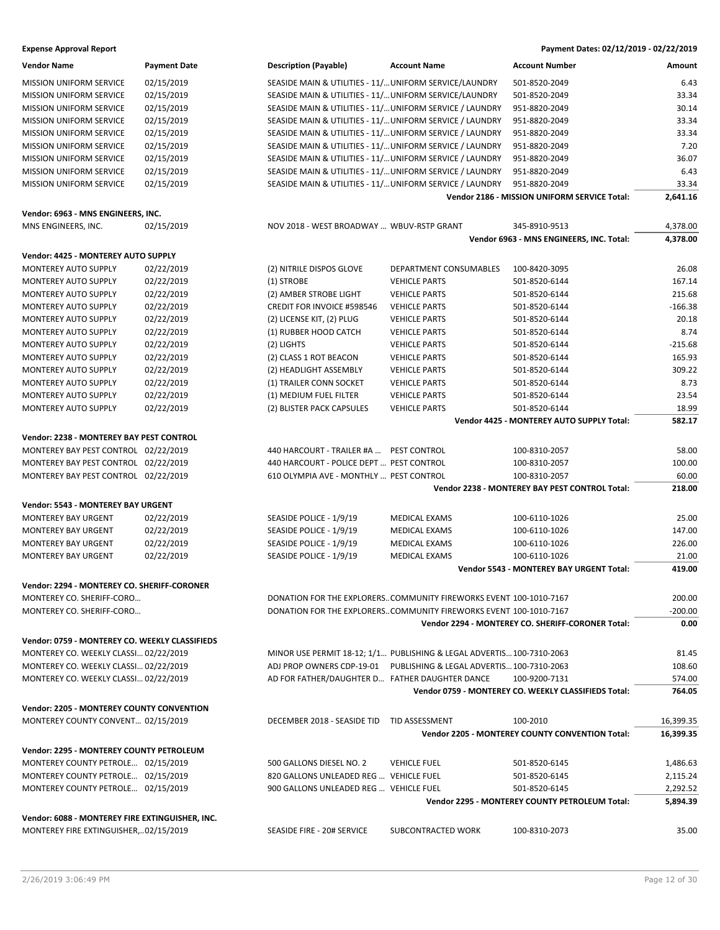| <b>Expense Approval Report</b> | Payment Dates: 02/12/2019 - 02/22/2019 |
|--------------------------------|----------------------------------------|
|--------------------------------|----------------------------------------|

| <b>Vendor Name</b>                               | <b>Payment Date</b> | <b>Description (Payable)</b>                             | <b>Account Name</b>                                                   | <b>Account Number</b>                                | Amount    |
|--------------------------------------------------|---------------------|----------------------------------------------------------|-----------------------------------------------------------------------|------------------------------------------------------|-----------|
| MISSION UNIFORM SERVICE                          | 02/15/2019          | SEASIDE MAIN & UTILITIES - 11/ UNIFORM SERVICE/LAUNDRY   |                                                                       | 501-8520-2049                                        | 6.43      |
| <b>MISSION UNIFORM SERVICE</b>                   | 02/15/2019          | SEASIDE MAIN & UTILITIES - 11/ UNIFORM SERVICE/LAUNDRY   |                                                                       | 501-8520-2049                                        | 33.34     |
| MISSION UNIFORM SERVICE                          | 02/15/2019          | SEASIDE MAIN & UTILITIES - 11/ UNIFORM SERVICE / LAUNDRY |                                                                       | 951-8820-2049                                        | 30.14     |
| <b>MISSION UNIFORM SERVICE</b>                   | 02/15/2019          | SEASIDE MAIN & UTILITIES - 11/ UNIFORM SERVICE / LAUNDRY |                                                                       | 951-8820-2049                                        | 33.34     |
| <b>MISSION UNIFORM SERVICE</b>                   | 02/15/2019          | SEASIDE MAIN & UTILITIES - 11/ UNIFORM SERVICE / LAUNDRY |                                                                       | 951-8820-2049                                        | 33.34     |
| <b>MISSION UNIFORM SERVICE</b>                   | 02/15/2019          | SEASIDE MAIN & UTILITIES - 11/ UNIFORM SERVICE / LAUNDRY |                                                                       | 951-8820-2049                                        | 7.20      |
| <b>MISSION UNIFORM SERVICE</b>                   | 02/15/2019          | SEASIDE MAIN & UTILITIES - 11/ UNIFORM SERVICE / LAUNDRY |                                                                       | 951-8820-2049                                        | 36.07     |
| MISSION UNIFORM SERVICE                          | 02/15/2019          | SEASIDE MAIN & UTILITIES - 11/ UNIFORM SERVICE / LAUNDRY |                                                                       | 951-8820-2049                                        | 6.43      |
| <b>MISSION UNIFORM SERVICE</b>                   | 02/15/2019          |                                                          | SEASIDE MAIN & UTILITIES - 11/ UNIFORM SERVICE / LAUNDRY              | 951-8820-2049                                        | 33.34     |
|                                                  |                     |                                                          |                                                                       | Vendor 2186 - MISSION UNIFORM SERVICE Total:         | 2,641.16  |
|                                                  |                     |                                                          |                                                                       |                                                      |           |
| Vendor: 6963 - MNS ENGINEERS, INC.               |                     |                                                          |                                                                       |                                                      |           |
| MNS ENGINEERS, INC.                              | 02/15/2019          | NOV 2018 - WEST BROADWAY  WBUV-RSTP GRANT                |                                                                       | 345-8910-9513                                        | 4,378.00  |
|                                                  |                     |                                                          |                                                                       | Vendor 6963 - MNS ENGINEERS, INC. Total:             | 4,378.00  |
| Vendor: 4425 - MONTEREY AUTO SUPPLY              |                     |                                                          |                                                                       |                                                      |           |
| MONTEREY AUTO SUPPLY                             | 02/22/2019          | (2) NITRILE DISPOS GLOVE                                 | DEPARTMENT CONSUMABLES                                                | 100-8420-3095                                        | 26.08     |
| MONTEREY AUTO SUPPLY                             | 02/22/2019          | (1) STROBE                                               | <b>VEHICLE PARTS</b>                                                  | 501-8520-6144                                        | 167.14    |
| MONTEREY AUTO SUPPLY                             | 02/22/2019          | (2) AMBER STROBE LIGHT                                   | <b>VEHICLE PARTS</b>                                                  | 501-8520-6144                                        | 215.68    |
| MONTEREY AUTO SUPPLY                             | 02/22/2019          | <b>CREDIT FOR INVOICE #598546</b>                        | <b>VEHICLE PARTS</b>                                                  | 501-8520-6144                                        | $-166.38$ |
| MONTEREY AUTO SUPPLY                             | 02/22/2019          | (2) LICENSE KIT, (2) PLUG                                | <b>VEHICLE PARTS</b>                                                  | 501-8520-6144                                        | 20.18     |
| MONTEREY AUTO SUPPLY                             | 02/22/2019          | (1) RUBBER HOOD CATCH                                    | <b>VEHICLE PARTS</b>                                                  | 501-8520-6144                                        | 8.74      |
| MONTEREY AUTO SUPPLY                             | 02/22/2019          | (2) LIGHTS                                               | <b>VEHICLE PARTS</b>                                                  | 501-8520-6144                                        | $-215.68$ |
| MONTEREY AUTO SUPPLY                             | 02/22/2019          | (2) CLASS 1 ROT BEACON                                   | <b>VEHICLE PARTS</b>                                                  | 501-8520-6144                                        | 165.93    |
| MONTEREY AUTO SUPPLY                             | 02/22/2019          | (2) HEADLIGHT ASSEMBLY                                   | <b>VEHICLE PARTS</b>                                                  | 501-8520-6144                                        | 309.22    |
| MONTEREY AUTO SUPPLY                             | 02/22/2019          | (1) TRAILER CONN SOCKET                                  | <b>VEHICLE PARTS</b>                                                  | 501-8520-6144                                        | 8.73      |
| MONTEREY AUTO SUPPLY                             | 02/22/2019          | (1) MEDIUM FUEL FILTER                                   | <b>VEHICLE PARTS</b>                                                  | 501-8520-6144                                        | 23.54     |
| MONTEREY AUTO SUPPLY                             | 02/22/2019          | (2) BLISTER PACK CAPSULES                                | <b>VEHICLE PARTS</b>                                                  | 501-8520-6144                                        | 18.99     |
|                                                  |                     |                                                          |                                                                       | Vendor 4425 - MONTEREY AUTO SUPPLY Total:            | 582.17    |
| Vendor: 2238 - MONTEREY BAY PEST CONTROL         |                     |                                                          |                                                                       |                                                      |           |
| MONTEREY BAY PEST CONTROL 02/22/2019             |                     | 440 HARCOURT - TRAILER #A  PEST CONTROL                  |                                                                       | 100-8310-2057                                        | 58.00     |
| MONTEREY BAY PEST CONTROL 02/22/2019             |                     | 440 HARCOURT - POLICE DEPT  PEST CONTROL                 |                                                                       | 100-8310-2057                                        | 100.00    |
| MONTEREY BAY PEST CONTROL 02/22/2019             |                     | 610 OLYMPIA AVE - MONTHLY  PEST CONTROL                  |                                                                       | 100-8310-2057                                        | 60.00     |
|                                                  |                     |                                                          |                                                                       | Vendor 2238 - MONTEREY BAY PEST CONTROL Total:       | 218.00    |
|                                                  |                     |                                                          |                                                                       |                                                      |           |
| Vendor: 5543 - MONTEREY BAY URGENT               |                     |                                                          |                                                                       |                                                      |           |
| <b>MONTEREY BAY URGENT</b>                       | 02/22/2019          | SEASIDE POLICE - 1/9/19                                  | MEDICAL EXAMS                                                         | 100-6110-1026                                        | 25.00     |
| <b>MONTEREY BAY URGENT</b>                       | 02/22/2019          | SEASIDE POLICE - 1/9/19                                  | MEDICAL EXAMS                                                         | 100-6110-1026                                        | 147.00    |
| MONTEREY BAY URGENT                              | 02/22/2019          | SEASIDE POLICE - 1/9/19                                  | MEDICAL EXAMS                                                         | 100-6110-1026                                        | 226.00    |
| <b>MONTEREY BAY URGENT</b>                       | 02/22/2019          | SEASIDE POLICE - 1/9/19                                  | MEDICAL EXAMS                                                         | 100-6110-1026                                        | 21.00     |
|                                                  |                     |                                                          |                                                                       | <b>Vendor 5543 - MONTEREY BAY URGENT Total:</b>      | 419.00    |
| Vendor: 2294 - MONTEREY CO. SHERIFF-CORONER      |                     |                                                          |                                                                       |                                                      |           |
| MONTEREY CO. SHERIFF-CORO                        |                     |                                                          | DONATION FOR THE EXPLORERSCOMMUNITY FIREWORKS EVENT 100-1010-7167     |                                                      | 200.00    |
| MONTEREY CO. SHERIFF-CORO                        |                     |                                                          | DONATION FOR THE EXPLORERSCOMMUNITY FIREWORKS EVENT 100-1010-7167     |                                                      | $-200.00$ |
|                                                  |                     |                                                          |                                                                       | Vendor 2294 - MONTEREY CO. SHERIFF-CORONER Total:    | 0.00      |
|                                                  |                     |                                                          |                                                                       |                                                      |           |
| Vendor: 0759 - MONTEREY CO. WEEKLY CLASSIFIEDS   |                     |                                                          |                                                                       |                                                      |           |
| MONTEREY CO. WEEKLY CLASSI 02/22/2019            |                     |                                                          | MINOR USE PERMIT 18-12; 1/1 PUBLISHING & LEGAL ADVERTIS 100-7310-2063 |                                                      | 81.45     |
| MONTEREY CO. WEEKLY CLASSI 02/22/2019            |                     |                                                          | ADJ PROP OWNERS CDP-19-01 PUBLISHING & LEGAL ADVERTIS 100-7310-2063   |                                                      | 108.60    |
| MONTEREY CO. WEEKLY CLASSI 02/22/2019            |                     | AD FOR FATHER/DAUGHTER D FATHER DAUGHTER DANCE           |                                                                       | 100-9200-7131                                        | 574.00    |
|                                                  |                     |                                                          |                                                                       | Vendor 0759 - MONTEREY CO. WEEKLY CLASSIFIEDS Total: | 764.05    |
| <b>Vendor: 2205 - MONTEREY COUNTY CONVENTION</b> |                     |                                                          |                                                                       |                                                      |           |
| MONTEREY COUNTY CONVENT 02/15/2019               |                     | DECEMBER 2018 - SEASIDE TID TID ASSESSMENT               |                                                                       | 100-2010                                             | 16,399.35 |
|                                                  |                     |                                                          |                                                                       | Vendor 2205 - MONTEREY COUNTY CONVENTION Total:      | 16,399.35 |
| Vendor: 2295 - MONTEREY COUNTY PETROLEUM         |                     |                                                          |                                                                       |                                                      |           |
| MONTEREY COUNTY PETROLE 02/15/2019               |                     | 500 GALLONS DIESEL NO. 2                                 | <b>VEHICLE FUEL</b>                                                   | 501-8520-6145                                        | 1,486.63  |
| MONTEREY COUNTY PETROLE 02/15/2019               |                     | 820 GALLONS UNLEADED REG  VEHICLE FUEL                   |                                                                       | 501-8520-6145                                        | 2,115.24  |
| MONTEREY COUNTY PETROLE 02/15/2019               |                     | 900 GALLONS UNLEADED REG  VEHICLE FUEL                   |                                                                       | 501-8520-6145                                        | 2,292.52  |
|                                                  |                     |                                                          |                                                                       | Vendor 2295 - MONTEREY COUNTY PETROLEUM Total:       | 5,894.39  |
|                                                  |                     |                                                          |                                                                       |                                                      |           |
| Vendor: 6088 - MONTEREY FIRE EXTINGUISHER, INC.  |                     |                                                          |                                                                       |                                                      |           |
| MONTEREY FIRE EXTINGUISHER,02/15/2019            |                     | SEASIDE FIRE - 20# SERVICE                               | SUBCONTRACTED WORK                                                    | 100-8310-2073                                        | 35.00     |
|                                                  |                     |                                                          |                                                                       |                                                      |           |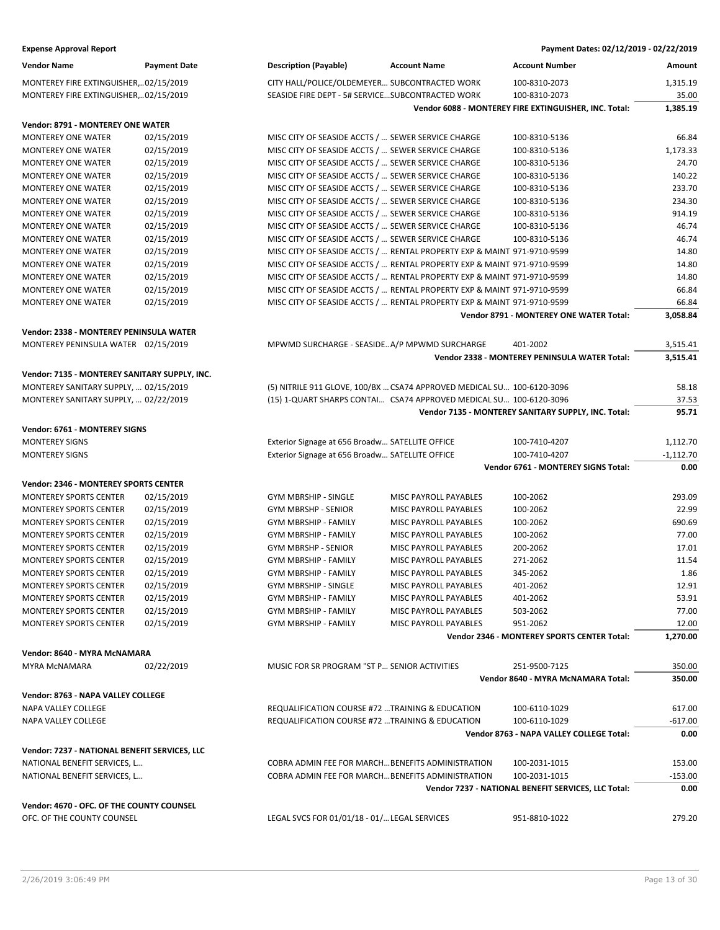| <b>Vendor Name</b>                            | <b>Payment Date</b> | <b>Description (Payable)</b>                    | <b>Account Name</b>                                                     | <b>Account Number</b>                                 | Amount           |
|-----------------------------------------------|---------------------|-------------------------------------------------|-------------------------------------------------------------------------|-------------------------------------------------------|------------------|
| MONTEREY FIRE EXTINGUISHER,02/15/2019         |                     |                                                 | CITY HALL/POLICE/OLDEMEYER SUBCONTRACTED WORK                           | 100-8310-2073                                         | 1,315.19         |
| MONTEREY FIRE EXTINGUISHER,02/15/2019         |                     |                                                 | SEASIDE FIRE DEPT - 5# SERVICESUBCONTRACTED WORK                        | 100-8310-2073                                         | 35.00            |
|                                               |                     |                                                 |                                                                         | Vendor 6088 - MONTEREY FIRE EXTINGUISHER, INC. Total: | 1,385.19         |
| Vendor: 8791 - MONTEREY ONE WATER             |                     |                                                 |                                                                         |                                                       |                  |
| MONTEREY ONE WATER                            | 02/15/2019          |                                                 | MISC CITY OF SEASIDE ACCTS /  SEWER SERVICE CHARGE                      | 100-8310-5136                                         | 66.84            |
| <b>MONTEREY ONE WATER</b>                     | 02/15/2019          |                                                 | MISC CITY OF SEASIDE ACCTS /  SEWER SERVICE CHARGE                      | 100-8310-5136                                         | 1,173.33         |
| <b>MONTEREY ONE WATER</b>                     | 02/15/2019          |                                                 | MISC CITY OF SEASIDE ACCTS /  SEWER SERVICE CHARGE                      | 100-8310-5136                                         | 24.70            |
| <b>MONTEREY ONE WATER</b>                     | 02/15/2019          |                                                 | MISC CITY OF SEASIDE ACCTS /  SEWER SERVICE CHARGE                      | 100-8310-5136                                         | 140.22           |
| <b>MONTEREY ONE WATER</b>                     | 02/15/2019          |                                                 | MISC CITY OF SEASIDE ACCTS /  SEWER SERVICE CHARGE                      | 100-8310-5136                                         | 233.70           |
| <b>MONTEREY ONE WATER</b>                     | 02/15/2019          |                                                 | MISC CITY OF SEASIDE ACCTS /  SEWER SERVICE CHARGE                      | 100-8310-5136                                         | 234.30           |
| <b>MONTEREY ONE WATER</b>                     | 02/15/2019          |                                                 | MISC CITY OF SEASIDE ACCTS /  SEWER SERVICE CHARGE                      | 100-8310-5136                                         | 914.19           |
| <b>MONTEREY ONE WATER</b>                     | 02/15/2019          |                                                 | MISC CITY OF SEASIDE ACCTS /  SEWER SERVICE CHARGE                      | 100-8310-5136                                         | 46.74            |
| <b>MONTEREY ONE WATER</b>                     | 02/15/2019          |                                                 | MISC CITY OF SEASIDE ACCTS /  SEWER SERVICE CHARGE                      | 100-8310-5136                                         | 46.74            |
| MONTEREY ONE WATER                            | 02/15/2019          |                                                 | MISC CITY OF SEASIDE ACCTS /  RENTAL PROPERTY EXP & MAINT 971-9710-9599 |                                                       | 14.80            |
| MONTEREY ONE WATER                            | 02/15/2019          |                                                 | MISC CITY OF SEASIDE ACCTS /  RENTAL PROPERTY EXP & MAINT 971-9710-9599 |                                                       | 14.80            |
| <b>MONTEREY ONE WATER</b>                     | 02/15/2019          |                                                 | MISC CITY OF SEASIDE ACCTS /  RENTAL PROPERTY EXP & MAINT 971-9710-9599 |                                                       | 14.80            |
| MONTEREY ONE WATER                            | 02/15/2019          |                                                 | MISC CITY OF SEASIDE ACCTS /  RENTAL PROPERTY EXP & MAINT 971-9710-9599 |                                                       | 66.84            |
| <b>MONTEREY ONE WATER</b>                     | 02/15/2019          |                                                 | MISC CITY OF SEASIDE ACCTS /  RENTAL PROPERTY EXP & MAINT 971-9710-9599 |                                                       | 66.84            |
|                                               |                     |                                                 |                                                                         | Vendor 8791 - MONTEREY ONE WATER Total:               | 3,058.84         |
| Vendor: 2338 - MONTEREY PENINSULA WATER       |                     |                                                 |                                                                         |                                                       |                  |
| MONTEREY PENINSULA WATER 02/15/2019           |                     |                                                 | MPWMD SURCHARGE - SEASIDE A/P MPWMD SURCHARGE                           | 401-2002                                              | 3,515.41         |
|                                               |                     |                                                 |                                                                         | Vendor 2338 - MONTEREY PENINSULA WATER Total:         | 3,515.41         |
|                                               |                     |                                                 |                                                                         |                                                       |                  |
| Vendor: 7135 - MONTEREY SANITARY SUPPLY, INC. |                     |                                                 |                                                                         |                                                       |                  |
| MONTEREY SANITARY SUPPLY,  02/15/2019         |                     |                                                 | (5) NITRILE 911 GLOVE, 100/BX  CSA74 APPROVED MEDICAL SU 100-6120-3096  |                                                       | 58.18            |
| MONTEREY SANITARY SUPPLY,  02/22/2019         |                     |                                                 | (15) 1-QUART SHARPS CONTAI CSA74 APPROVED MEDICAL SU 100-6120-3096      |                                                       | 37.53            |
|                                               |                     |                                                 |                                                                         | Vendor 7135 - MONTEREY SANITARY SUPPLY, INC. Total:   | 95.71            |
| Vendor: 6761 - MONTEREY SIGNS                 |                     |                                                 |                                                                         |                                                       |                  |
| <b>MONTEREY SIGNS</b>                         |                     | Exterior Signage at 656 Broadw SATELLITE OFFICE |                                                                         | 100-7410-4207                                         | 1,112.70         |
| <b>MONTEREY SIGNS</b>                         |                     | Exterior Signage at 656 Broadw SATELLITE OFFICE |                                                                         | 100-7410-4207                                         | $-1,112.70$      |
|                                               |                     |                                                 |                                                                         | Vendor 6761 - MONTEREY SIGNS Total:                   | 0.00             |
| Vendor: 2346 - MONTEREY SPORTS CENTER         |                     |                                                 |                                                                         |                                                       |                  |
| MONTEREY SPORTS CENTER                        | 02/15/2019          | <b>GYM MBRSHIP - SINGLE</b>                     | MISC PAYROLL PAYABLES                                                   | 100-2062                                              | 293.09           |
| <b>MONTEREY SPORTS CENTER</b>                 | 02/15/2019          | <b>GYM MBRSHP - SENIOR</b>                      | MISC PAYROLL PAYABLES                                                   | 100-2062                                              | 22.99            |
| MONTEREY SPORTS CENTER                        | 02/15/2019          | <b>GYM MBRSHIP - FAMILY</b>                     | MISC PAYROLL PAYABLES                                                   | 100-2062                                              | 690.69           |
| <b>MONTEREY SPORTS CENTER</b>                 | 02/15/2019          | GYM MBRSHIP - FAMILY                            | MISC PAYROLL PAYABLES                                                   | 100-2062                                              | 77.00            |
| <b>MONTEREY SPORTS CENTER</b>                 | 02/15/2019          | GYM MBRSHP - SENIOR                             | MISC PAYROLL PAYABLES                                                   | 200-2062                                              | 17.01            |
| <b>MONTEREY SPORTS CENTER</b>                 | 02/15/2019          | GYM MBRSHIP - FAMILY                            | MISC PAYROLL PAYABLES                                                   | 271-2062                                              | 11.54            |
| <b>MONTEREY SPORTS CENTER</b>                 | 02/15/2019          | <b>GYM MBRSHIP - FAMILY</b>                     | MISC PAYROLL PAYABLES                                                   | 345-2062                                              | 1.86             |
| <b>MONTEREY SPORTS CENTER</b>                 | 02/15/2019          | <b>GYM MBRSHIP - SINGLE</b>                     | MISC PAYROLL PAYABLES                                                   | 401-2062                                              | 12.91            |
| <b>MONTEREY SPORTS CENTER</b>                 | 02/15/2019          | <b>GYM MBRSHIP - FAMILY</b>                     | MISC PAYROLL PAYABLES                                                   | 401-2062                                              | 53.91            |
| <b>MONTEREY SPORTS CENTER</b>                 | 02/15/2019          | <b>GYM MBRSHIP - FAMILY</b>                     | MISC PAYROLL PAYABLES                                                   | 503-2062                                              | 77.00            |
| MONTEREY SPORTS CENTER                        | 02/15/2019          | <b>GYM MBRSHIP - FAMILY</b>                     | MISC PAYROLL PAYABLES                                                   | 951-2062                                              | 12.00            |
|                                               |                     |                                                 |                                                                         | <b>Vendor 2346 - MONTEREY SPORTS CENTER Total:</b>    | 1,270.00         |
|                                               |                     |                                                 |                                                                         |                                                       |                  |
| Vendor: 8640 - MYRA McNAMARA                  |                     |                                                 |                                                                         |                                                       |                  |
| MYRA MCNAMARA                                 | 02/22/2019          | MUSIC FOR SR PROGRAM "ST P SENIOR ACTIVITIES    |                                                                         | 251-9500-7125<br>Vendor 8640 - MYRA McNAMARA Total:   | 350.00<br>350.00 |
|                                               |                     |                                                 |                                                                         |                                                       |                  |
| Vendor: 8763 - NAPA VALLEY COLLEGE            |                     |                                                 |                                                                         |                                                       |                  |
| NAPA VALLEY COLLEGE                           |                     |                                                 | REQUALIFICATION COURSE #72  TRAINING & EDUCATION                        | 100-6110-1029                                         | 617.00           |
| NAPA VALLEY COLLEGE                           |                     |                                                 | REQUALIFICATION COURSE #72  TRAINING & EDUCATION                        | 100-6110-1029                                         | $-617.00$        |
|                                               |                     |                                                 |                                                                         | Vendor 8763 - NAPA VALLEY COLLEGE Total:              | 0.00             |
| Vendor: 7237 - NATIONAL BENEFIT SERVICES, LLC |                     |                                                 |                                                                         |                                                       |                  |
| NATIONAL BENEFIT SERVICES, L                  |                     |                                                 | COBRA ADMIN FEE FOR MARCH BENEFITS ADMINISTRATION                       | 100-2031-1015                                         | 153.00           |
| NATIONAL BENEFIT SERVICES, L                  |                     |                                                 | COBRA ADMIN FEE FOR MARCHBENEFITS ADMINISTRATION                        | 100-2031-1015                                         | $-153.00$        |
|                                               |                     |                                                 |                                                                         | Vendor 7237 - NATIONAL BENEFIT SERVICES, LLC Total:   | 0.00             |
| Vendor: 4670 - OFC. OF THE COUNTY COUNSEL     |                     |                                                 |                                                                         |                                                       |                  |
| OFC. OF THE COUNTY COUNSEL                    |                     | LEGAL SVCS FOR 01/01/18 - 01/ LEGAL SERVICES    |                                                                         | 951-8810-1022                                         | 279.20           |
|                                               |                     |                                                 |                                                                         |                                                       |                  |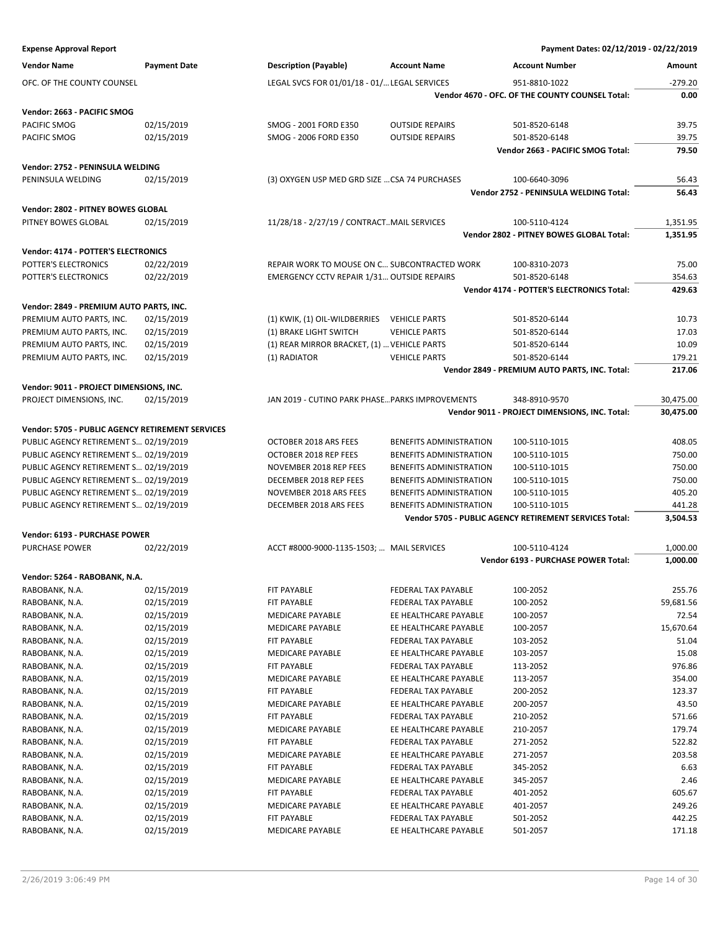| <b>Vendor Name</b>                               | <b>Payment Date</b> | <b>Description (Payable)</b>                      | <b>Account Name</b>            | Account Number                                                | Amount    |
|--------------------------------------------------|---------------------|---------------------------------------------------|--------------------------------|---------------------------------------------------------------|-----------|
| OFC. OF THE COUNTY COUNSEL                       |                     | LEGAL SVCS FOR 01/01/18 - 01/ LEGAL SERVICES      |                                | 951-8810-1022                                                 | $-279.20$ |
|                                                  |                     |                                                   |                                | Vendor 4670 - OFC. OF THE COUNTY COUNSEL Total:               | 0.00      |
|                                                  |                     |                                                   |                                |                                                               |           |
| Vendor: 2663 - PACIFIC SMOG                      |                     |                                                   |                                |                                                               |           |
| PACIFIC SMOG                                     | 02/15/2019          | SMOG - 2001 FORD E350                             | <b>OUTSIDE REPAIRS</b>         | 501-8520-6148                                                 | 39.75     |
| PACIFIC SMOG                                     | 02/15/2019          | SMOG - 2006 FORD E350                             | <b>OUTSIDE REPAIRS</b>         | 501-8520-6148                                                 | 39.75     |
|                                                  |                     |                                                   |                                | Vendor 2663 - PACIFIC SMOG Total:                             | 79.50     |
| Vendor: 2752 - PENINSULA WELDING                 |                     |                                                   |                                |                                                               |           |
| PENINSULA WELDING                                | 02/15/2019          | (3) OXYGEN USP MED GRD SIZE  CSA 74 PURCHASES     |                                | 100-6640-3096                                                 | 56.43     |
|                                                  |                     |                                                   |                                | Vendor 2752 - PENINSULA WELDING Total:                        | 56.43     |
| Vendor: 2802 - PITNEY BOWES GLOBAL               |                     |                                                   |                                |                                                               |           |
| PITNEY BOWES GLOBAL                              | 02/15/2019          | 11/28/18 - 2/27/19 / CONTRACTMAIL SERVICES        |                                | 100-5110-4124                                                 | 1,351.95  |
|                                                  |                     |                                                   |                                | Vendor 2802 - PITNEY BOWES GLOBAL Total:                      | 1,351.95  |
|                                                  |                     |                                                   |                                |                                                               |           |
| Vendor: 4174 - POTTER'S ELECTRONICS              |                     |                                                   |                                |                                                               |           |
| POTTER'S ELECTRONICS                             | 02/22/2019          | REPAIR WORK TO MOUSE ON C SUBCONTRACTED WORK      |                                | 100-8310-2073                                                 | 75.00     |
| POTTER'S ELECTRONICS                             | 02/22/2019          | <b>EMERGENCY CCTV REPAIR 1/31 OUTSIDE REPAIRS</b> |                                | 501-8520-6148                                                 | 354.63    |
|                                                  |                     |                                                   |                                | Vendor 4174 - POTTER'S ELECTRONICS Total:                     | 429.63    |
| Vendor: 2849 - PREMIUM AUTO PARTS, INC.          |                     |                                                   |                                |                                                               |           |
| PREMIUM AUTO PARTS, INC.                         | 02/15/2019          | (1) KWIK, (1) OIL-WILDBERRIES                     | <b>VEHICLE PARTS</b>           | 501-8520-6144                                                 | 10.73     |
| PREMIUM AUTO PARTS, INC.                         | 02/15/2019          | (1) BRAKE LIGHT SWITCH                            | <b>VEHICLE PARTS</b>           | 501-8520-6144                                                 | 17.03     |
| PREMIUM AUTO PARTS, INC.                         | 02/15/2019          | (1) REAR MIRROR BRACKET, (1)  VEHICLE PARTS       |                                | 501-8520-6144                                                 | 10.09     |
| PREMIUM AUTO PARTS, INC.                         | 02/15/2019          | (1) RADIATOR                                      | <b>VEHICLE PARTS</b>           | 501-8520-6144                                                 | 179.21    |
|                                                  |                     |                                                   |                                | Vendor 2849 - PREMIUM AUTO PARTS, INC. Total:                 | 217.06    |
|                                                  |                     |                                                   |                                |                                                               |           |
| Vendor: 9011 - PROJECT DIMENSIONS, INC.          |                     |                                                   |                                |                                                               |           |
| PROJECT DIMENSIONS, INC.                         | 02/15/2019          | JAN 2019 - CUTINO PARK PHASE PARKS IMPROVEMENTS   |                                | 348-8910-9570                                                 | 30,475.00 |
|                                                  |                     |                                                   |                                | Vendor 9011 - PROJECT DIMENSIONS, INC. Total:                 | 30,475.00 |
| Vendor: 5705 - PUBLIC AGENCY RETIREMENT SERVICES |                     |                                                   |                                |                                                               |           |
| PUBLIC AGENCY RETIREMENT S 02/19/2019            |                     | OCTOBER 2018 ARS FEES                             | BENEFITS ADMINISTRATION        | 100-5110-1015                                                 | 408.05    |
| PUBLIC AGENCY RETIREMENT S 02/19/2019            |                     | OCTOBER 2018 REP FEES                             | BENEFITS ADMINISTRATION        | 100-5110-1015                                                 | 750.00    |
| PUBLIC AGENCY RETIREMENT S 02/19/2019            |                     | NOVEMBER 2018 REP FEES                            | BENEFITS ADMINISTRATION        | 100-5110-1015                                                 | 750.00    |
| PUBLIC AGENCY RETIREMENT S 02/19/2019            |                     | DECEMBER 2018 REP FEES                            | <b>BENEFITS ADMINISTRATION</b> | 100-5110-1015                                                 | 750.00    |
| PUBLIC AGENCY RETIREMENT S 02/19/2019            |                     | NOVEMBER 2018 ARS FEES                            | BENEFITS ADMINISTRATION        | 100-5110-1015                                                 | 405.20    |
| PUBLIC AGENCY RETIREMENT S 02/19/2019            |                     | DECEMBER 2018 ARS FEES                            | BENEFITS ADMINISTRATION        | 100-5110-1015                                                 | 441.28    |
|                                                  |                     |                                                   |                                | <b>Vendor 5705 - PUBLIC AGENCY RETIREMENT SERVICES Total:</b> | 3,504.53  |
|                                                  |                     |                                                   |                                |                                                               |           |
| Vendor: 6193 - PURCHASE POWER                    |                     |                                                   |                                |                                                               |           |
| PURCHASE POWER                                   | 02/22/2019          | ACCT #8000-9000-1135-1503;  MAIL SERVICES         |                                | 100-5110-4124                                                 | 1,000.00  |
|                                                  |                     |                                                   |                                | Vendor 6193 - PURCHASE POWER Total:                           | 1,000.00  |
| Vendor: 5264 - RABOBANK, N.A.                    |                     |                                                   |                                |                                                               |           |
| RABOBANK, N.A.                                   | 02/15/2019          | FIT PAYABLE                                       | FEDERAL TAX PAYABLE            | 100-2052                                                      | 255.76    |
| RABOBANK, N.A.                                   | 02/15/2019          | FIT PAYABLE                                       | FEDERAL TAX PAYABLE            | 100-2052                                                      | 59,681.56 |
| RABOBANK, N.A.                                   | 02/15/2019          | MEDICARE PAYABLE                                  | EE HEALTHCARE PAYABLE          | 100-2057                                                      | 72.54     |
| RABOBANK, N.A.                                   | 02/15/2019          | MEDICARE PAYABLE                                  | EE HEALTHCARE PAYABLE          | 100-2057                                                      | 15,670.64 |
| RABOBANK, N.A.                                   | 02/15/2019          | FIT PAYABLE                                       | FEDERAL TAX PAYABLE            | 103-2052                                                      | 51.04     |
| RABOBANK, N.A.                                   | 02/15/2019          | MEDICARE PAYABLE                                  | EE HEALTHCARE PAYABLE          | 103-2057                                                      | 15.08     |
| RABOBANK, N.A.                                   | 02/15/2019          | FIT PAYABLE                                       | FEDERAL TAX PAYABLE            | 113-2052                                                      | 976.86    |
| RABOBANK, N.A.                                   | 02/15/2019          | MEDICARE PAYABLE                                  | EE HEALTHCARE PAYABLE          | 113-2057                                                      | 354.00    |
| RABOBANK, N.A.                                   | 02/15/2019          | FIT PAYABLE                                       | FEDERAL TAX PAYABLE            | 200-2052                                                      | 123.37    |
| RABOBANK, N.A.                                   | 02/15/2019          | MEDICARE PAYABLE                                  | EE HEALTHCARE PAYABLE          | 200-2057                                                      | 43.50     |
| RABOBANK, N.A.                                   | 02/15/2019          | FIT PAYABLE                                       | FEDERAL TAX PAYABLE            | 210-2052                                                      | 571.66    |
| RABOBANK, N.A.                                   | 02/15/2019          | MEDICARE PAYABLE                                  | EE HEALTHCARE PAYABLE          | 210-2057                                                      | 179.74    |
| RABOBANK, N.A.                                   | 02/15/2019          | FIT PAYABLE                                       | FEDERAL TAX PAYABLE            | 271-2052                                                      | 522.82    |
| RABOBANK, N.A.                                   | 02/15/2019          | MEDICARE PAYABLE                                  | EE HEALTHCARE PAYABLE          | 271-2057                                                      | 203.58    |
| RABOBANK, N.A.                                   | 02/15/2019          | FIT PAYABLE                                       | FEDERAL TAX PAYABLE            | 345-2052                                                      | 6.63      |
| RABOBANK, N.A.                                   | 02/15/2019          | MEDICARE PAYABLE                                  | EE HEALTHCARE PAYABLE          | 345-2057                                                      | 2.46      |
| RABOBANK, N.A.                                   | 02/15/2019          | FIT PAYABLE                                       | FEDERAL TAX PAYABLE            | 401-2052                                                      | 605.67    |
| RABOBANK, N.A.                                   | 02/15/2019          | MEDICARE PAYABLE                                  | EE HEALTHCARE PAYABLE          | 401-2057                                                      | 249.26    |
| RABOBANK, N.A.                                   | 02/15/2019          | FIT PAYABLE                                       | FEDERAL TAX PAYABLE            | 501-2052                                                      | 442.25    |
|                                                  |                     |                                                   |                                |                                                               |           |

RABOBANK, N.A. 602/15/2019 MEDICARE PAYABLE E HEALTHCARE PAYABLE 501-2057 171.18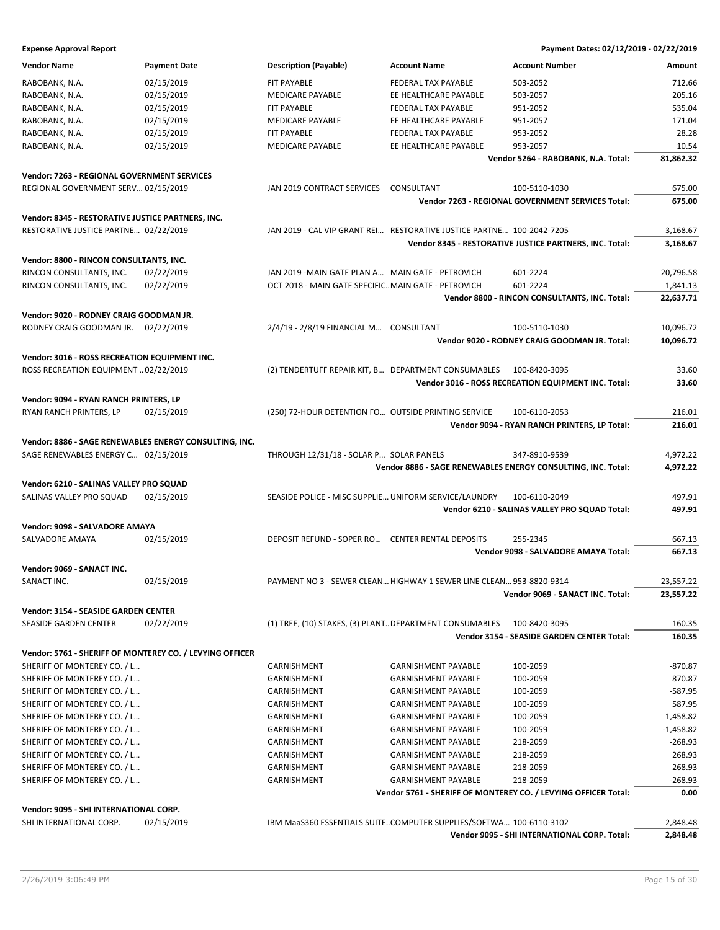| <b>Vendor Name</b>                                       | <b>Payment Date</b> | <b>Description (Payable)</b>                                          | <b>Account Name</b>        | <b>Account Number</b>                                          | Amount      |
|----------------------------------------------------------|---------------------|-----------------------------------------------------------------------|----------------------------|----------------------------------------------------------------|-------------|
| RABOBANK, N.A.                                           | 02/15/2019          | FIT PAYABLE                                                           | FEDERAL TAX PAYABLE        | 503-2052                                                       | 712.66      |
| RABOBANK, N.A.                                           | 02/15/2019          | MEDICARE PAYABLE                                                      | EE HEALTHCARE PAYABLE      | 503-2057                                                       | 205.16      |
| RABOBANK, N.A.                                           | 02/15/2019          | FIT PAYABLE                                                           | FEDERAL TAX PAYABLE        | 951-2052                                                       | 535.04      |
| RABOBANK, N.A.                                           | 02/15/2019          | <b>MEDICARE PAYABLE</b>                                               | EE HEALTHCARE PAYABLE      | 951-2057                                                       | 171.04      |
| RABOBANK, N.A.                                           | 02/15/2019          | FIT PAYABLE                                                           | FEDERAL TAX PAYABLE        | 953-2052                                                       | 28.28       |
| RABOBANK, N.A.                                           | 02/15/2019          | <b>MEDICARE PAYABLE</b>                                               | EE HEALTHCARE PAYABLE      | 953-2057                                                       | 10.54       |
|                                                          |                     |                                                                       |                            | Vendor 5264 - RABOBANK, N.A. Total:                            | 81,862.32   |
| <b>Vendor: 7263 - REGIONAL GOVERNMENT SERVICES</b>       |                     |                                                                       |                            |                                                                |             |
| REGIONAL GOVERNMENT SERV 02/15/2019                      |                     | JAN 2019 CONTRACT SERVICES                                            | CONSULTANT                 | 100-5110-1030                                                  | 675.00      |
|                                                          |                     |                                                                       |                            | Vendor 7263 - REGIONAL GOVERNMENT SERVICES Total:              | 675.00      |
|                                                          |                     |                                                                       |                            |                                                                |             |
| Vendor: 8345 - RESTORATIVE JUSTICE PARTNERS, INC.        |                     |                                                                       |                            |                                                                |             |
| RESTORATIVE JUSTICE PARTNE 02/22/2019                    |                     | JAN 2019 - CAL VIP GRANT REI RESTORATIVE JUSTICE PARTNE 100-2042-7205 |                            |                                                                | 3,168.67    |
|                                                          |                     |                                                                       |                            | Vendor 8345 - RESTORATIVE JUSTICE PARTNERS, INC. Total:        | 3,168.67    |
| Vendor: 8800 - RINCON CONSULTANTS, INC.                  |                     |                                                                       |                            |                                                                |             |
| RINCON CONSULTANTS, INC.                                 | 02/22/2019          | JAN 2019 -MAIN GATE PLAN A MAIN GATE - PETROVICH                      |                            | 601-2224                                                       | 20,796.58   |
| RINCON CONSULTANTS, INC.                                 | 02/22/2019          | OCT 2018 - MAIN GATE SPECIFICMAIN GATE - PETROVICH                    |                            | 601-2224                                                       | 1,841.13    |
|                                                          |                     |                                                                       |                            | Vendor 8800 - RINCON CONSULTANTS, INC. Total:                  | 22,637.71   |
| Vendor: 9020 - RODNEY CRAIG GOODMAN JR.                  |                     |                                                                       |                            |                                                                |             |
| RODNEY CRAIG GOODMAN JR. 02/22/2019                      |                     | 2/4/19 - 2/8/19 FINANCIAL M CONSULTANT                                |                            | 100-5110-1030                                                  | 10,096.72   |
|                                                          |                     |                                                                       |                            | Vendor 9020 - RODNEY CRAIG GOODMAN JR. Total:                  | 10,096.72   |
| Vendor: 3016 - ROSS RECREATION EQUIPMENT INC.            |                     |                                                                       |                            |                                                                |             |
| ROSS RECREATION EQUIPMENT  02/22/2019                    |                     | (2) TENDERTUFF REPAIR KIT, B DEPARTMENT CONSUMABLES                   |                            | 100-8420-3095                                                  | 33.60       |
|                                                          |                     |                                                                       |                            | Vendor 3016 - ROSS RECREATION EQUIPMENT INC. Total:            | 33.60       |
| Vendor: 9094 - RYAN RANCH PRINTERS, LP                   |                     |                                                                       |                            |                                                                |             |
| RYAN RANCH PRINTERS, LP                                  | 02/15/2019          | (250) 72-HOUR DETENTION FO OUTSIDE PRINTING SERVICE                   |                            | 100-6110-2053                                                  | 216.01      |
|                                                          |                     |                                                                       |                            | Vendor 9094 - RYAN RANCH PRINTERS, LP Total:                   | 216.01      |
|                                                          |                     |                                                                       |                            |                                                                |             |
| Vendor: 8886 - SAGE RENEWABLES ENERGY CONSULTING, INC.   |                     |                                                                       |                            |                                                                |             |
| SAGE RENEWABLES ENERGY C 02/15/2019                      |                     | THROUGH 12/31/18 - SOLAR P SOLAR PANELS                               |                            | 347-8910-9539                                                  | 4,972.22    |
|                                                          |                     |                                                                       |                            | Vendor 8886 - SAGE RENEWABLES ENERGY CONSULTING, INC. Total:   | 4,972.22    |
| Vendor: 6210 - SALINAS VALLEY PRO SQUAD                  |                     |                                                                       |                            |                                                                |             |
| SALINAS VALLEY PRO SQUAD                                 | 02/15/2019          | SEASIDE POLICE - MISC SUPPLIE UNIFORM SERVICE/LAUNDRY                 |                            | 100-6110-2049                                                  | 497.91      |
|                                                          |                     |                                                                       |                            | Vendor 6210 - SALINAS VALLEY PRO SQUAD Total:                  | 497.91      |
| Vendor: 9098 - SALVADORE AMAYA                           |                     |                                                                       |                            |                                                                |             |
| SALVADORE AMAYA                                          | 02/15/2019          | DEPOSIT REFUND - SOPER RO CENTER RENTAL DEPOSITS                      |                            | 255-2345                                                       | 667.13      |
|                                                          |                     |                                                                       |                            | Vendor 9098 - SALVADORE AMAYA Total:                           | 667.13      |
| Vendor: 9069 - SANACT INC.                               |                     |                                                                       |                            |                                                                |             |
| SANACT INC.                                              | 02/15/2019          | PAYMENT NO 3 - SEWER CLEAN HIGHWAY 1 SEWER LINE CLEAN 953-8820-9314   |                            |                                                                | 23,557.22   |
|                                                          |                     |                                                                       |                            | Vendor 9069 - SANACT INC. Total:                               | 23,557.22   |
| Vendor: 3154 - SEASIDE GARDEN CENTER                     |                     |                                                                       |                            |                                                                |             |
| SEASIDE GARDEN CENTER                                    | 02/22/2019          | (1) TREE, (10) STAKES, (3) PLANTDEPARTMENT CONSUMABLES                |                            | 100-8420-3095                                                  | 160.35      |
|                                                          |                     |                                                                       |                            | Vendor 3154 - SEASIDE GARDEN CENTER Total:                     | 160.35      |
| Vendor: 5761 - SHERIFF OF MONTEREY CO. / LEVYING OFFICER |                     |                                                                       |                            |                                                                |             |
| SHERIFF OF MONTEREY CO. / L                              |                     | GARNISHMENT                                                           | <b>GARNISHMENT PAYABLE</b> | 100-2059                                                       | $-870.87$   |
| SHERIFF OF MONTEREY CO. / L                              |                     | GARNISHMENT                                                           | <b>GARNISHMENT PAYABLE</b> | 100-2059                                                       | 870.87      |
| SHERIFF OF MONTEREY CO. / L                              |                     | GARNISHMENT                                                           | <b>GARNISHMENT PAYABLE</b> | 100-2059                                                       | $-587.95$   |
| SHERIFF OF MONTEREY CO. / L                              |                     | GARNISHMENT                                                           | <b>GARNISHMENT PAYABLE</b> | 100-2059                                                       | 587.95      |
| SHERIFF OF MONTEREY CO. / L                              |                     | GARNISHMENT                                                           | <b>GARNISHMENT PAYABLE</b> | 100-2059                                                       | 1,458.82    |
| SHERIFF OF MONTEREY CO. / L                              |                     | GARNISHMENT                                                           | <b>GARNISHMENT PAYABLE</b> | 100-2059                                                       | $-1,458.82$ |
| SHERIFF OF MONTEREY CO. / L                              |                     | GARNISHMENT                                                           | <b>GARNISHMENT PAYABLE</b> | 218-2059                                                       | $-268.93$   |
| SHERIFF OF MONTEREY CO. / L                              |                     | GARNISHMENT                                                           | <b>GARNISHMENT PAYABLE</b> | 218-2059                                                       | 268.93      |
| SHERIFF OF MONTEREY CO. / L                              |                     | GARNISHMENT                                                           | <b>GARNISHMENT PAYABLE</b> | 218-2059                                                       | 268.93      |
| SHERIFF OF MONTEREY CO. / L                              |                     | GARNISHMENT                                                           | <b>GARNISHMENT PAYABLE</b> | 218-2059                                                       | $-268.93$   |
|                                                          |                     |                                                                       |                            | Vendor 5761 - SHERIFF OF MONTEREY CO. / LEVYING OFFICER Total: | 0.00        |
| Vendor: 9095 - SHI INTERNATIONAL CORP.                   |                     |                                                                       |                            |                                                                |             |
| SHI INTERNATIONAL CORP.                                  | 02/15/2019          | IBM MaaS360 ESSENTIALS SUITECOMPUTER SUPPLIES/SOFTWA 100-6110-3102    |                            |                                                                | 2,848.48    |
|                                                          |                     |                                                                       |                            | Vendor 9095 - SHI INTERNATIONAL CORP. Total:                   | 2,848.48    |
|                                                          |                     |                                                                       |                            |                                                                |             |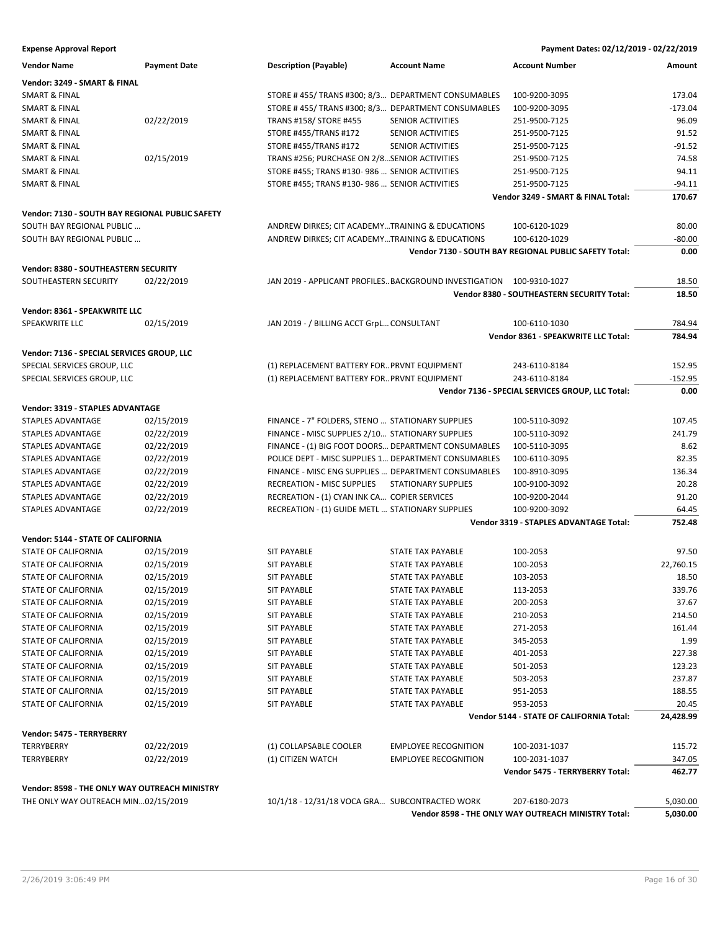| <b>Vendor Name</b>                              | <b>Payment Date</b> | <b>Description (Payable)</b>                                         | <b>Account Name</b>         | <b>Account Number</b>                                 | Amount    |
|-------------------------------------------------|---------------------|----------------------------------------------------------------------|-----------------------------|-------------------------------------------------------|-----------|
| Vendor: 3249 - SMART & FINAL                    |                     |                                                                      |                             |                                                       |           |
| SMART & FINAL                                   |                     | STORE # 455/ TRANS #300; 8/3 DEPARTMENT CONSUMABLES                  |                             | 100-9200-3095                                         | 173.04    |
| <b>SMART &amp; FINAL</b>                        |                     | STORE #455/TRANS #300; 8/3 DEPARTMENT CONSUMABLES                    |                             | 100-9200-3095                                         | $-173.04$ |
| <b>SMART &amp; FINAL</b>                        | 02/22/2019          | TRANS #158/ STORE #455                                               | SENIOR ACTIVITIES           | 251-9500-7125                                         | 96.09     |
| <b>SMART &amp; FINAL</b>                        |                     | STORE #455/TRANS #172                                                | SENIOR ACTIVITIES           | 251-9500-7125                                         | 91.52     |
| SMART & FINAL                                   |                     | STORE #455/TRANS #172                                                | SENIOR ACTIVITIES           | 251-9500-7125                                         | $-91.52$  |
| SMART & FINAL                                   | 02/15/2019          | TRANS #256; PURCHASE ON 2/8SENIOR ACTIVITIES                         |                             | 251-9500-7125                                         | 74.58     |
| <b>SMART &amp; FINAL</b>                        |                     | STORE #455; TRANS #130-986  SENIOR ACTIVITIES                        |                             | 251-9500-7125                                         | 94.11     |
| <b>SMART &amp; FINAL</b>                        |                     | STORE #455; TRANS #130-986  SENIOR ACTIVITIES                        |                             | 251-9500-7125                                         | $-94.11$  |
|                                                 |                     |                                                                      |                             | Vendor 3249 - SMART & FINAL Total:                    | 170.67    |
| Vendor: 7130 - SOUTH BAY REGIONAL PUBLIC SAFETY |                     |                                                                      |                             |                                                       |           |
| SOUTH BAY REGIONAL PUBLIC                       |                     | ANDREW DIRKES; CIT ACADEMYTRAINING & EDUCATIONS                      |                             | 100-6120-1029                                         | 80.00     |
| SOUTH BAY REGIONAL PUBLIC                       |                     | ANDREW DIRKES; CIT ACADEMYTRAINING & EDUCATIONS                      |                             | 100-6120-1029                                         | $-80.00$  |
|                                                 |                     |                                                                      |                             | Vendor 7130 - SOUTH BAY REGIONAL PUBLIC SAFETY Total: | 0.00      |
|                                                 |                     |                                                                      |                             |                                                       |           |
| Vendor: 8380 - SOUTHEASTERN SECURITY            |                     |                                                                      |                             |                                                       |           |
| SOUTHEASTERN SECURITY                           | 02/22/2019          | JAN 2019 - APPLICANT PROFILES BACKGROUND INVESTIGATION 100-9310-1027 |                             |                                                       | 18.50     |
|                                                 |                     |                                                                      |                             | Vendor 8380 - SOUTHEASTERN SECURITY Total:            | 18.50     |
| Vendor: 8361 - SPEAKWRITE LLC                   |                     |                                                                      |                             |                                                       |           |
| SPEAKWRITE LLC                                  | 02/15/2019          | JAN 2019 - / BILLING ACCT GrpL CONSULTANT                            |                             | 100-6110-1030                                         | 784.94    |
|                                                 |                     |                                                                      |                             | Vendor 8361 - SPEAKWRITE LLC Total:                   | 784.94    |
| Vendor: 7136 - SPECIAL SERVICES GROUP, LLC      |                     |                                                                      |                             |                                                       |           |
| SPECIAL SERVICES GROUP, LLC                     |                     | (1) REPLACEMENT BATTERY FOR PRVNT EQUIPMENT                          |                             | 243-6110-8184                                         | 152.95    |
| SPECIAL SERVICES GROUP, LLC                     |                     | (1) REPLACEMENT BATTERY FOR PRVNT EQUIPMENT                          |                             | 243-6110-8184                                         | $-152.95$ |
|                                                 |                     |                                                                      |                             | Vendor 7136 - SPECIAL SERVICES GROUP, LLC Total:      | 0.00      |
| Vendor: 3319 - STAPLES ADVANTAGE                |                     |                                                                      |                             |                                                       |           |
| STAPLES ADVANTAGE                               | 02/15/2019          | FINANCE - 7" FOLDERS, STENO  STATIONARY SUPPLIES                     |                             | 100-5110-3092                                         | 107.45    |
| STAPLES ADVANTAGE                               | 02/22/2019          | FINANCE - MISC SUPPLIES 2/10 STATIONARY SUPPLIES                     |                             | 100-5110-3092                                         | 241.79    |
| STAPLES ADVANTAGE                               | 02/22/2019          | FINANCE - (1) BIG FOOT DOORS DEPARTMENT CONSUMABLES                  |                             | 100-5110-3095                                         | 8.62      |
| STAPLES ADVANTAGE                               | 02/22/2019          | POLICE DEPT - MISC SUPPLIES 1 DEPARTMENT CONSUMABLES                 |                             | 100-6110-3095                                         | 82.35     |
| STAPLES ADVANTAGE                               | 02/22/2019          | FINANCE - MISC ENG SUPPLIES  DEPARTMENT CONSUMABLES                  |                             | 100-8910-3095                                         | 136.34    |
| STAPLES ADVANTAGE                               | 02/22/2019          | RECREATION - MISC SUPPLIES                                           | <b>STATIONARY SUPPLIES</b>  | 100-9100-3092                                         | 20.28     |
| STAPLES ADVANTAGE                               | 02/22/2019          | RECREATION - (1) CYAN INK CA COPIER SERVICES                         |                             | 100-9200-2044                                         | 91.20     |
| STAPLES ADVANTAGE                               | 02/22/2019          | RECREATION - (1) GUIDE METL  STATIONARY SUPPLIES                     |                             | 100-9200-3092                                         | 64.45     |
|                                                 |                     |                                                                      |                             | Vendor 3319 - STAPLES ADVANTAGE Total:                | 752.48    |
|                                                 |                     |                                                                      |                             |                                                       |           |
| Vendor: 5144 - STATE OF CALIFORNIA              | 02/15/2019          | <b>SIT PAYABLE</b>                                                   | STATE TAX PAYABLE           |                                                       | 97.50     |
| STATE OF CALIFORNIA                             |                     |                                                                      | <b>STATE TAX PAYABLE</b>    | 100-2053                                              |           |
| STATE OF CALIFORNIA                             | 02/15/2019          | <b>SIT PAYABLE</b>                                                   | <b>STATE TAX PAYABLE</b>    | 100-2053                                              | 22,760.15 |
| <b>STATE OF CALIFORNIA</b>                      | 02/15/2019          | <b>SIT PAYABLE</b>                                                   |                             | 103-2053                                              | 18.50     |
| STATE OF CALIFORNIA                             | 02/15/2019          | <b>SIT PAYABLE</b>                                                   | STATE TAX PAYABLE           | 113-2053                                              | 339.76    |
| STATE OF CALIFORNIA                             | 02/15/2019          | <b>SIT PAYABLE</b>                                                   | STATE TAX PAYABLE           | 200-2053                                              | 37.67     |
| STATE OF CALIFORNIA                             | 02/15/2019          | <b>SIT PAYABLE</b>                                                   | STATE TAX PAYABLE           | 210-2053                                              | 214.50    |
| STATE OF CALIFORNIA                             | 02/15/2019          | <b>SIT PAYABLE</b>                                                   | STATE TAX PAYABLE           | 271-2053                                              | 161.44    |
| STATE OF CALIFORNIA                             | 02/15/2019          | <b>SIT PAYABLE</b>                                                   | STATE TAX PAYABLE           | 345-2053                                              | 1.99      |
| STATE OF CALIFORNIA                             | 02/15/2019          | <b>SIT PAYABLE</b>                                                   | STATE TAX PAYABLE           | 401-2053                                              | 227.38    |
| STATE OF CALIFORNIA                             | 02/15/2019          | <b>SIT PAYABLE</b>                                                   | STATE TAX PAYABLE           | 501-2053                                              | 123.23    |
| STATE OF CALIFORNIA                             | 02/15/2019          | <b>SIT PAYABLE</b>                                                   | <b>STATE TAX PAYABLE</b>    | 503-2053                                              | 237.87    |
| STATE OF CALIFORNIA                             | 02/15/2019          | <b>SIT PAYABLE</b>                                                   | <b>STATE TAX PAYABLE</b>    | 951-2053                                              | 188.55    |
| <b>STATE OF CALIFORNIA</b>                      | 02/15/2019          | SIT PAYABLE                                                          | STATE TAX PAYABLE           | 953-2053                                              | 20.45     |
|                                                 |                     |                                                                      |                             | Vendor 5144 - STATE OF CALIFORNIA Total:              | 24,428.99 |
| Vendor: 5475 - TERRYBERRY                       |                     |                                                                      |                             |                                                       |           |
| <b>TERRYBERRY</b>                               | 02/22/2019          | (1) COLLAPSABLE COOLER                                               | <b>EMPLOYEE RECOGNITION</b> | 100-2031-1037                                         | 115.72    |
| TERRYBERRY                                      | 02/22/2019          | (1) CITIZEN WATCH                                                    | <b>EMPLOYEE RECOGNITION</b> | 100-2031-1037                                         | 347.05    |
|                                                 |                     |                                                                      |                             | Vendor 5475 - TERRYBERRY Total:                       | 462.77    |
| Vendor: 8598 - THE ONLY WAY OUTREACH MINISTRY   |                     |                                                                      |                             |                                                       |           |
| THE ONLY WAY OUTREACH MIN02/15/2019             |                     | 10/1/18 - 12/31/18 VOCA GRA SUBCONTRACTED WORK                       |                             | 207-6180-2073                                         | 5,030.00  |

**Vendor 8598 - THE ONLY WAY OUTREACH MINISTRY Total: 5,030.00**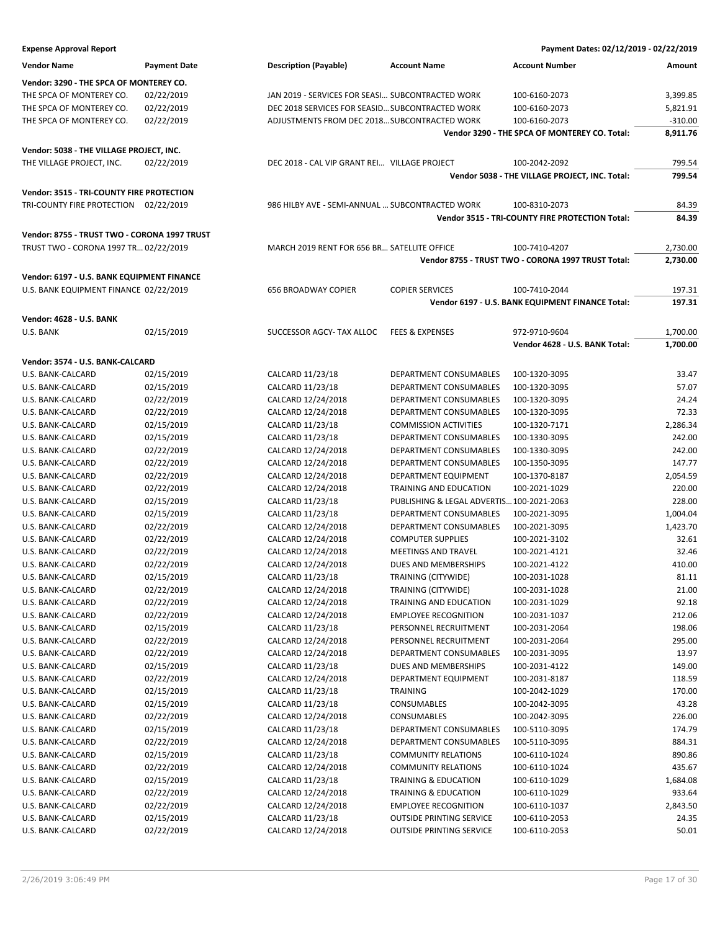| <b>Expense Approval Report</b>               |                          |                                                  |                                                | Payment Dates: 02/12/2019 - 02/22/2019             |                    |
|----------------------------------------------|--------------------------|--------------------------------------------------|------------------------------------------------|----------------------------------------------------|--------------------|
| <b>Vendor Name</b>                           | <b>Payment Date</b>      | <b>Description (Payable)</b>                     | <b>Account Name</b>                            | <b>Account Number</b>                              | Amount             |
| Vendor: 3290 - THE SPCA OF MONTEREY CO.      |                          |                                                  |                                                |                                                    |                    |
| THE SPCA OF MONTEREY CO.                     | 02/22/2019               | JAN 2019 - SERVICES FOR SEASI SUBCONTRACTED WORK |                                                | 100-6160-2073                                      | 3,399.85           |
| THE SPCA OF MONTEREY CO.                     | 02/22/2019               | DEC 2018 SERVICES FOR SEASID SUBCONTRACTED WORK  |                                                | 100-6160-2073                                      | 5,821.91           |
| THE SPCA OF MONTEREY CO.                     | 02/22/2019               | ADJUSTMENTS FROM DEC 2018 SUBCONTRACTED WORK     |                                                | 100-6160-2073                                      | $-310.00$          |
|                                              |                          |                                                  |                                                | Vendor 3290 - THE SPCA OF MONTEREY CO. Total:      | 8,911.76           |
| Vendor: 5038 - THE VILLAGE PROJECT, INC.     |                          |                                                  |                                                |                                                    |                    |
| THE VILLAGE PROJECT, INC.                    | 02/22/2019               | DEC 2018 - CAL VIP GRANT REI VILLAGE PROJECT     |                                                | 100-2042-2092                                      | 799.54             |
|                                              |                          |                                                  |                                                | Vendor 5038 - THE VILLAGE PROJECT, INC. Total:     | 799.54             |
| Vendor: 3515 - TRI-COUNTY FIRE PROTECTION    |                          |                                                  |                                                |                                                    |                    |
| TRI-COUNTY FIRE PROTECTION 02/22/2019        |                          | 986 HILBY AVE - SEMI-ANNUAL  SUBCONTRACTED WORK  |                                                | 100-8310-2073                                      | 84.39              |
|                                              |                          |                                                  |                                                | Vendor 3515 - TRI-COUNTY FIRE PROTECTION Total:    | 84.39              |
| Vendor: 8755 - TRUST TWO - CORONA 1997 TRUST |                          |                                                  |                                                |                                                    |                    |
| TRUST TWO - CORONA 1997 TR 02/22/2019        |                          | MARCH 2019 RENT FOR 656 BR SATELLITE OFFICE      |                                                | 100-7410-4207                                      | 2,730.00           |
|                                              |                          |                                                  |                                                | Vendor 8755 - TRUST TWO - CORONA 1997 TRUST Total: | 2,730.00           |
| Vendor: 6197 - U.S. BANK EQUIPMENT FINANCE   |                          |                                                  |                                                |                                                    |                    |
| U.S. BANK EQUIPMENT FINANCE 02/22/2019       |                          | <b>656 BROADWAY COPIER</b>                       | <b>COPIER SERVICES</b>                         | 100-7410-2044                                      | 197.31             |
|                                              |                          |                                                  |                                                | Vendor 6197 - U.S. BANK EQUIPMENT FINANCE Total:   | 197.31             |
|                                              |                          |                                                  |                                                |                                                    |                    |
| <b>Vendor: 4628 - U.S. BANK</b>              |                          |                                                  |                                                |                                                    |                    |
| U.S. BANK                                    | 02/15/2019               | SUCCESSOR AGCY- TAX ALLOC                        | <b>FEES &amp; EXPENSES</b>                     | 972-9710-9604                                      | 1,700.00           |
|                                              |                          |                                                  |                                                | Vendor 4628 - U.S. BANK Total:                     | 1,700.00           |
| Vendor: 3574 - U.S. BANK-CALCARD             |                          |                                                  |                                                |                                                    |                    |
| U.S. BANK-CALCARD                            | 02/15/2019               | CALCARD 11/23/18                                 | DEPARTMENT CONSUMABLES                         | 100-1320-3095                                      | 33.47              |
| U.S. BANK-CALCARD                            | 02/15/2019               | CALCARD 11/23/18                                 | DEPARTMENT CONSUMABLES                         | 100-1320-3095                                      | 57.07              |
| U.S. BANK-CALCARD                            | 02/22/2019               | CALCARD 12/24/2018                               | DEPARTMENT CONSUMABLES                         | 100-1320-3095                                      | 24.24              |
| U.S. BANK-CALCARD                            | 02/22/2019               | CALCARD 12/24/2018                               | DEPARTMENT CONSUMABLES                         | 100-1320-3095                                      | 72.33              |
| U.S. BANK-CALCARD                            | 02/15/2019               | CALCARD 11/23/18                                 | <b>COMMISSION ACTIVITIES</b>                   | 100-1320-7171                                      | 2,286.34           |
| U.S. BANK-CALCARD                            | 02/15/2019               | CALCARD 11/23/18                                 | DEPARTMENT CONSUMABLES                         | 100-1330-3095                                      | 242.00             |
| U.S. BANK-CALCARD                            | 02/22/2019               | CALCARD 12/24/2018                               | DEPARTMENT CONSUMABLES                         | 100-1330-3095                                      | 242.00             |
| U.S. BANK-CALCARD                            | 02/22/2019               | CALCARD 12/24/2018<br>CALCARD 12/24/2018         | DEPARTMENT CONSUMABLES                         | 100-1350-3095                                      | 147.77             |
| U.S. BANK-CALCARD<br>U.S. BANK-CALCARD       | 02/22/2019<br>02/22/2019 | CALCARD 12/24/2018                               | DEPARTMENT EQUIPMENT<br>TRAINING AND EDUCATION | 100-1370-8187<br>100-2021-1029                     | 2,054.59<br>220.00 |
| U.S. BANK-CALCARD                            | 02/15/2019               | CALCARD 11/23/18                                 | PUBLISHING & LEGAL ADVERTIS 100-2021-2063      |                                                    | 228.00             |
| U.S. BANK-CALCARD                            | 02/15/2019               | CALCARD 11/23/18                                 | DEPARTMENT CONSUMABLES                         | 100-2021-3095                                      | 1,004.04           |
| U.S. BANK-CALCARD                            | 02/22/2019               | CALCARD 12/24/2018                               | DEPARTMENT CONSUMABLES                         | 100-2021-3095                                      | 1,423.70           |
| U.S. BANK-CALCARD                            | 02/22/2019               | CALCARD 12/24/2018                               | <b>COMPUTER SUPPLIES</b>                       | 100-2021-3102                                      | 32.61              |
| U.S. BANK-CALCARD                            | 02/22/2019               | CALCARD 12/24/2018                               | <b>MEETINGS AND TRAVEL</b>                     | 100-2021-4121                                      | 32.46              |
| U.S. BANK-CALCARD                            | 02/22/2019               | CALCARD 12/24/2018                               | DUES AND MEMBERSHIPS                           | 100-2021-4122                                      | 410.00             |
| U.S. BANK-CALCARD                            | 02/15/2019               | CALCARD 11/23/18                                 | TRAINING (CITYWIDE)                            | 100-2031-1028                                      | 81.11              |
| U.S. BANK-CALCARD                            | 02/22/2019               | CALCARD 12/24/2018                               | TRAINING (CITYWIDE)                            | 100-2031-1028                                      | 21.00              |
| U.S. BANK-CALCARD                            | 02/22/2019               | CALCARD 12/24/2018                               | TRAINING AND EDUCATION                         | 100-2031-1029                                      | 92.18              |
| U.S. BANK-CALCARD                            | 02/22/2019               | CALCARD 12/24/2018                               | <b>EMPLOYEE RECOGNITION</b>                    | 100-2031-1037                                      | 212.06             |
| U.S. BANK-CALCARD                            | 02/15/2019               | CALCARD 11/23/18                                 | PERSONNEL RECRUITMENT                          | 100-2031-2064                                      | 198.06             |
| U.S. BANK-CALCARD                            | 02/22/2019               | CALCARD 12/24/2018                               | PERSONNEL RECRUITMENT                          | 100-2031-2064                                      | 295.00             |
| U.S. BANK-CALCARD                            | 02/22/2019               | CALCARD 12/24/2018                               | DEPARTMENT CONSUMABLES                         | 100-2031-3095                                      | 13.97              |
| U.S. BANK-CALCARD                            | 02/15/2019               | CALCARD 11/23/18                                 | DUES AND MEMBERSHIPS                           | 100-2031-4122                                      | 149.00             |
| U.S. BANK-CALCARD                            | 02/22/2019               | CALCARD 12/24/2018                               | DEPARTMENT EQUIPMENT                           | 100-2031-8187                                      | 118.59             |
| U.S. BANK-CALCARD                            | 02/15/2019               | CALCARD 11/23/18                                 | TRAINING                                       | 100-2042-1029                                      | 170.00             |
| U.S. BANK-CALCARD                            | 02/15/2019               | CALCARD 11/23/18                                 | CONSUMABLES                                    | 100-2042-3095                                      | 43.28              |
| U.S. BANK-CALCARD                            | 02/22/2019               | CALCARD 12/24/2018                               | CONSUMABLES                                    | 100-2042-3095                                      | 226.00             |
| U.S. BANK-CALCARD                            | 02/15/2019               | CALCARD 11/23/18                                 | DEPARTMENT CONSUMABLES                         | 100-5110-3095                                      | 174.79             |
| U.S. BANK-CALCARD                            | 02/22/2019               | CALCARD 12/24/2018                               | DEPARTMENT CONSUMABLES                         | 100-5110-3095                                      | 884.31             |
| U.S. BANK-CALCARD                            | 02/15/2019               | CALCARD 11/23/18                                 | <b>COMMUNITY RELATIONS</b>                     | 100-6110-1024                                      | 890.86             |
| U.S. BANK-CALCARD                            | 02/22/2019               | CALCARD 12/24/2018                               | <b>COMMUNITY RELATIONS</b>                     | 100-6110-1024                                      | 435.67             |
| U.S. BANK-CALCARD                            | 02/15/2019               | CALCARD 11/23/18                                 | TRAINING & EDUCATION<br>TRAINING & EDUCATION   | 100-6110-1029                                      | 1,684.08<br>933.64 |
| U.S. BANK-CALCARD<br>U.S. BANK-CALCARD       | 02/22/2019<br>02/22/2019 | CALCARD 12/24/2018<br>CALCARD 12/24/2018         | <b>EMPLOYEE RECOGNITION</b>                    | 100-6110-1029<br>100-6110-1037                     | 2,843.50           |
| U.S. BANK-CALCARD                            | 02/15/2019               | CALCARD 11/23/18                                 | <b>OUTSIDE PRINTING SERVICE</b>                | 100-6110-2053                                      | 24.35              |

U.S. BANK-CALCARD 02/22/2019 CALCARD 12/24/2018 OUTSIDE PRINTING SERVICE 100-6110-2053 50.01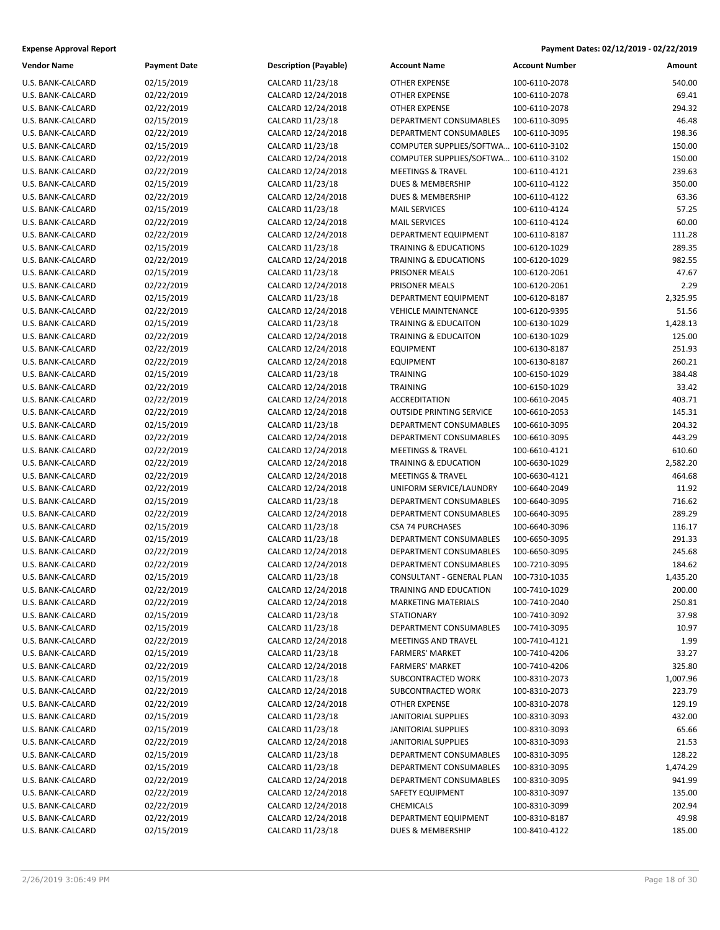| Payment Dates: 02/12/2019 - 02/22/2019 |
|----------------------------------------|
|                                        |

| <b>Vendor Name</b> | <b>Payment Date</b> | <b>Description (Payable)</b> | <b>Account Name</b>                    | <b>Account Number</b> | Amount   |
|--------------------|---------------------|------------------------------|----------------------------------------|-----------------------|----------|
| U.S. BANK-CALCARD  | 02/15/2019          | CALCARD 11/23/18             | <b>OTHER EXPENSE</b>                   | 100-6110-2078         | 540.00   |
| U.S. BANK-CALCARD  | 02/22/2019          | CALCARD 12/24/2018           | <b>OTHER EXPENSE</b>                   | 100-6110-2078         | 69.41    |
| U.S. BANK-CALCARD  | 02/22/2019          | CALCARD 12/24/2018           | <b>OTHER EXPENSE</b>                   | 100-6110-2078         | 294.32   |
| U.S. BANK-CALCARD  | 02/15/2019          | CALCARD 11/23/18             | DEPARTMENT CONSUMABLES                 | 100-6110-3095         | 46.48    |
| U.S. BANK-CALCARD  | 02/22/2019          | CALCARD 12/24/2018           | DEPARTMENT CONSUMABLES                 | 100-6110-3095         | 198.36   |
| U.S. BANK-CALCARD  | 02/15/2019          | CALCARD 11/23/18             | COMPUTER SUPPLIES/SOFTWA 100-6110-3102 |                       | 150.00   |
| U.S. BANK-CALCARD  | 02/22/2019          | CALCARD 12/24/2018           | COMPUTER SUPPLIES/SOFTWA 100-6110-3102 |                       | 150.00   |
| U.S. BANK-CALCARD  | 02/22/2019          | CALCARD 12/24/2018           | <b>MEETINGS &amp; TRAVEL</b>           | 100-6110-4121         | 239.63   |
| U.S. BANK-CALCARD  | 02/15/2019          | CALCARD 11/23/18             | DUES & MEMBERSHIP                      | 100-6110-4122         | 350.00   |
| U.S. BANK-CALCARD  | 02/22/2019          | CALCARD 12/24/2018           | <b>DUES &amp; MEMBERSHIP</b>           | 100-6110-4122         | 63.36    |
| U.S. BANK-CALCARD  | 02/15/2019          | CALCARD 11/23/18             | <b>MAIL SERVICES</b>                   | 100-6110-4124         | 57.25    |
| U.S. BANK-CALCARD  | 02/22/2019          | CALCARD 12/24/2018           | <b>MAIL SERVICES</b>                   | 100-6110-4124         | 60.00    |
| U.S. BANK-CALCARD  | 02/22/2019          | CALCARD 12/24/2018           | DEPARTMENT EQUIPMENT                   | 100-6110-8187         | 111.28   |
| U.S. BANK-CALCARD  | 02/15/2019          | CALCARD 11/23/18             | TRAINING & EDUCATIONS                  | 100-6120-1029         | 289.35   |
| U.S. BANK-CALCARD  | 02/22/2019          | CALCARD 12/24/2018           | <b>TRAINING &amp; EDUCATIONS</b>       | 100-6120-1029         | 982.55   |
| U.S. BANK-CALCARD  | 02/15/2019          | CALCARD 11/23/18             | PRISONER MEALS                         | 100-6120-2061         | 47.67    |
| U.S. BANK-CALCARD  | 02/22/2019          | CALCARD 12/24/2018           | PRISONER MEALS                         | 100-6120-2061         | 2.29     |
| U.S. BANK-CALCARD  | 02/15/2019          | CALCARD 11/23/18             | DEPARTMENT EQUIPMENT                   | 100-6120-8187         | 2,325.95 |
| U.S. BANK-CALCARD  | 02/22/2019          | CALCARD 12/24/2018           | <b>VEHICLE MAINTENANCE</b>             | 100-6120-9395         | 51.56    |
| U.S. BANK-CALCARD  | 02/15/2019          | CALCARD 11/23/18             | <b>TRAINING &amp; EDUCAITON</b>        | 100-6130-1029         | 1,428.13 |
| U.S. BANK-CALCARD  | 02/22/2019          | CALCARD 12/24/2018           | <b>TRAINING &amp; EDUCAITON</b>        | 100-6130-1029         | 125.00   |
| U.S. BANK-CALCARD  | 02/22/2019          | CALCARD 12/24/2018           | <b>EQUIPMENT</b>                       | 100-6130-8187         | 251.93   |
| U.S. BANK-CALCARD  | 02/22/2019          | CALCARD 12/24/2018           | <b>EQUIPMENT</b>                       | 100-6130-8187         | 260.21   |
| U.S. BANK-CALCARD  | 02/15/2019          | CALCARD 11/23/18             | <b>TRAINING</b>                        | 100-6150-1029         | 384.48   |
| U.S. BANK-CALCARD  | 02/22/2019          | CALCARD 12/24/2018           | <b>TRAINING</b>                        | 100-6150-1029         | 33.42    |
| U.S. BANK-CALCARD  | 02/22/2019          | CALCARD 12/24/2018           | <b>ACCREDITATION</b>                   | 100-6610-2045         | 403.71   |
| U.S. BANK-CALCARD  | 02/22/2019          | CALCARD 12/24/2018           | <b>OUTSIDE PRINTING SERVICE</b>        | 100-6610-2053         | 145.31   |
| U.S. BANK-CALCARD  | 02/15/2019          | CALCARD 11/23/18             | DEPARTMENT CONSUMABLES                 | 100-6610-3095         | 204.32   |
| U.S. BANK-CALCARD  | 02/22/2019          | CALCARD 12/24/2018           | DEPARTMENT CONSUMABLES                 | 100-6610-3095         | 443.29   |
| U.S. BANK-CALCARD  | 02/22/2019          | CALCARD 12/24/2018           | <b>MEETINGS &amp; TRAVEL</b>           | 100-6610-4121         | 610.60   |
| U.S. BANK-CALCARD  | 02/22/2019          | CALCARD 12/24/2018           | <b>TRAINING &amp; EDUCATION</b>        | 100-6630-1029         | 2,582.20 |
| U.S. BANK-CALCARD  | 02/22/2019          | CALCARD 12/24/2018           | <b>MEETINGS &amp; TRAVEL</b>           | 100-6630-4121         | 464.68   |
| U.S. BANK-CALCARD  | 02/22/2019          | CALCARD 12/24/2018           | UNIFORM SERVICE/LAUNDRY                | 100-6640-2049         | 11.92    |
| U.S. BANK-CALCARD  | 02/15/2019          | CALCARD 11/23/18             | DEPARTMENT CONSUMABLES                 | 100-6640-3095         | 716.62   |
| U.S. BANK-CALCARD  | 02/22/2019          | CALCARD 12/24/2018           | DEPARTMENT CONSUMABLES                 | 100-6640-3095         | 289.29   |
| U.S. BANK-CALCARD  | 02/15/2019          | CALCARD 11/23/18             | <b>CSA 74 PURCHASES</b>                | 100-6640-3096         | 116.17   |
| U.S. BANK-CALCARD  | 02/15/2019          | CALCARD 11/23/18             | DEPARTMENT CONSUMABLES                 | 100-6650-3095         | 291.33   |
| U.S. BANK-CALCARD  | 02/22/2019          | CALCARD 12/24/2018           | DEPARTMENT CONSUMABLES                 | 100-6650-3095         | 245.68   |
| U.S. BANK-CALCARD  | 02/22/2019          | CALCARD 12/24/2018           | DEPARTMENT CONSUMABLES                 | 100-7210-3095         | 184.62   |
| U.S. BANK-CALCARD  | 02/15/2019          | CALCARD 11/23/18             | CONSULTANT - GENERAL PLAN              | 100-7310-1035         | 1,435.20 |
| U.S. BANK-CALCARD  | 02/22/2019          | CALCARD 12/24/2018           | TRAINING AND EDUCATION                 | 100-7410-1029         | 200.00   |
| U.S. BANK-CALCARD  | 02/22/2019          | CALCARD 12/24/2018           | <b>MARKETING MATERIALS</b>             | 100-7410-2040         | 250.81   |
| U.S. BANK-CALCARD  | 02/15/2019          | CALCARD 11/23/18             | <b>STATIONARY</b>                      | 100-7410-3092         | 37.98    |
| U.S. BANK-CALCARD  | 02/15/2019          | CALCARD 11/23/18             | DEPARTMENT CONSUMABLES                 | 100-7410-3095         | 10.97    |
| U.S. BANK-CALCARD  | 02/22/2019          | CALCARD 12/24/2018           | MEETINGS AND TRAVEL                    | 100-7410-4121         | 1.99     |
| U.S. BANK-CALCARD  | 02/15/2019          | CALCARD 11/23/18             | <b>FARMERS' MARKET</b>                 | 100-7410-4206         | 33.27    |
| U.S. BANK-CALCARD  | 02/22/2019          | CALCARD 12/24/2018           | <b>FARMERS' MARKET</b>                 | 100-7410-4206         | 325.80   |
| U.S. BANK-CALCARD  | 02/15/2019          | CALCARD 11/23/18             | SUBCONTRACTED WORK                     | 100-8310-2073         | 1,007.96 |
| U.S. BANK-CALCARD  | 02/22/2019          | CALCARD 12/24/2018           | SUBCONTRACTED WORK                     | 100-8310-2073         | 223.79   |
| U.S. BANK-CALCARD  | 02/22/2019          | CALCARD 12/24/2018           | <b>OTHER EXPENSE</b>                   | 100-8310-2078         | 129.19   |
| U.S. BANK-CALCARD  | 02/15/2019          | CALCARD 11/23/18             | JANITORIAL SUPPLIES                    | 100-8310-3093         | 432.00   |
| U.S. BANK-CALCARD  | 02/15/2019          | CALCARD 11/23/18             | <b>JANITORIAL SUPPLIES</b>             | 100-8310-3093         | 65.66    |
| U.S. BANK-CALCARD  | 02/22/2019          | CALCARD 12/24/2018           | JANITORIAL SUPPLIES                    | 100-8310-3093         | 21.53    |
| U.S. BANK-CALCARD  | 02/15/2019          | CALCARD 11/23/18             | DEPARTMENT CONSUMABLES                 | 100-8310-3095         | 128.22   |
| U.S. BANK-CALCARD  | 02/15/2019          | CALCARD 11/23/18             | DEPARTMENT CONSUMABLES                 | 100-8310-3095         | 1,474.29 |
| U.S. BANK-CALCARD  | 02/22/2019          | CALCARD 12/24/2018           | DEPARTMENT CONSUMABLES                 | 100-8310-3095         | 941.99   |
| U.S. BANK-CALCARD  | 02/22/2019          | CALCARD 12/24/2018           | SAFETY EQUIPMENT                       | 100-8310-3097         | 135.00   |
| U.S. BANK-CALCARD  | 02/22/2019          | CALCARD 12/24/2018           | <b>CHEMICALS</b>                       | 100-8310-3099         | 202.94   |
| U.S. BANK-CALCARD  | 02/22/2019          | CALCARD 12/24/2018           | DEPARTMENT EQUIPMENT                   | 100-8310-8187         | 49.98    |
| U.S. BANK-CALCARD  | 02/15/2019          | CALCARD 11/23/18             | DUES & MEMBERSHIP                      | 100-8410-4122         | 185.00   |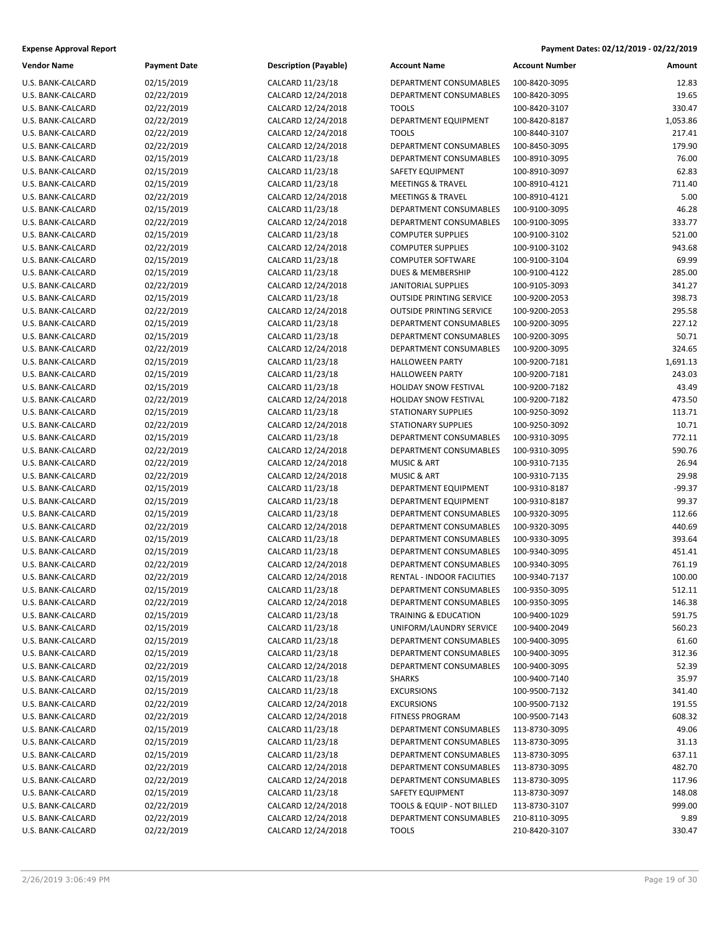| <b>Expense Approval Report</b> | Payment Dates: 02/12/2019 - 02/22/2019 |
|--------------------------------|----------------------------------------|
|                                |                                        |

| <b>Vendor Name</b> | <b>Payment Date</b>      | <b>Description (Payable)</b>           | <b>Account Name</b>                              | <b>Account Number</b> | Amount          |
|--------------------|--------------------------|----------------------------------------|--------------------------------------------------|-----------------------|-----------------|
| U.S. BANK-CALCARD  | 02/15/2019               | CALCARD 11/23/18                       | DEPARTMENT CONSUMABLES                           | 100-8420-3095         | 12.83           |
| U.S. BANK-CALCARD  | 02/22/2019               | CALCARD 12/24/2018                     | DEPARTMENT CONSUMABLES                           | 100-8420-3095         | 19.65           |
| U.S. BANK-CALCARD  | 02/22/2019               | CALCARD 12/24/2018                     | <b>TOOLS</b>                                     | 100-8420-3107         | 330.47          |
| U.S. BANK-CALCARD  | 02/22/2019               | CALCARD 12/24/2018                     | DEPARTMENT EQUIPMENT                             | 100-8420-8187         | 1,053.86        |
| U.S. BANK-CALCARD  | 02/22/2019               | CALCARD 12/24/2018                     | <b>TOOLS</b>                                     | 100-8440-3107         | 217.41          |
| U.S. BANK-CALCARD  | 02/22/2019               | CALCARD 12/24/2018                     | DEPARTMENT CONSUMABLES                           | 100-8450-3095         | 179.90          |
| U.S. BANK-CALCARD  | 02/15/2019               | CALCARD 11/23/18                       | DEPARTMENT CONSUMABLES                           | 100-8910-3095         | 76.00           |
| U.S. BANK-CALCARD  | 02/15/2019               | CALCARD 11/23/18                       | SAFETY EQUIPMENT                                 | 100-8910-3097         | 62.83           |
| U.S. BANK-CALCARD  | 02/15/2019               | CALCARD 11/23/18                       | <b>MEETINGS &amp; TRAVEL</b>                     | 100-8910-4121         | 711.40          |
| U.S. BANK-CALCARD  | 02/22/2019               | CALCARD 12/24/2018                     | <b>MEETINGS &amp; TRAVEL</b>                     | 100-8910-4121         | 5.00            |
| U.S. BANK-CALCARD  | 02/15/2019               | CALCARD 11/23/18                       | DEPARTMENT CONSUMABLES                           | 100-9100-3095         | 46.28           |
| U.S. BANK-CALCARD  | 02/22/2019               | CALCARD 12/24/2018                     | DEPARTMENT CONSUMABLES                           | 100-9100-3095         | 333.77          |
| U.S. BANK-CALCARD  | 02/15/2019               | CALCARD 11/23/18                       | <b>COMPUTER SUPPLIES</b>                         | 100-9100-3102         | 521.00          |
| U.S. BANK-CALCARD  | 02/22/2019               | CALCARD 12/24/2018                     | <b>COMPUTER SUPPLIES</b>                         | 100-9100-3102         | 943.68          |
| U.S. BANK-CALCARD  | 02/15/2019               | CALCARD 11/23/18                       | <b>COMPUTER SOFTWARE</b>                         | 100-9100-3104         | 69.99           |
| U.S. BANK-CALCARD  | 02/15/2019               | CALCARD 11/23/18                       | DUES & MEMBERSHIP                                | 100-9100-4122         | 285.00          |
| U.S. BANK-CALCARD  | 02/22/2019               | CALCARD 12/24/2018                     | JANITORIAL SUPPLIES                              | 100-9105-3093         | 341.27          |
| U.S. BANK-CALCARD  | 02/15/2019               | CALCARD 11/23/18                       | <b>OUTSIDE PRINTING SERVICE</b>                  | 100-9200-2053         | 398.73          |
| U.S. BANK-CALCARD  | 02/22/2019               | CALCARD 12/24/2018                     | <b>OUTSIDE PRINTING SERVICE</b>                  | 100-9200-2053         | 295.58          |
|                    |                          | CALCARD 11/23/18                       |                                                  | 100-9200-3095         |                 |
| U.S. BANK-CALCARD  | 02/15/2019               |                                        | DEPARTMENT CONSUMABLES                           |                       | 227.12<br>50.71 |
| U.S. BANK-CALCARD  | 02/15/2019<br>02/22/2019 | CALCARD 11/23/18<br>CALCARD 12/24/2018 | DEPARTMENT CONSUMABLES<br>DEPARTMENT CONSUMABLES | 100-9200-3095         |                 |
| U.S. BANK-CALCARD  |                          |                                        |                                                  | 100-9200-3095         | 324.65          |
| U.S. BANK-CALCARD  | 02/15/2019               | CALCARD 11/23/18                       | <b>HALLOWEEN PARTY</b>                           | 100-9200-7181         | 1,691.13        |
| U.S. BANK-CALCARD  | 02/15/2019               | CALCARD 11/23/18                       | <b>HALLOWEEN PARTY</b>                           | 100-9200-7181         | 243.03          |
| U.S. BANK-CALCARD  | 02/15/2019               | CALCARD 11/23/18                       | HOLIDAY SNOW FESTIVAL                            | 100-9200-7182         | 43.49           |
| U.S. BANK-CALCARD  | 02/22/2019               | CALCARD 12/24/2018                     | HOLIDAY SNOW FESTIVAL                            | 100-9200-7182         | 473.50          |
| U.S. BANK-CALCARD  | 02/15/2019               | CALCARD 11/23/18                       | <b>STATIONARY SUPPLIES</b>                       | 100-9250-3092         | 113.71          |
| U.S. BANK-CALCARD  | 02/22/2019               | CALCARD 12/24/2018                     | <b>STATIONARY SUPPLIES</b>                       | 100-9250-3092         | 10.71           |
| U.S. BANK-CALCARD  | 02/15/2019               | CALCARD 11/23/18                       | DEPARTMENT CONSUMABLES                           | 100-9310-3095         | 772.11          |
| U.S. BANK-CALCARD  | 02/22/2019               | CALCARD 12/24/2018                     | DEPARTMENT CONSUMABLES                           | 100-9310-3095         | 590.76          |
| U.S. BANK-CALCARD  | 02/22/2019               | CALCARD 12/24/2018                     | <b>MUSIC &amp; ART</b>                           | 100-9310-7135         | 26.94           |
| U.S. BANK-CALCARD  | 02/22/2019               | CALCARD 12/24/2018                     | <b>MUSIC &amp; ART</b>                           | 100-9310-7135         | 29.98           |
| U.S. BANK-CALCARD  | 02/15/2019               | CALCARD 11/23/18                       | DEPARTMENT EQUIPMENT                             | 100-9310-8187         | $-99.37$        |
| U.S. BANK-CALCARD  | 02/15/2019               | CALCARD 11/23/18                       | DEPARTMENT EQUIPMENT                             | 100-9310-8187         | 99.37           |
| U.S. BANK-CALCARD  | 02/15/2019               | CALCARD 11/23/18                       | DEPARTMENT CONSUMABLES                           | 100-9320-3095         | 112.66          |
| U.S. BANK-CALCARD  | 02/22/2019               | CALCARD 12/24/2018                     | DEPARTMENT CONSUMABLES                           | 100-9320-3095         | 440.69          |
| U.S. BANK-CALCARD  | 02/15/2019               | CALCARD 11/23/18                       | DEPARTMENT CONSUMABLES                           | 100-9330-3095         | 393.64          |
| U.S. BANK-CALCARD  | 02/15/2019               | CALCARD 11/23/18                       | DEPARTMENT CONSUMABLES                           | 100-9340-3095         | 451.41          |
| U.S. BANK-CALCARD  | 02/22/2019               | CALCARD 12/24/2018                     | DEPARTMENT CONSUMABLES                           | 100-9340-3095         | 761.19          |
| U.S. BANK-CALCARD  | 02/22/2019               | CALCARD 12/24/2018                     | RENTAL - INDOOR FACILITIES                       | 100-9340-7137         | 100.00          |
| U.S. BANK-CALCARD  | 02/15/2019               | CALCARD 11/23/18                       | DEPARTMENT CONSUMABLES                           | 100-9350-3095         | 512.11          |
| U.S. BANK-CALCARD  | 02/22/2019               | CALCARD 12/24/2018                     | DEPARTMENT CONSUMABLES                           | 100-9350-3095         | 146.38          |
| U.S. BANK-CALCARD  | 02/15/2019               | CALCARD 11/23/18                       | TRAINING & EDUCATION                             | 100-9400-1029         | 591.75          |
| U.S. BANK-CALCARD  | 02/15/2019               | CALCARD 11/23/18                       | UNIFORM/LAUNDRY SERVICE                          | 100-9400-2049         | 560.23          |
| U.S. BANK-CALCARD  | 02/15/2019               | CALCARD 11/23/18                       | DEPARTMENT CONSUMABLES                           | 100-9400-3095         | 61.60           |
| U.S. BANK-CALCARD  | 02/15/2019               | CALCARD 11/23/18                       | DEPARTMENT CONSUMABLES                           | 100-9400-3095         | 312.36          |
| U.S. BANK-CALCARD  | 02/22/2019               | CALCARD 12/24/2018                     | DEPARTMENT CONSUMABLES                           | 100-9400-3095         | 52.39           |
| U.S. BANK-CALCARD  | 02/15/2019               | CALCARD 11/23/18                       | <b>SHARKS</b>                                    | 100-9400-7140         | 35.97           |
| U.S. BANK-CALCARD  | 02/15/2019               | CALCARD 11/23/18                       | <b>EXCURSIONS</b>                                | 100-9500-7132         | 341.40          |
| U.S. BANK-CALCARD  | 02/22/2019               | CALCARD 12/24/2018                     | <b>EXCURSIONS</b>                                | 100-9500-7132         | 191.55          |
| U.S. BANK-CALCARD  | 02/22/2019               | CALCARD 12/24/2018                     | <b>FITNESS PROGRAM</b>                           | 100-9500-7143         | 608.32          |
| U.S. BANK-CALCARD  | 02/15/2019               | CALCARD 11/23/18                       | DEPARTMENT CONSUMABLES                           | 113-8730-3095         | 49.06           |
| U.S. BANK-CALCARD  | 02/15/2019               | CALCARD 11/23/18                       | DEPARTMENT CONSUMABLES                           | 113-8730-3095         | 31.13           |
| U.S. BANK-CALCARD  | 02/15/2019               | CALCARD 11/23/18                       | DEPARTMENT CONSUMABLES                           | 113-8730-3095         | 637.11          |
| U.S. BANK-CALCARD  | 02/22/2019               | CALCARD 12/24/2018                     | DEPARTMENT CONSUMABLES                           | 113-8730-3095         | 482.70          |
| U.S. BANK-CALCARD  | 02/22/2019               | CALCARD 12/24/2018                     | DEPARTMENT CONSUMABLES                           | 113-8730-3095         | 117.96          |
| U.S. BANK-CALCARD  | 02/15/2019               | CALCARD 11/23/18                       | SAFETY EQUIPMENT                                 | 113-8730-3097         | 148.08          |
| U.S. BANK-CALCARD  | 02/22/2019               | CALCARD 12/24/2018                     | TOOLS & EQUIP - NOT BILLED                       | 113-8730-3107         | 999.00          |
| U.S. BANK-CALCARD  | 02/22/2019               | CALCARD 12/24/2018                     | DEPARTMENT CONSUMABLES                           | 210-8110-3095         | 9.89            |
| U.S. BANK-CALCARD  | 02/22/2019               | CALCARD 12/24/2018                     | <b>TOOLS</b>                                     | 210-8420-3107         | 330.47          |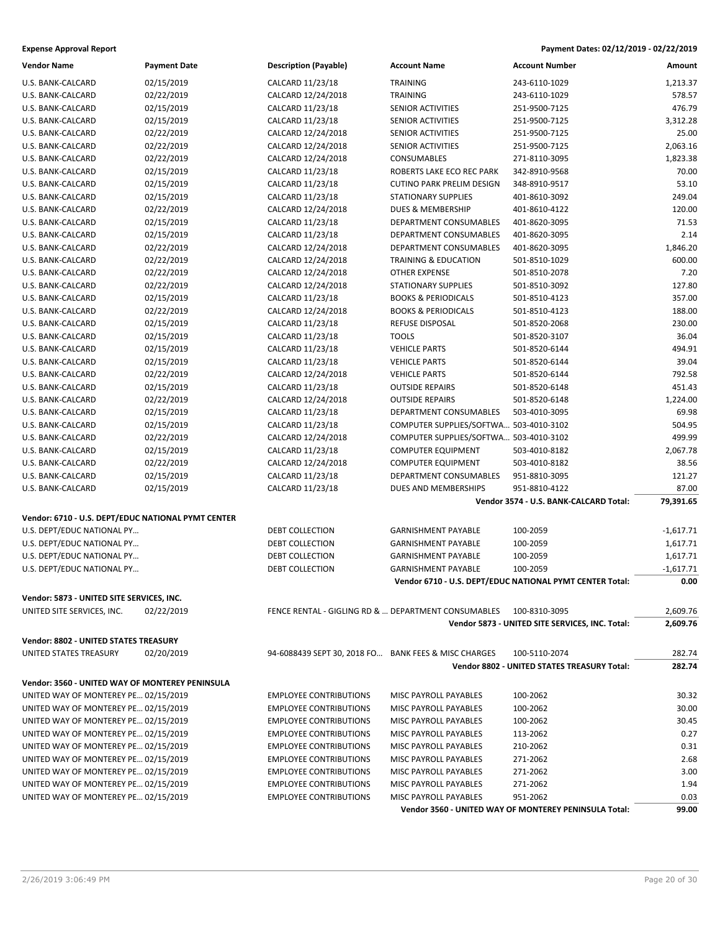| <b>Vendor Name</b>                                                           | <b>Payment Date</b>                                | <b>Description (Payable)</b>  | <b>Account Name</b>                                  | <b>Account Number</b>                                    | Amount      |
|------------------------------------------------------------------------------|----------------------------------------------------|-------------------------------|------------------------------------------------------|----------------------------------------------------------|-------------|
| U.S. BANK-CALCARD                                                            | 02/15/2019                                         | CALCARD 11/23/18              | <b>TRAINING</b>                                      | 243-6110-1029                                            | 1,213.37    |
| U.S. BANK-CALCARD                                                            | 02/22/2019                                         | CALCARD 12/24/2018            | <b>TRAINING</b>                                      | 243-6110-1029                                            | 578.57      |
| U.S. BANK-CALCARD                                                            | 02/15/2019                                         | CALCARD 11/23/18              | SENIOR ACTIVITIES                                    | 251-9500-7125                                            | 476.79      |
| U.S. BANK-CALCARD                                                            | 02/15/2019                                         | CALCARD 11/23/18              | SENIOR ACTIVITIES                                    | 251-9500-7125                                            | 3,312.28    |
| U.S. BANK-CALCARD                                                            | 02/22/2019                                         | CALCARD 12/24/2018            | SENIOR ACTIVITIES                                    | 251-9500-7125                                            | 25.00       |
| U.S. BANK-CALCARD                                                            | 02/22/2019                                         | CALCARD 12/24/2018            | SENIOR ACTIVITIES                                    | 251-9500-7125                                            | 2,063.16    |
| U.S. BANK-CALCARD                                                            | 02/22/2019                                         | CALCARD 12/24/2018            | CONSUMABLES                                          | 271-8110-3095                                            | 1,823.38    |
| U.S. BANK-CALCARD                                                            | 02/15/2019                                         | CALCARD 11/23/18              | ROBERTS LAKE ECO REC PARK                            | 342-8910-9568                                            | 70.00       |
| U.S. BANK-CALCARD                                                            | 02/15/2019                                         | CALCARD 11/23/18              | <b>CUTINO PARK PRELIM DESIGN</b>                     | 348-8910-9517                                            | 53.10       |
| U.S. BANK-CALCARD                                                            | 02/15/2019                                         | CALCARD 11/23/18              | <b>STATIONARY SUPPLIES</b>                           | 401-8610-3092                                            | 249.04      |
| U.S. BANK-CALCARD                                                            | 02/22/2019                                         | CALCARD 12/24/2018            | DUES & MEMBERSHIP                                    | 401-8610-4122                                            | 120.00      |
| U.S. BANK-CALCARD                                                            | 02/15/2019                                         | CALCARD 11/23/18              | <b>DEPARTMENT CONSUMABLES</b>                        | 401-8620-3095                                            | 71.53       |
| U.S. BANK-CALCARD                                                            | 02/15/2019                                         | CALCARD 11/23/18              | DEPARTMENT CONSUMABLES                               | 401-8620-3095                                            | 2.14        |
| U.S. BANK-CALCARD                                                            | 02/22/2019                                         | CALCARD 12/24/2018            | DEPARTMENT CONSUMABLES                               | 401-8620-3095                                            | 1,846.20    |
| U.S. BANK-CALCARD                                                            | 02/22/2019                                         | CALCARD 12/24/2018            | <b>TRAINING &amp; EDUCATION</b>                      | 501-8510-1029                                            | 600.00      |
| U.S. BANK-CALCARD                                                            | 02/22/2019                                         | CALCARD 12/24/2018            | <b>OTHER EXPENSE</b>                                 | 501-8510-2078                                            | 7.20        |
| U.S. BANK-CALCARD                                                            | 02/22/2019                                         | CALCARD 12/24/2018            | STATIONARY SUPPLIES                                  | 501-8510-3092                                            | 127.80      |
| U.S. BANK-CALCARD                                                            | 02/15/2019                                         | CALCARD 11/23/18              | <b>BOOKS &amp; PERIODICALS</b>                       | 501-8510-4123                                            | 357.00      |
| U.S. BANK-CALCARD                                                            | 02/22/2019                                         | CALCARD 12/24/2018            | <b>BOOKS &amp; PERIODICALS</b>                       | 501-8510-4123                                            | 188.00      |
| U.S. BANK-CALCARD                                                            | 02/15/2019                                         | CALCARD 11/23/18              | REFUSE DISPOSAL                                      | 501-8520-2068                                            | 230.00      |
| U.S. BANK-CALCARD                                                            | 02/15/2019                                         | CALCARD 11/23/18              | <b>TOOLS</b>                                         | 501-8520-3107                                            | 36.04       |
| U.S. BANK-CALCARD                                                            | 02/15/2019                                         | CALCARD 11/23/18              | <b>VEHICLE PARTS</b>                                 | 501-8520-6144                                            | 494.91      |
| U.S. BANK-CALCARD                                                            | 02/15/2019                                         | CALCARD 11/23/18              | <b>VEHICLE PARTS</b>                                 | 501-8520-6144                                            | 39.04       |
| U.S. BANK-CALCARD                                                            | 02/22/2019                                         | CALCARD 12/24/2018            | <b>VEHICLE PARTS</b>                                 | 501-8520-6144                                            | 792.58      |
| U.S. BANK-CALCARD                                                            | 02/15/2019                                         | CALCARD 11/23/18              | <b>OUTSIDE REPAIRS</b>                               | 501-8520-6148                                            | 451.43      |
| U.S. BANK-CALCARD                                                            | 02/22/2019                                         | CALCARD 12/24/2018            | <b>OUTSIDE REPAIRS</b>                               | 501-8520-6148                                            | 1,224.00    |
| U.S. BANK-CALCARD                                                            | 02/15/2019                                         | CALCARD 11/23/18              | DEPARTMENT CONSUMABLES                               | 503-4010-3095                                            | 69.98       |
| U.S. BANK-CALCARD                                                            | 02/15/2019                                         | CALCARD 11/23/18              | COMPUTER SUPPLIES/SOFTWA 503-4010-3102               |                                                          | 504.95      |
| U.S. BANK-CALCARD                                                            | 02/22/2019                                         | CALCARD 12/24/2018            | COMPUTER SUPPLIES/SOFTWA 503-4010-3102               |                                                          | 499.99      |
| U.S. BANK-CALCARD                                                            | 02/15/2019                                         | CALCARD 11/23/18              | <b>COMPUTER EQUIPMENT</b>                            | 503-4010-8182                                            | 2,067.78    |
| U.S. BANK-CALCARD                                                            | 02/22/2019                                         | CALCARD 12/24/2018            | <b>COMPUTER EQUIPMENT</b>                            | 503-4010-8182                                            | 38.56       |
| U.S. BANK-CALCARD                                                            | 02/15/2019                                         | CALCARD 11/23/18              | DEPARTMENT CONSUMABLES                               | 951-8810-3095                                            | 121.27      |
| U.S. BANK-CALCARD                                                            | 02/15/2019                                         | CALCARD 11/23/18              | DUES AND MEMBERSHIPS                                 | 951-8810-4122                                            | 87.00       |
|                                                                              |                                                    |                               |                                                      | Vendor 3574 - U.S. BANK-CALCARD Total:                   | 79,391.65   |
|                                                                              |                                                    |                               |                                                      |                                                          |             |
|                                                                              | Vendor: 6710 - U.S. DEPT/EDUC NATIONAL PYMT CENTER |                               |                                                      |                                                          |             |
| U.S. DEPT/EDUC NATIONAL PY                                                   |                                                    | DEBT COLLECTION               | <b>GARNISHMENT PAYABLE</b>                           | 100-2059                                                 | -1,617.71   |
| U.S. DEPT/EDUC NATIONAL PY                                                   |                                                    | DEBT COLLECTION               | <b>GARNISHMENT PAYABLE</b>                           | 100-2059                                                 | 1,617.71    |
| U.S. DEPT/EDUC NATIONAL PY                                                   |                                                    | DEBT COLLECTION               | <b>GARNISHMENT PAYABLE</b>                           | 100-2059                                                 | 1,617.71    |
| U.S. DEPT/EDUC NATIONAL PY                                                   |                                                    | DEBT COLLECTION               | <b>GARNISHMENT PAYABLE</b>                           | 100-2059                                                 | $-1,617.71$ |
|                                                                              |                                                    |                               |                                                      | Vendor 6710 - U.S. DEPT/EDUC NATIONAL PYMT CENTER Total: | 0.00        |
| Vendor: 5873 - UNITED SITE SERVICES, INC.                                    |                                                    |                               |                                                      |                                                          |             |
| UNITED SITE SERVICES, INC.                                                   | 02/22/2019                                         |                               | FENCE RENTAL - GIGLING RD &  DEPARTMENT CONSUMABLES  | 100-8310-3095                                            | 2,609.76    |
|                                                                              |                                                    |                               |                                                      | Vendor 5873 - UNITED SITE SERVICES, INC. Total:          | 2,609.76    |
| Vendor: 8802 - UNITED STATES TREASURY                                        |                                                    |                               |                                                      |                                                          |             |
| UNITED STATES TREASURY                                                       | 02/20/2019                                         |                               | 94-6088439 SEPT 30, 2018 FO BANK FEES & MISC CHARGES | 100-5110-2074                                            | 282.74      |
|                                                                              |                                                    |                               |                                                      | <b>Vendor 8802 - UNITED STATES TREASURY Total:</b>       | 282.74      |
| Vendor: 3560 - UNITED WAY OF MONTEREY PENINSULA                              |                                                    |                               |                                                      |                                                          |             |
| UNITED WAY OF MONTEREY PE 02/15/2019                                         |                                                    | <b>EMPLOYEE CONTRIBUTIONS</b> | MISC PAYROLL PAYABLES                                | 100-2062                                                 | 30.32       |
| UNITED WAY OF MONTEREY PE 02/15/2019                                         |                                                    | <b>EMPLOYEE CONTRIBUTIONS</b> | MISC PAYROLL PAYABLES                                | 100-2062                                                 | 30.00       |
| UNITED WAY OF MONTEREY PE 02/15/2019                                         |                                                    | <b>EMPLOYEE CONTRIBUTIONS</b> | MISC PAYROLL PAYABLES                                | 100-2062                                                 | 30.45       |
| UNITED WAY OF MONTEREY PE 02/15/2019                                         |                                                    | <b>EMPLOYEE CONTRIBUTIONS</b> | MISC PAYROLL PAYABLES                                | 113-2062                                                 | 0.27        |
| UNITED WAY OF MONTEREY PE 02/15/2019                                         |                                                    | <b>EMPLOYEE CONTRIBUTIONS</b> | MISC PAYROLL PAYABLES                                | 210-2062                                                 | 0.31        |
| UNITED WAY OF MONTEREY PE 02/15/2019                                         |                                                    | <b>EMPLOYEE CONTRIBUTIONS</b> | MISC PAYROLL PAYABLES                                | 271-2062                                                 | 2.68        |
| UNITED WAY OF MONTEREY PE 02/15/2019                                         |                                                    | <b>EMPLOYEE CONTRIBUTIONS</b> | MISC PAYROLL PAYABLES                                | 271-2062                                                 | 3.00        |
|                                                                              |                                                    | <b>EMPLOYEE CONTRIBUTIONS</b> | MISC PAYROLL PAYABLES                                | 271-2062                                                 | 1.94        |
| UNITED WAY OF MONTEREY PE 02/15/2019<br>UNITED WAY OF MONTEREY PE 02/15/2019 |                                                    | <b>EMPLOYEE CONTRIBUTIONS</b> | MISC PAYROLL PAYABLES                                | 951-2062                                                 | 0.03        |
|                                                                              |                                                    |                               |                                                      | Vendor 3560 - UNITED WAY OF MONTEREY PENINSULA Total:    | 99.00       |
|                                                                              |                                                    |                               |                                                      |                                                          |             |

2/26/2019 3:06:49 PM Page 20 of 30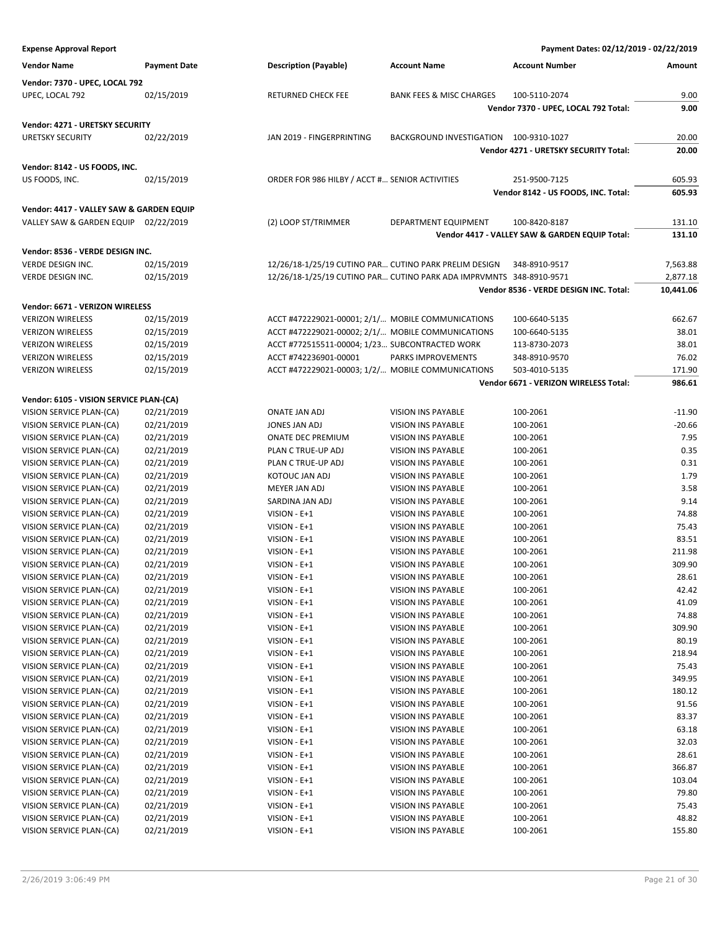| <b>Expense Approval Report</b>           |                     |                                                                     |                                        | Payment Dates: 02/12/2019 - 02/22/2019         |           |
|------------------------------------------|---------------------|---------------------------------------------------------------------|----------------------------------------|------------------------------------------------|-----------|
| <b>Vendor Name</b>                       | <b>Payment Date</b> | <b>Description (Payable)</b>                                        | <b>Account Name</b>                    | <b>Account Number</b>                          | Amount    |
| Vendor: 7370 - UPEC, LOCAL 792           |                     |                                                                     |                                        |                                                |           |
| UPEC, LOCAL 792                          | 02/15/2019          | RETURNED CHECK FEE                                                  | <b>BANK FEES &amp; MISC CHARGES</b>    | 100-5110-2074                                  | 9.00      |
|                                          |                     |                                                                     |                                        | Vendor 7370 - UPEC, LOCAL 792 Total:           | 9.00      |
| Vendor: 4271 - URETSKY SECURITY          |                     |                                                                     |                                        |                                                |           |
| <b>URETSKY SECURITY</b>                  | 02/22/2019          | JAN 2019 - FINGERPRINTING                                           | BACKGROUND INVESTIGATION 100-9310-1027 |                                                | 20.00     |
|                                          |                     |                                                                     |                                        | Vendor 4271 - URETSKY SECURITY Total:          | 20.00     |
|                                          |                     |                                                                     |                                        |                                                |           |
| Vendor: 8142 - US FOODS, INC.            |                     |                                                                     |                                        |                                                |           |
| US FOODS, INC.                           | 02/15/2019          | ORDER FOR 986 HILBY / ACCT # SENIOR ACTIVITIES                      |                                        | 251-9500-7125                                  | 605.93    |
|                                          |                     |                                                                     |                                        | Vendor 8142 - US FOODS, INC. Total:            | 605.93    |
| Vendor: 4417 - VALLEY SAW & GARDEN EQUIP |                     |                                                                     |                                        |                                                |           |
| VALLEY SAW & GARDEN EQUIP 02/22/2019     |                     | (2) LOOP ST/TRIMMER                                                 | DEPARTMENT EQUIPMENT                   | 100-8420-8187                                  | 131.10    |
|                                          |                     |                                                                     |                                        | Vendor 4417 - VALLEY SAW & GARDEN EQUIP Total: | 131.10    |
| Vendor: 8536 - VERDE DESIGN INC.         |                     |                                                                     |                                        |                                                |           |
| VERDE DESIGN INC.                        | 02/15/2019          | 12/26/18-1/25/19 CUTINO PAR CUTINO PARK PRELIM DESIGN               |                                        | 348-8910-9517                                  | 7,563.88  |
| VERDE DESIGN INC.                        | 02/15/2019          | 12/26/18-1/25/19 CUTINO PAR CUTINO PARK ADA IMPRVMNTS 348-8910-9571 |                                        |                                                | 2,877.18  |
|                                          |                     |                                                                     |                                        | Vendor 8536 - VERDE DESIGN INC. Total:         | 10,441.06 |
| Vendor: 6671 - VERIZON WIRELESS          |                     |                                                                     |                                        |                                                |           |
| <b>VERIZON WIRELESS</b>                  | 02/15/2019          | ACCT #472229021-00001; 2/1/ MOBILE COMMUNICATIONS                   |                                        | 100-6640-5135                                  | 662.67    |
| <b>VERIZON WIRELESS</b>                  | 02/15/2019          | ACCT #472229021-00002; 2/1/ MOBILE COMMUNICATIONS                   |                                        | 100-6640-5135                                  | 38.01     |
| <b>VERIZON WIRELESS</b>                  | 02/15/2019          | ACCT #772515511-00004; 1/23 SUBCONTRACTED WORK                      |                                        | 113-8730-2073                                  | 38.01     |
| <b>VERIZON WIRELESS</b>                  | 02/15/2019          | ACCT #742236901-00001                                               | PARKS IMPROVEMENTS                     | 348-8910-9570                                  | 76.02     |
| <b>VERIZON WIRELESS</b>                  | 02/15/2019          | ACCT #472229021-00003; 1/2/ MOBILE COMMUNICATIONS                   |                                        | 503-4010-5135                                  | 171.90    |
|                                          |                     |                                                                     |                                        | Vendor 6671 - VERIZON WIRELESS Total:          | 986.61    |
| Vendor: 6105 - VISION SERVICE PLAN-(CA)  |                     |                                                                     |                                        |                                                |           |
| VISION SERVICE PLAN-(CA)                 | 02/21/2019          | <b>ONATE JAN ADJ</b>                                                | <b>VISION INS PAYABLE</b>              | 100-2061                                       | $-11.90$  |
| VISION SERVICE PLAN-(CA)                 | 02/21/2019          | JONES JAN ADJ                                                       | VISION INS PAYABLE                     | 100-2061                                       | $-20.66$  |
| VISION SERVICE PLAN-(CA)                 | 02/21/2019          | <b>ONATE DEC PREMIUM</b>                                            | <b>VISION INS PAYABLE</b>              | 100-2061                                       | 7.95      |
| VISION SERVICE PLAN-(CA)                 | 02/21/2019          | PLAN C TRUE-UP ADJ                                                  | <b>VISION INS PAYABLE</b>              | 100-2061                                       | 0.35      |
| VISION SERVICE PLAN-(CA)                 | 02/21/2019          | PLAN C TRUE-UP ADJ                                                  | VISION INS PAYABLE                     | 100-2061                                       | 0.31      |
| VISION SERVICE PLAN-(CA)                 | 02/21/2019          | KOTOUC JAN ADJ                                                      | VISION INS PAYABLE                     | 100-2061                                       | 1.79      |
| VISION SERVICE PLAN-(CA)                 | 02/21/2019          | MEYER JAN ADJ                                                       | VISION INS PAYABLE                     | 100-2061                                       | 3.58      |
| VISION SERVICE PLAN-(CA)                 | 02/21/2019          | SARDINA JAN ADJ                                                     | <b>VISION INS PAYABLE</b>              | 100-2061                                       | 9.14      |
| VISION SERVICE PLAN-(CA)                 | 02/21/2019          | VISION - E+1                                                        | VISION INS PAYABLE                     | 100-2061                                       | 74.88     |
| VISION SERVICE PLAN-(CA)                 | 02/21/2019          | VISION - E+1                                                        | VISION INS PAYABLE                     | 100-2061                                       | 75.43     |
| VISION SERVICE PLAN-(CA)                 | 02/21/2019          | VISION - E+1                                                        | VISION INS PAYABLE                     | 100-2061                                       | 83.51     |
| VISION SERVICE PLAN-(CA)                 | 02/21/2019          | VISION - E+1                                                        | <b>VISION INS PAYABLE</b>              | 100-2061                                       | 211.98    |
| VISION SERVICE PLAN-(CA)                 | 02/21/2019          | VISION - E+1                                                        | VISION INS PAYABLE                     | 100-2061                                       | 309.90    |
| VISION SERVICE PLAN-(CA)                 | 02/21/2019          | VISION - E+1                                                        | VISION INS PAYABLE                     | 100-2061                                       | 28.61     |
| VISION SERVICE PLAN-(CA)                 | 02/21/2019          | VISION - E+1                                                        | <b>VISION INS PAYABLE</b>              | 100-2061                                       | 42.42     |
| VISION SERVICE PLAN-(CA)                 | 02/21/2019          | VISION - E+1                                                        | VISION INS PAYABLE                     | 100-2061                                       | 41.09     |
| VISION SERVICE PLAN-(CA)                 | 02/21/2019          | VISION - E+1                                                        | VISION INS PAYABLE                     | 100-2061                                       | 74.88     |
| VISION SERVICE PLAN-(CA)                 | 02/21/2019          | VISION - E+1                                                        | VISION INS PAYABLE                     | 100-2061                                       | 309.90    |
| VISION SERVICE PLAN-(CA)                 | 02/21/2019          | VISION - E+1                                                        | VISION INS PAYABLE                     | 100-2061                                       | 80.19     |
| VISION SERVICE PLAN-(CA)                 | 02/21/2019          | VISION - E+1                                                        | VISION INS PAYABLE                     | 100-2061                                       | 218.94    |
| VISION SERVICE PLAN-(CA)                 | 02/21/2019          | VISION - E+1                                                        | VISION INS PAYABLE                     | 100-2061                                       | 75.43     |
| VISION SERVICE PLAN-(CA)                 | 02/21/2019          | VISION - E+1                                                        | <b>VISION INS PAYABLE</b>              | 100-2061                                       | 349.95    |
| VISION SERVICE PLAN-(CA)                 | 02/21/2019          | VISION - E+1                                                        | VISION INS PAYABLE                     | 100-2061                                       | 180.12    |
| VISION SERVICE PLAN-(CA)                 | 02/21/2019          | VISION - E+1                                                        | VISION INS PAYABLE                     | 100-2061                                       | 91.56     |
| VISION SERVICE PLAN-(CA)                 | 02/21/2019          | VISION - E+1                                                        | VISION INS PAYABLE                     | 100-2061                                       | 83.37     |
| VISION SERVICE PLAN-(CA)                 | 02/21/2019          | VISION - E+1                                                        | VISION INS PAYABLE                     | 100-2061                                       | 63.18     |
| VISION SERVICE PLAN-(CA)                 | 02/21/2019          | VISION - E+1                                                        | VISION INS PAYABLE                     | 100-2061                                       | 32.03     |
| VISION SERVICE PLAN-(CA)                 | 02/21/2019          | VISION - E+1                                                        | VISION INS PAYABLE                     | 100-2061                                       | 28.61     |
| VISION SERVICE PLAN-(CA)                 | 02/21/2019          | VISION - E+1                                                        | VISION INS PAYABLE                     | 100-2061                                       | 366.87    |
| VISION SERVICE PLAN-(CA)                 | 02/21/2019          | VISION - E+1                                                        | VISION INS PAYABLE                     | 100-2061                                       | 103.04    |
| VISION SERVICE PLAN-(CA)                 | 02/21/2019          | VISION - E+1                                                        | VISION INS PAYABLE                     | 100-2061                                       | 79.80     |
| VISION SERVICE PLAN-(CA)                 | 02/21/2019          | VISION - E+1                                                        | VISION INS PAYABLE                     | 100-2061                                       | 75.43     |

VISION SERVICE PLAN-(CA) 02/21/2019 VISION - E+1 VISION INS PAYABLE 100-2061 48.82 VISION SERVICE PLAN-(CA) 02/21/2019 VISION - E+1 VISION INS PAYABLE 100-2061 155.80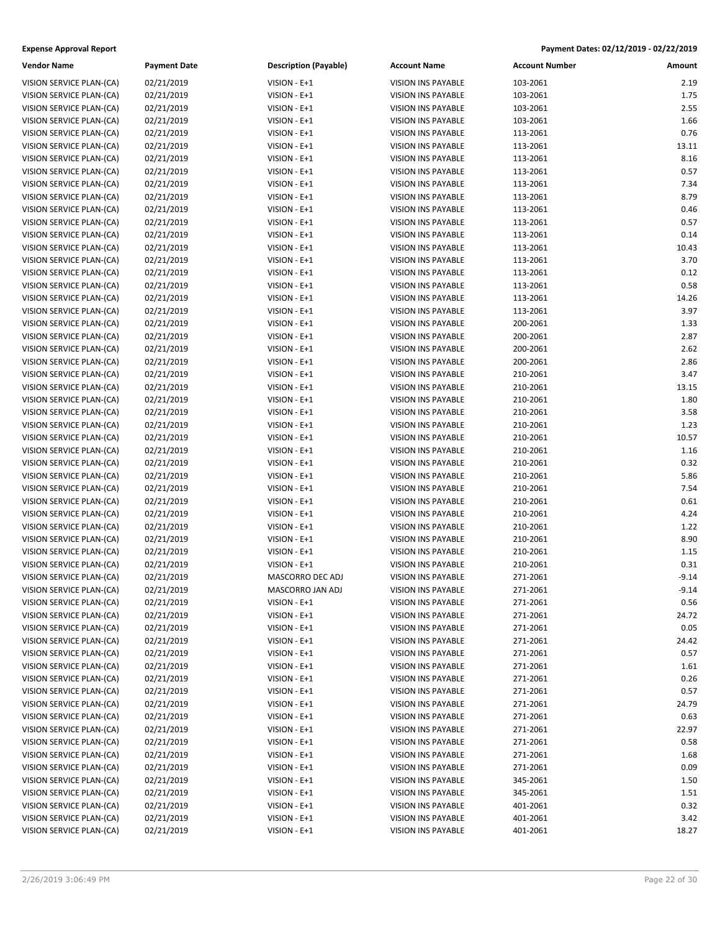| <b>Vendor Name</b>       | <b>Payment Date</b> | <b>Description (Payable)</b> | <b>Account Name</b>       | <b>Account Number</b> | Amount        |
|--------------------------|---------------------|------------------------------|---------------------------|-----------------------|---------------|
| VISION SERVICE PLAN-(CA) | 02/21/2019          | VISION - E+1                 | <b>VISION INS PAYABLE</b> | 103-2061              | 2.19          |
| VISION SERVICE PLAN-(CA) | 02/21/2019          | VISION - E+1                 | VISION INS PAYABLE        | 103-2061              | 1.75          |
| VISION SERVICE PLAN-(CA) | 02/21/2019          | VISION - E+1                 | <b>VISION INS PAYABLE</b> | 103-2061              | 2.55          |
| VISION SERVICE PLAN-(CA) | 02/21/2019          | VISION - E+1                 | <b>VISION INS PAYABLE</b> | 103-2061              | 1.66          |
| VISION SERVICE PLAN-(CA) | 02/21/2019          | VISION - E+1                 | VISION INS PAYABLE        | 113-2061              | 0.76          |
| VISION SERVICE PLAN-(CA) | 02/21/2019          | VISION - E+1                 | VISION INS PAYABLE        | 113-2061              | 13.11         |
| VISION SERVICE PLAN-(CA) | 02/21/2019          | VISION - E+1                 | VISION INS PAYABLE        | 113-2061              | 8.16          |
| VISION SERVICE PLAN-(CA) | 02/21/2019          | VISION - E+1                 | VISION INS PAYABLE        | 113-2061              | 0.57          |
| VISION SERVICE PLAN-(CA) | 02/21/2019          | VISION - E+1                 | <b>VISION INS PAYABLE</b> | 113-2061              | 7.34          |
| VISION SERVICE PLAN-(CA) | 02/21/2019          | VISION - E+1                 | VISION INS PAYABLE        | 113-2061              | 8.79          |
| VISION SERVICE PLAN-(CA) | 02/21/2019          | VISION - E+1                 | <b>VISION INS PAYABLE</b> | 113-2061              | 0.46          |
| VISION SERVICE PLAN-(CA) | 02/21/2019          | VISION - E+1                 | VISION INS PAYABLE        | 113-2061              | 0.57          |
| VISION SERVICE PLAN-(CA) | 02/21/2019          | VISION - E+1                 | <b>VISION INS PAYABLE</b> | 113-2061              | 0.14          |
| VISION SERVICE PLAN-(CA) | 02/21/2019          | VISION - E+1                 | <b>VISION INS PAYABLE</b> | 113-2061              | 10.43         |
| VISION SERVICE PLAN-(CA) | 02/21/2019          | VISION - E+1                 | VISION INS PAYABLE        | 113-2061              | 3.70          |
| VISION SERVICE PLAN-(CA) | 02/21/2019          | VISION - E+1                 | VISION INS PAYABLE        | 113-2061              | 0.12          |
| VISION SERVICE PLAN-(CA) | 02/21/2019          | VISION - E+1                 | VISION INS PAYABLE        | 113-2061              | 0.58          |
| VISION SERVICE PLAN-(CA) | 02/21/2019          | VISION - E+1                 | VISION INS PAYABLE        | 113-2061              | 14.26         |
| VISION SERVICE PLAN-(CA) | 02/21/2019          | VISION - E+1                 | <b>VISION INS PAYABLE</b> | 113-2061              | 3.97          |
| VISION SERVICE PLAN-(CA) | 02/21/2019          | VISION - E+1                 | VISION INS PAYABLE        | 200-2061              | 1.33          |
| VISION SERVICE PLAN-(CA) | 02/21/2019          | VISION - E+1                 | <b>VISION INS PAYABLE</b> | 200-2061              | 2.87          |
| VISION SERVICE PLAN-(CA) | 02/21/2019          | VISION - E+1                 | VISION INS PAYABLE        | 200-2061              | 2.62          |
| VISION SERVICE PLAN-(CA) | 02/21/2019          | VISION - E+1                 | <b>VISION INS PAYABLE</b> | 200-2061              | 2.86          |
| VISION SERVICE PLAN-(CA) |                     | VISION - E+1                 | <b>VISION INS PAYABLE</b> | 210-2061              | 3.47          |
|                          | 02/21/2019          |                              |                           |                       |               |
| VISION SERVICE PLAN-(CA) | 02/21/2019          | VISION - E+1<br>VISION - E+1 | VISION INS PAYABLE        | 210-2061              | 13.15<br>1.80 |
| VISION SERVICE PLAN-(CA) | 02/21/2019          |                              | VISION INS PAYABLE        | 210-2061              |               |
| VISION SERVICE PLAN-(CA) | 02/21/2019          | VISION - E+1                 | VISION INS PAYABLE        | 210-2061              | 3.58          |
| VISION SERVICE PLAN-(CA) | 02/21/2019          | VISION - E+1                 | <b>VISION INS PAYABLE</b> | 210-2061              | 1.23          |
| VISION SERVICE PLAN-(CA) | 02/21/2019          | VISION - E+1                 | <b>VISION INS PAYABLE</b> | 210-2061              | 10.57         |
| VISION SERVICE PLAN-(CA) | 02/21/2019          | VISION - E+1                 | VISION INS PAYABLE        | 210-2061              | 1.16          |
| VISION SERVICE PLAN-(CA) | 02/21/2019          | VISION - E+1                 | <b>VISION INS PAYABLE</b> | 210-2061              | 0.32          |
| VISION SERVICE PLAN-(CA) | 02/21/2019          | VISION - E+1                 | VISION INS PAYABLE        | 210-2061              | 5.86          |
| VISION SERVICE PLAN-(CA) | 02/21/2019          | VISION - E+1                 | VISION INS PAYABLE        | 210-2061              | 7.54          |
| VISION SERVICE PLAN-(CA) | 02/21/2019          | VISION - E+1                 | <b>VISION INS PAYABLE</b> | 210-2061              | 0.61          |
| VISION SERVICE PLAN-(CA) | 02/21/2019          | VISION - E+1                 | VISION INS PAYABLE        | 210-2061              | 4.24          |
| VISION SERVICE PLAN-(CA) | 02/21/2019          | VISION - E+1                 | VISION INS PAYABLE        | 210-2061              | 1.22          |
| VISION SERVICE PLAN-(CA) | 02/21/2019          | VISION - E+1                 | VISION INS PAYABLE        | 210-2061              | 8.90          |
| VISION SERVICE PLAN-(CA) | 02/21/2019          | VISION - E+1                 | VISION INS PAYABLE        | 210-2061              | 1.15          |
| VISION SERVICE PLAN-(CA) | 02/21/2019          | VISION - E+1                 | <b>VISION INS PAYABLE</b> | 210-2061              | 0.31          |
| VISION SERVICE PLAN-(CA) | 02/21/2019          | MASCORRO DEC ADJ             | <b>VISION INS PAYABLE</b> | 271-2061              | $-9.14$       |
| VISION SERVICE PLAN-(CA) | 02/21/2019          | MASCORRO JAN ADJ             | <b>VISION INS PAYABLE</b> | 271-2061              | $-9.14$       |
| VISION SERVICE PLAN-(CA) | 02/21/2019          | VISION - E+1                 | VISION INS PAYABLE        | 271-2061              | 0.56          |
| VISION SERVICE PLAN-(CA) | 02/21/2019          | VISION - E+1                 | <b>VISION INS PAYABLE</b> | 271-2061              | 24.72         |
| VISION SERVICE PLAN-(CA) | 02/21/2019          | VISION - E+1                 | <b>VISION INS PAYABLE</b> | 271-2061              | 0.05          |
| VISION SERVICE PLAN-(CA) | 02/21/2019          | VISION - E+1                 | VISION INS PAYABLE        | 271-2061              | 24.42         |
| VISION SERVICE PLAN-(CA) | 02/21/2019          | VISION - E+1                 | <b>VISION INS PAYABLE</b> | 271-2061              | 0.57          |
| VISION SERVICE PLAN-(CA) | 02/21/2019          | VISION - E+1                 | VISION INS PAYABLE        | 271-2061              | 1.61          |
| VISION SERVICE PLAN-(CA) | 02/21/2019          | VISION - E+1                 | <b>VISION INS PAYABLE</b> | 271-2061              | 0.26          |
| VISION SERVICE PLAN-(CA) | 02/21/2019          | VISION - E+1                 | VISION INS PAYABLE        | 271-2061              | 0.57          |
| VISION SERVICE PLAN-(CA) | 02/21/2019          | VISION - E+1                 | VISION INS PAYABLE        | 271-2061              | 24.79         |
| VISION SERVICE PLAN-(CA) | 02/21/2019          | VISION - E+1                 | VISION INS PAYABLE        | 271-2061              | 0.63          |
| VISION SERVICE PLAN-(CA) | 02/21/2019          | VISION - E+1                 | VISION INS PAYABLE        | 271-2061              | 22.97         |
| VISION SERVICE PLAN-(CA) | 02/21/2019          | VISION - E+1                 | VISION INS PAYABLE        | 271-2061              | 0.58          |
| VISION SERVICE PLAN-(CA) | 02/21/2019          | VISION - E+1                 | VISION INS PAYABLE        | 271-2061              | 1.68          |
| VISION SERVICE PLAN-(CA) | 02/21/2019          | VISION - E+1                 | VISION INS PAYABLE        | 271-2061              | 0.09          |
| VISION SERVICE PLAN-(CA) | 02/21/2019          | VISION - E+1                 | VISION INS PAYABLE        | 345-2061              | 1.50          |
| VISION SERVICE PLAN-(CA) | 02/21/2019          | VISION - E+1                 | VISION INS PAYABLE        | 345-2061              | 1.51          |
| VISION SERVICE PLAN-(CA) | 02/21/2019          | VISION - E+1                 | VISION INS PAYABLE        | 401-2061              | 0.32          |
| VISION SERVICE PLAN-(CA) | 02/21/2019          | VISION - E+1                 | VISION INS PAYABLE        | 401-2061              | 3.42          |
| VISION SERVICE PLAN-(CA) | 02/21/2019          | $VISION - E + 1$             | VISION INS PAYABLE        | 401-2061              | 18.27         |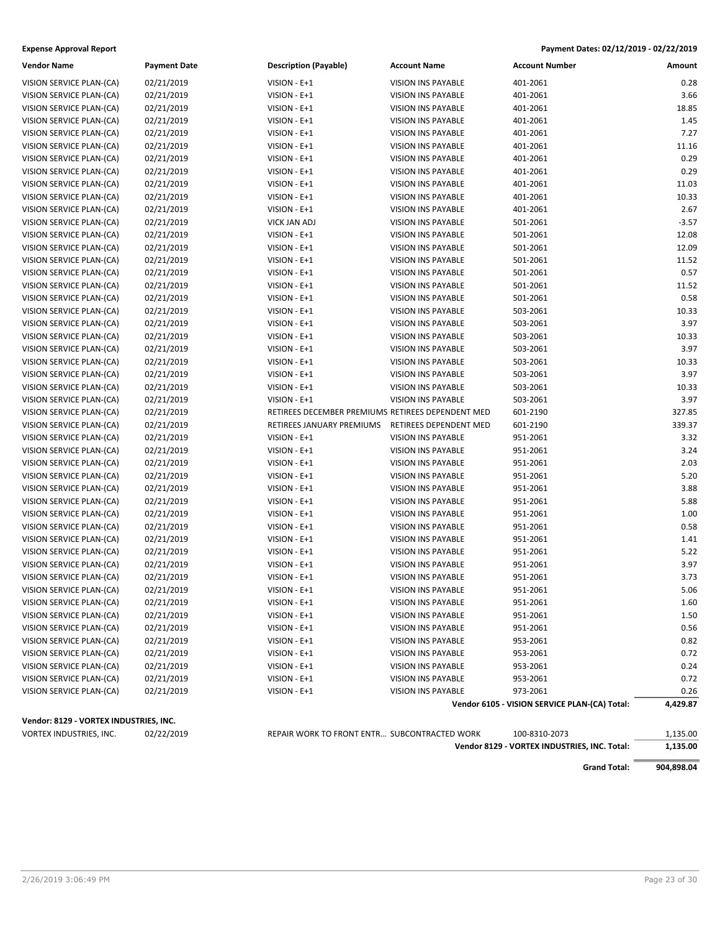| <b>Vendor Name</b>                     | <b>Payment Date</b> | <b>Description (Payable)</b>                      | <b>Account Name</b>       | <b>Account Number</b>                         | Amount   |
|----------------------------------------|---------------------|---------------------------------------------------|---------------------------|-----------------------------------------------|----------|
| VISION SERVICE PLAN-(CA)               | 02/21/2019          | VISION - E+1                                      | <b>VISION INS PAYABLE</b> | 401-2061                                      | 0.28     |
| VISION SERVICE PLAN-(CA)               | 02/21/2019          | VISION - E+1                                      | VISION INS PAYABLE        | 401-2061                                      | 3.66     |
| VISION SERVICE PLAN-(CA)               | 02/21/2019          | VISION - E+1                                      | <b>VISION INS PAYABLE</b> | 401-2061                                      | 18.85    |
| VISION SERVICE PLAN-(CA)               | 02/21/2019          | VISION - E+1                                      | <b>VISION INS PAYABLE</b> | 401-2061                                      | 1.45     |
| VISION SERVICE PLAN-(CA)               | 02/21/2019          | VISION - E+1                                      | VISION INS PAYABLE        | 401-2061                                      | 7.27     |
| VISION SERVICE PLAN-(CA)               | 02/21/2019          | VISION - E+1                                      | <b>VISION INS PAYABLE</b> | 401-2061                                      | 11.16    |
| VISION SERVICE PLAN-(CA)               | 02/21/2019          | VISION - E+1                                      | VISION INS PAYABLE        | 401-2061                                      | 0.29     |
| VISION SERVICE PLAN-(CA)               | 02/21/2019          | VISION - E+1                                      | VISION INS PAYABLE        | 401-2061                                      | 0.29     |
| VISION SERVICE PLAN-(CA)               | 02/21/2019          | VISION - E+1                                      | <b>VISION INS PAYABLE</b> | 401-2061                                      | 11.03    |
| VISION SERVICE PLAN-(CA)               | 02/21/2019          | VISION - E+1                                      | <b>VISION INS PAYABLE</b> | 401-2061                                      | 10.33    |
| VISION SERVICE PLAN-(CA)               | 02/21/2019          | VISION - E+1                                      | VISION INS PAYABLE        | 401-2061                                      | 2.67     |
| VISION SERVICE PLAN-(CA)               | 02/21/2019          | <b>VICK JAN ADJ</b>                               | <b>VISION INS PAYABLE</b> | 501-2061                                      | $-3.57$  |
| VISION SERVICE PLAN-(CA)               | 02/21/2019          | VISION - E+1                                      | VISION INS PAYABLE        | 501-2061                                      | 12.08    |
| VISION SERVICE PLAN-(CA)               | 02/21/2019          | VISION - E+1                                      | VISION INS PAYABLE        | 501-2061                                      | 12.09    |
|                                        |                     |                                                   |                           |                                               |          |
| VISION SERVICE PLAN-(CA)               | 02/21/2019          | VISION - E+1                                      | VISION INS PAYABLE        | 501-2061                                      | 11.52    |
| VISION SERVICE PLAN-(CA)               | 02/21/2019          | VISION - E+1                                      | <b>VISION INS PAYABLE</b> | 501-2061                                      | 0.57     |
| VISION SERVICE PLAN-(CA)               | 02/21/2019          | VISION - E+1                                      | VISION INS PAYABLE        | 501-2061                                      | 11.52    |
| VISION SERVICE PLAN-(CA)               | 02/21/2019          | VISION - E+1                                      | VISION INS PAYABLE        | 501-2061                                      | 0.58     |
| VISION SERVICE PLAN-(CA)               | 02/21/2019          | VISION - E+1                                      | <b>VISION INS PAYABLE</b> | 503-2061                                      | 10.33    |
| VISION SERVICE PLAN-(CA)               | 02/21/2019          | VISION - E+1                                      | <b>VISION INS PAYABLE</b> | 503-2061                                      | 3.97     |
| VISION SERVICE PLAN-(CA)               | 02/21/2019          | VISION - E+1                                      | VISION INS PAYABLE        | 503-2061                                      | 10.33    |
| VISION SERVICE PLAN-(CA)               | 02/21/2019          | VISION - E+1                                      | <b>VISION INS PAYABLE</b> | 503-2061                                      | 3.97     |
| VISION SERVICE PLAN-(CA)               | 02/21/2019          | VISION - E+1                                      | <b>VISION INS PAYABLE</b> | 503-2061                                      | 10.33    |
| VISION SERVICE PLAN-(CA)               | 02/21/2019          | VISION - E+1                                      | <b>VISION INS PAYABLE</b> | 503-2061                                      | 3.97     |
| VISION SERVICE PLAN-(CA)               | 02/21/2019          | VISION - E+1                                      | VISION INS PAYABLE        | 503-2061                                      | 10.33    |
| VISION SERVICE PLAN-(CA)               | 02/21/2019          | VISION - E+1                                      | <b>VISION INS PAYABLE</b> | 503-2061                                      | 3.97     |
| VISION SERVICE PLAN-(CA)               | 02/21/2019          | RETIREES DECEMBER PREMIUMS RETIREES DEPENDENT MED |                           | 601-2190                                      | 327.85   |
| VISION SERVICE PLAN-(CA)               | 02/21/2019          | RETIREES JANUARY PREMIUMS                         | RETIREES DEPENDENT MED    | 601-2190                                      | 339.37   |
| VISION SERVICE PLAN-(CA)               | 02/21/2019          | VISION - E+1                                      | <b>VISION INS PAYABLE</b> | 951-2061                                      | 3.32     |
| VISION SERVICE PLAN-(CA)               | 02/21/2019          | VISION - E+1                                      | <b>VISION INS PAYABLE</b> | 951-2061                                      | 3.24     |
| VISION SERVICE PLAN-(CA)               | 02/21/2019          | VISION - E+1                                      | <b>VISION INS PAYABLE</b> | 951-2061                                      | 2.03     |
| VISION SERVICE PLAN-(CA)               | 02/21/2019          | VISION - E+1                                      | VISION INS PAYABLE        | 951-2061                                      | 5.20     |
| VISION SERVICE PLAN-(CA)               | 02/21/2019          | VISION - E+1                                      | VISION INS PAYABLE        | 951-2061                                      | 3.88     |
| VISION SERVICE PLAN-(CA)               | 02/21/2019          | VISION - E+1                                      | VISION INS PAYABLE        | 951-2061                                      | 5.88     |
| VISION SERVICE PLAN-(CA)               | 02/21/2019          | VISION - E+1                                      | VISION INS PAYABLE        | 951-2061                                      | 1.00     |
| VISION SERVICE PLAN-(CA)               | 02/21/2019          | VISION - E+1                                      | <b>VISION INS PAYABLE</b> | 951-2061                                      | 0.58     |
| VISION SERVICE PLAN-(CA)               | 02/21/2019          | VISION - E+1                                      | <b>VISION INS PAYABLE</b> | 951-2061                                      | 1.41     |
| VISION SERVICE PLAN-(CA)               | 02/21/2019          | VISION - E+1                                      | VISION INS PAYABLE        | 951-2061                                      | 5.22     |
| VISION SERVICE PLAN-(CA)               | 02/21/2019          | VISION - E+1                                      | <b>VISION INS PAYABLE</b> | 951-2061                                      | 3.97     |
| VISION SERVICE PLAN-(CA)               | 02/21/2019          | VISION - E+1                                      | <b>VISION INS PAYABLE</b> | 951-2061                                      | 3.73     |
| VISION SERVICE PLAN-(CA)               | 02/21/2019          | VISION - E+1                                      | <b>VISION INS PAYABLE</b> | 951-2061                                      | 5.06     |
| VISION SERVICE PLAN-(CA)               | 02/21/2019          | VISION - E+1                                      | VISION INS PAYABLE        | 951-2061                                      | 1.60     |
| VISION SERVICE PLAN-(CA)               | 02/21/2019          | VISION - E+1                                      | VISION INS PAYABLE        | 951-2061                                      | 1.50     |
| VISION SERVICE PLAN-(CA)               | 02/21/2019          | VISION - E+1                                      | <b>VISION INS PAYABLE</b> | 951-2061                                      | 0.56     |
| VISION SERVICE PLAN-(CA)               | 02/21/2019          | VISION - E+1                                      | VISION INS PAYABLE        | 953-2061                                      | 0.82     |
| VISION SERVICE PLAN-(CA)               | 02/21/2019          | VISION - E+1                                      | VISION INS PAYABLE        | 953-2061                                      | 0.72     |
| VISION SERVICE PLAN-(CA)               | 02/21/2019          | VISION - E+1                                      | VISION INS PAYABLE        | 953-2061                                      | 0.24     |
| VISION SERVICE PLAN-(CA)               | 02/21/2019          | VISION - E+1                                      | VISION INS PAYABLE        | 953-2061                                      | 0.72     |
| VISION SERVICE PLAN-(CA)               | 02/21/2019          | VISION - E+1                                      | VISION INS PAYABLE        | 973-2061                                      | 0.26     |
|                                        |                     |                                                   |                           | Vendor 6105 - VISION SERVICE PLAN-(CA) Total: | 4,429.87 |
|                                        |                     |                                                   |                           |                                               |          |
| Vendor: 8129 - VORTEX INDUSTRIES, INC. |                     |                                                   |                           |                                               |          |
| VORTEX INDUSTRIES, INC.                | 02/22/2019          | REPAIR WORK TO FRONT ENTR SUBCONTRACTED WORK      |                           | 100-8310-2073                                 | 1,135.00 |

**Vendor 8129 - VORTEX INDUSTRIES, INC. Total: 1,135.00**

**Grand Total: 904,898.04**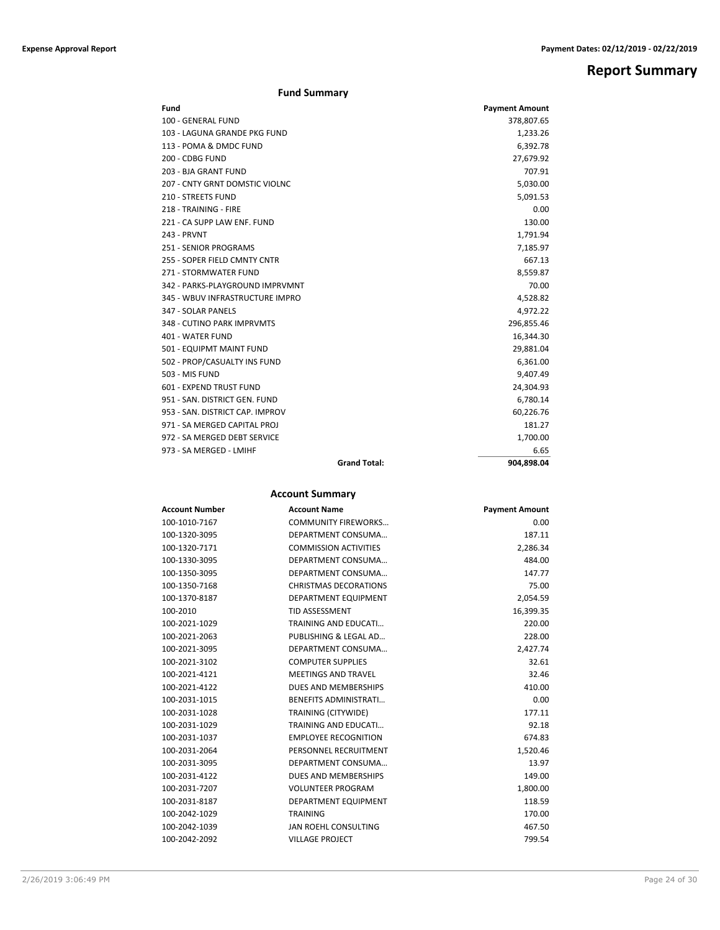## **Report Summary**

| Fund                            |                     | <b>Payment Amount</b> |
|---------------------------------|---------------------|-----------------------|
| 100 - GENERAL FUND              |                     | 378,807.65            |
| 103 - LAGUNA GRANDE PKG FUND    |                     | 1,233.26              |
| 113 - POMA & DMDC FUND          |                     | 6,392.78              |
| 200 - CDBG FUND                 |                     | 27,679.92             |
| 203 - BJA GRANT FUND            |                     | 707.91                |
| 207 - CNTY GRNT DOMSTIC VIOLNC  |                     | 5,030.00              |
| 210 - STREETS FUND              |                     | 5,091.53              |
| 218 - TRAINING - FIRE           |                     | 0.00                  |
| 221 - CA SUPP LAW ENF. FUND     |                     | 130.00                |
| 243 - PRVNT                     |                     | 1,791.94              |
| <b>251 - SENIOR PROGRAMS</b>    |                     | 7,185.97              |
| 255 - SOPER FIELD CMNTY CNTR    |                     | 667.13                |
| 271 - STORMWATER FUND           |                     | 8,559.87              |
| 342 - PARKS-PLAYGROUND IMPRVMNT |                     | 70.00                 |
| 345 - WBUV INFRASTRUCTURE IMPRO |                     | 4,528.82              |
| 347 - SOLAR PANELS              |                     | 4,972.22              |
| 348 - CUTINO PARK IMPRVMTS      |                     | 296,855.46            |
| 401 - WATER FUND                |                     | 16,344.30             |
| 501 - EQUIPMT MAINT FUND        |                     | 29,881.04             |
| 502 - PROP/CASUALTY INS FUND    |                     | 6,361.00              |
| 503 - MIS FUND                  |                     | 9,407.49              |
| 601 - EXPEND TRUST FUND         |                     | 24,304.93             |
| 951 - SAN, DISTRICT GEN, FUND   |                     | 6,780.14              |
| 953 - SAN, DISTRICT CAP, IMPROV |                     | 60,226.76             |
| 971 - SA MERGED CAPITAL PROJ    |                     | 181.27                |
| 972 - SA MERGED DEBT SERVICE    |                     | 1,700.00              |
| 973 - SA MERGED - LMIHF         |                     | 6.65                  |
|                                 | <b>Grand Total:</b> | 904,898.04            |

### **Account Summary**

| <b>Account Number</b> | <b>Account Name</b>          | <b>Payment Amount</b> |
|-----------------------|------------------------------|-----------------------|
| 100-1010-7167         | <b>COMMUNITY FIREWORKS</b>   | 0.00                  |
| 100-1320-3095         | DEPARTMENT CONSUMA           | 187.11                |
| 100-1320-7171         | <b>COMMISSION ACTIVITIES</b> | 2,286.34              |
| 100-1330-3095         | DEPARTMENT CONSUMA           | 484.00                |
| 100-1350-3095         | DEPARTMENT CONSUMA           | 147.77                |
| 100-1350-7168         | <b>CHRISTMAS DECORATIONS</b> | 75.00                 |
| 100-1370-8187         | DEPARTMENT EQUIPMENT         | 2,054.59              |
| 100-2010              | <b>TID ASSESSMENT</b>        | 16,399.35             |
| 100-2021-1029         | TRAINING AND EDUCATI         | 220.00                |
| 100-2021-2063         | PUBLISHING & LEGAL AD        | 228.00                |
| 100-2021-3095         | DEPARTMENT CONSUMA           | 2,427.74              |
| 100-2021-3102         | <b>COMPUTER SUPPLIES</b>     | 32.61                 |
| 100-2021-4121         | <b>MEETINGS AND TRAVEL</b>   | 32.46                 |
| 100-2021-4122         | DUES AND MEMBERSHIPS         | 410.00                |
| 100-2031-1015         | <b>BENEFITS ADMINISTRATI</b> | 0.00                  |
| 100-2031-1028         | TRAINING (CITYWIDE)          | 177.11                |
| 100-2031-1029         | TRAINING AND EDUCATI         | 92.18                 |
| 100-2031-1037         | <b>EMPLOYEE RECOGNITION</b>  | 674.83                |
| 100-2031-2064         | PERSONNEL RECRUITMENT        | 1,520.46              |
| 100-2031-3095         | DEPARTMENT CONSUMA           | 13.97                 |
| 100-2031-4122         | DUES AND MEMBERSHIPS         | 149.00                |
| 100-2031-7207         | <b>VOLUNTEER PROGRAM</b>     | 1,800.00              |
| 100-2031-8187         | DEPARTMENT EQUIPMENT         | 118.59                |
| 100-2042-1029         | <b>TRAINING</b>              | 170.00                |
| 100-2042-1039         | JAN ROEHL CONSULTING         | 467.50                |
| 100-2042-2092         | <b>VILLAGE PROJECT</b>       | 799.54                |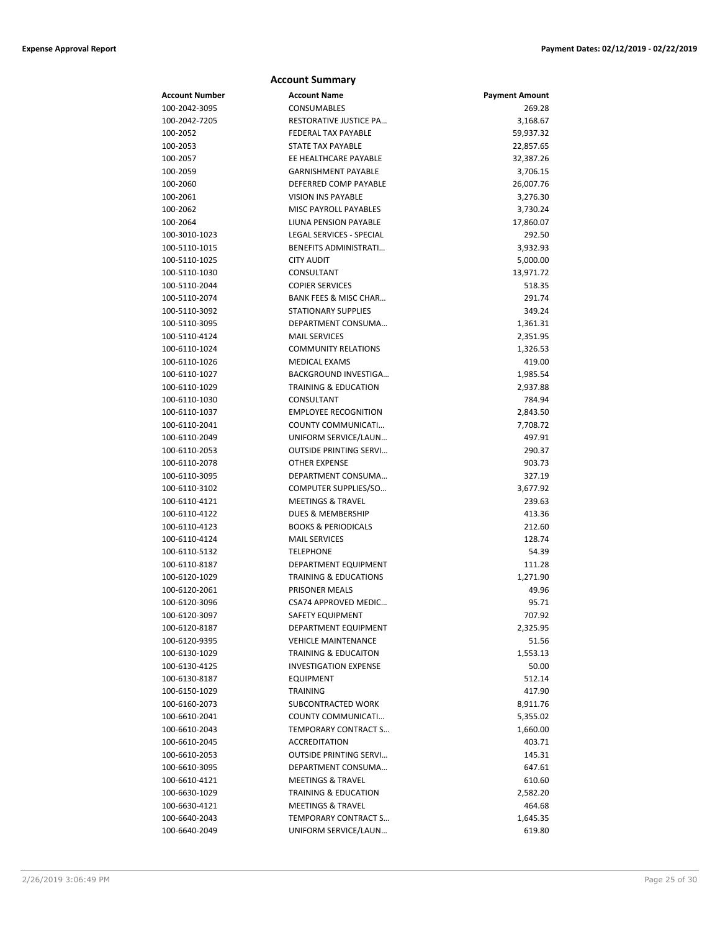|                                | <b>Account Summary</b>                                    |                       |
|--------------------------------|-----------------------------------------------------------|-----------------------|
| <b>Account Number</b>          | <b>Account Name</b>                                       | <b>Payment Amount</b> |
| 100-2042-3095                  | <b>CONSUMABLES</b>                                        | 269.28                |
| 100-2042-7205                  | <b>RESTORATIVE JUSTICE PA</b>                             | 3,168.67              |
| 100-2052                       | <b>FEDERAL TAX PAYABLE</b>                                | 59,937.32             |
| 100-2053                       | <b>STATE TAX PAYABLE</b>                                  | 22,857.65             |
| 100-2057                       | EE HEALTHCARE PAYABLE                                     | 32,387.26             |
| 100-2059                       | <b>GARNISHMENT PAYABLE</b>                                | 3,706.15              |
| 100-2060                       | DEFERRED COMP PAYABLE                                     | 26,007.76             |
| 100-2061                       | <b>VISION INS PAYABLE</b>                                 | 3,276.30              |
| 100-2062                       | MISC PAYROLL PAYABLES                                     | 3,730.24              |
| 100-2064                       | LIUNA PENSION PAYABLE                                     | 17,860.07             |
| 100-3010-1023                  | LEGAL SERVICES - SPECIAL                                  | 292.50                |
| 100-5110-1015                  | <b>BENEFITS ADMINISTRATI</b>                              | 3,932.93              |
| 100-5110-1025                  | <b>CITY AUDIT</b>                                         | 5,000.00              |
| 100-5110-1030                  | CONSULTANT                                                | 13,971.72             |
| 100-5110-2044                  | <b>COPIER SERVICES</b>                                    | 518.35                |
| 100-5110-2074                  | BANK FEES & MISC CHAR                                     | 291.74                |
| 100-5110-3092                  | <b>STATIONARY SUPPLIES</b>                                | 349.24                |
| 100-5110-3095                  | DEPARTMENT CONSUMA                                        | 1,361.31              |
| 100-5110-4124                  | <b>MAIL SERVICES</b>                                      | 2,351.95              |
| 100-6110-1024                  | <b>COMMUNITY RELATIONS</b>                                | 1,326.53              |
| 100-6110-1026                  | <b>MEDICAL EXAMS</b>                                      | 419.00                |
| 100-6110-1027                  | <b>BACKGROUND INVESTIGA</b>                               | 1,985.54              |
| 100-6110-1029                  | <b>TRAINING &amp; EDUCATION</b>                           | 2,937.88              |
| 100-6110-1030                  | CONSULTANT                                                | 784.94                |
| 100-6110-1037                  | <b>EMPLOYEE RECOGNITION</b>                               | 2,843.50              |
| 100-6110-2041                  | COUNTY COMMUNICATI                                        | 7,708.72              |
| 100-6110-2049                  | UNIFORM SERVICE/LAUN                                      | 497.91                |
| 100-6110-2053                  | <b>OUTSIDE PRINTING SERVI</b>                             | 290.37                |
| 100-6110-2078                  | <b>OTHER EXPENSE</b>                                      | 903.73                |
| 100-6110-3095                  | DEPARTMENT CONSUMA                                        | 327.19                |
| 100-6110-3102                  | COMPUTER SUPPLIES/SO                                      | 3,677.92              |
| 100-6110-4121                  | <b>MEETINGS &amp; TRAVEL</b>                              | 239.63                |
| 100-6110-4122                  | <b>DUES &amp; MEMBERSHIP</b>                              | 413.36                |
| 100-6110-4123                  | <b>BOOKS &amp; PERIODICALS</b>                            | 212.60                |
| 100-6110-4124                  | <b>MAIL SERVICES</b>                                      | 128.74                |
| 100-6110-5132                  | <b>TELEPHONE</b>                                          | 54.39                 |
| 100-6110-8187                  | DEPARTMENT EQUIPMENT                                      | 111.28                |
| 100-6120-1029                  | <b>TRAINING &amp; EDUCATIONS</b><br><b>PRISONER MEALS</b> | 1,271.90              |
| 100-6120-2061                  |                                                           | 49.96                 |
| 100-6120-3096                  | CSA74 APPROVED MEDIC                                      | 95.71                 |
| 100-6120-3097                  | SAFETY EQUIPMENT<br>DEPARTMENT EQUIPMENT                  | 707.92                |
| 100-6120-8187<br>100-6120-9395 | <b>VEHICLE MAINTENANCE</b>                                | 2,325.95<br>51.56     |
| 100-6130-1029                  | <b>TRAINING &amp; EDUCAITON</b>                           | 1,553.13              |
| 100-6130-4125                  | <b>INVESTIGATION EXPENSE</b>                              | 50.00                 |
| 100-6130-8187                  | <b>EQUIPMENT</b>                                          | 512.14                |
| 100-6150-1029                  | TRAINING                                                  | 417.90                |
| 100-6160-2073                  | <b>SUBCONTRACTED WORK</b>                                 | 8,911.76              |
| 100-6610-2041                  | COUNTY COMMUNICATI                                        | 5,355.02              |
| 100-6610-2043                  | <b>TEMPORARY CONTRACT S</b>                               | 1,660.00              |
| 100-6610-2045                  | <b>ACCREDITATION</b>                                      | 403.71                |
| 100-6610-2053                  | <b>OUTSIDE PRINTING SERVI</b>                             | 145.31                |
| 100-6610-3095                  | DEPARTMENT CONSUMA                                        | 647.61                |
| 100-6610-4121                  | <b>MEETINGS &amp; TRAVEL</b>                              | 610.60                |
| 100-6630-1029                  | <b>TRAINING &amp; EDUCATION</b>                           | 2,582.20              |
| 100-6630-4121                  | <b>MEETINGS &amp; TRAVEL</b>                              | 464.68                |
| 100-6640-2043                  | TEMPORARY CONTRACT S                                      | 1,645.35              |
| 100-6640-2049                  | UNIFORM SERVICE/LAUN                                      | 619.80                |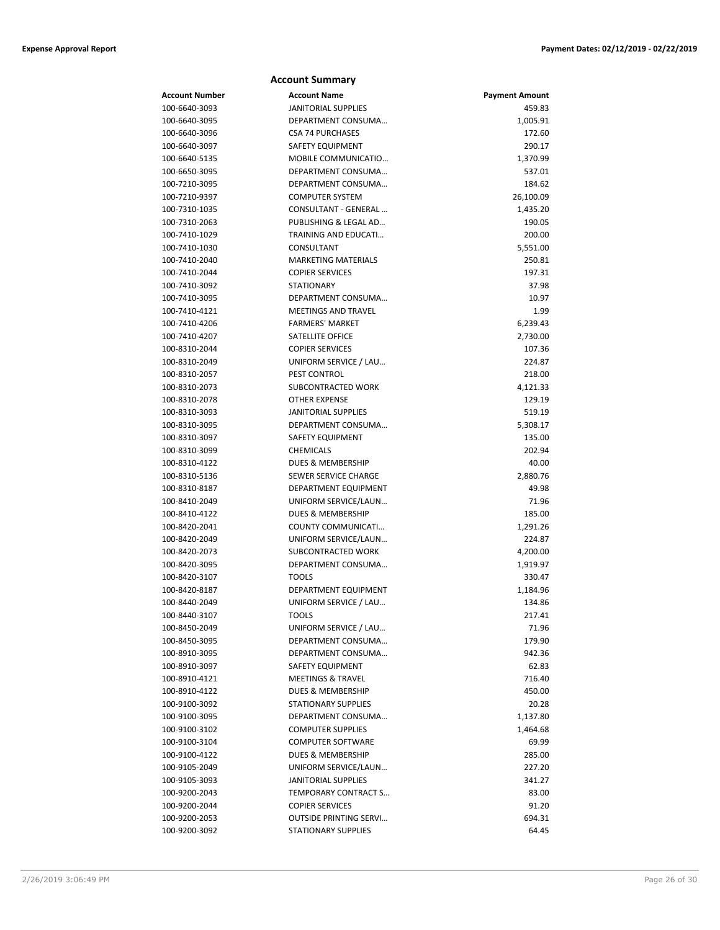### **Account Summary**

| Account Number | <b>Account Name</b>           | <b>Payment Amount</b> |
|----------------|-------------------------------|-----------------------|
| 100-6640-3093  | <b>JANITORIAL SUPPLIES</b>    | 459.83                |
| 100-6640-3095  | DEPARTMENT CONSUMA            | 1,005.91              |
| 100-6640-3096  | <b>CSA 74 PURCHASES</b>       | 172.60                |
| 100-6640-3097  | SAFETY EQUIPMENT              | 290.17                |
| 100-6640-5135  | MOBILE COMMUNICATIO           | 1,370.99              |
| 100-6650-3095  | DEPARTMENT CONSUMA            | 537.01                |
| 100-7210-3095  | DEPARTMENT CONSUMA            | 184.62                |
| 100-7210-9397  | <b>COMPUTER SYSTEM</b>        | 26,100.09             |
| 100-7310-1035  | CONSULTANT - GENERAL          | 1,435.20              |
| 100-7310-2063  | PUBLISHING & LEGAL AD         | 190.05                |
| 100-7410-1029  | <b>TRAINING AND EDUCATI</b>   | 200.00                |
| 100-7410-1030  | CONSULTANT                    | 5,551.00              |
| 100-7410-2040  | <b>MARKETING MATERIALS</b>    | 250.81                |
| 100-7410-2044  | <b>COPIER SERVICES</b>        | 197.31                |
| 100-7410-3092  | <b>STATIONARY</b>             | 37.98                 |
| 100-7410-3095  | DEPARTMENT CONSUMA            | 10.97                 |
| 100-7410-4121  | <b>MEETINGS AND TRAVEL</b>    | 1.99                  |
| 100-7410-4206  | <b>FARMERS' MARKET</b>        | 6,239.43              |
| 100-7410-4207  | SATELLITE OFFICE              | 2,730.00              |
| 100-8310-2044  | <b>COPIER SERVICES</b>        | 107.36                |
| 100-8310-2049  | UNIFORM SERVICE / LAU         | 224.87                |
| 100-8310-2057  | PEST CONTROL                  | 218.00                |
| 100-8310-2073  | SUBCONTRACTED WORK            | 4,121.33              |
| 100-8310-2078  | OTHER EXPENSE                 | 129.19                |
| 100-8310-3093  | <b>JANITORIAL SUPPLIES</b>    | 519.19                |
| 100-8310-3095  | DEPARTMENT CONSUMA            | 5,308.17              |
| 100-8310-3097  | <b>SAFETY EQUIPMENT</b>       | 135.00                |
| 100-8310-3099  | <b>CHEMICALS</b>              | 202.94                |
| 100-8310-4122  | DUES & MEMBERSHIP             | 40.00                 |
| 100-8310-5136  | SEWER SERVICE CHARGE          | 2,880.76              |
| 100-8310-8187  | DEPARTMENT EQUIPMENT          | 49.98                 |
| 100-8410-2049  | UNIFORM SERVICE/LAUN          | 71.96                 |
| 100-8410-4122  | <b>DUES &amp; MEMBERSHIP</b>  | 185.00                |
| 100-8420-2041  | COUNTY COMMUNICATI            | 1,291.26              |
| 100-8420-2049  | UNIFORM SERVICE/LAUN          | 224.87                |
| 100-8420-2073  | <b>SUBCONTRACTED WORK</b>     | 4,200.00              |
| 100-8420-3095  | DEPARTMENT CONSUMA            | 1,919.97              |
| 100-8420-3107  | <b>TOOLS</b>                  | 330.47                |
| 100-8420-8187  | DEPARTMENT EQUIPMENT          | 1,184.96              |
| 100-8440-2049  | UNIFORM SERVICE / LAU         | 134.86                |
| 100-8440-3107  | <b>TOOLS</b>                  | 217.41                |
| 100-8450-2049  | UNIFORM SERVICE / LAU         | 71.96                 |
| 100-8450-3095  | DEPARTMENT CONSUMA            | 179.90                |
| 100-8910-3095  | DEPARTMENT CONSUMA            | 942.36                |
| 100-8910-3097  | SAFETY EQUIPMENT              | 62.83                 |
| 100-8910-4121  | <b>MEETINGS &amp; TRAVEL</b>  | 716.40                |
| 100-8910-4122  | <b>DUES &amp; MEMBERSHIP</b>  | 450.00                |
| 100-9100-3092  | <b>STATIONARY SUPPLIES</b>    | 20.28                 |
| 100-9100-3095  | DEPARTMENT CONSUMA            | 1,137.80              |
| 100-9100-3102  | <b>COMPUTER SUPPLIES</b>      | 1,464.68              |
| 100-9100-3104  | <b>COMPUTER SOFTWARE</b>      | 69.99                 |
| 100-9100-4122  | DUES & MEMBERSHIP             | 285.00                |
| 100-9105-2049  | UNIFORM SERVICE/LAUN          | 227.20                |
| 100-9105-3093  | <b>JANITORIAL SUPPLIES</b>    | 341.27                |
| 100-9200-2043  | TEMPORARY CONTRACT S          | 83.00                 |
| 100-9200-2044  | <b>COPIER SERVICES</b>        | 91.20                 |
| 100-9200-2053  | <b>OUTSIDE PRINTING SERVI</b> | 694.31                |
| 100-9200-3092  | <b>STATIONARY SUPPLIES</b>    | 64.45                 |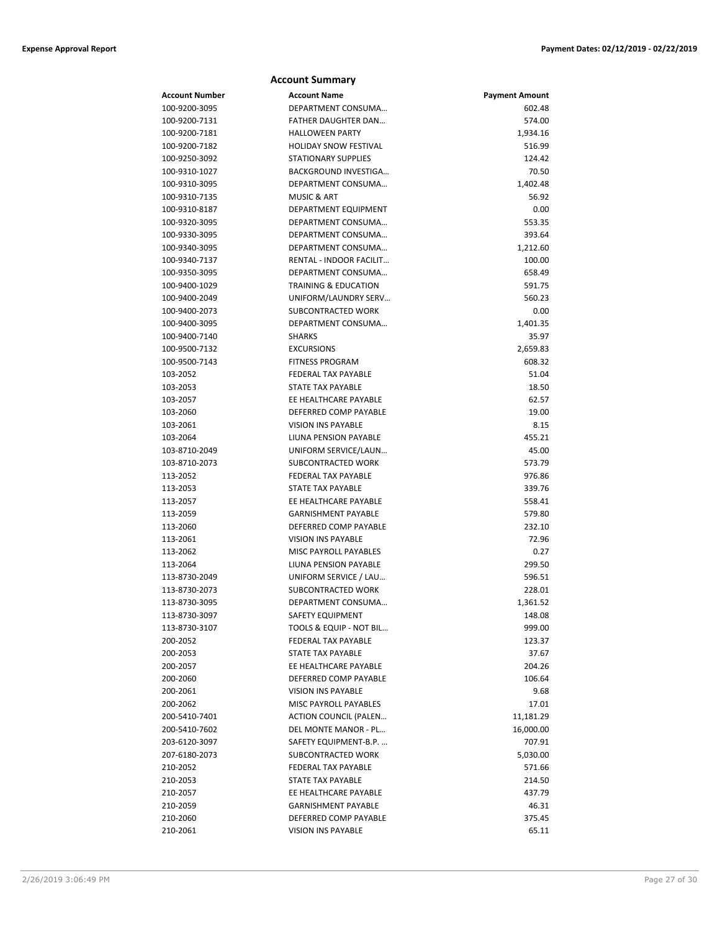|                       | <b>Account Summary</b>          |                       |
|-----------------------|---------------------------------|-----------------------|
| <b>Account Number</b> | <b>Account Name</b>             | <b>Payment Amount</b> |
| 100-9200-3095         | DEPARTMENT CONSUMA              | 602.48                |
| 100-9200-7131         | FATHER DAUGHTER DAN             | 574.00                |
| 100-9200-7181         | <b>HALLOWEEN PARTY</b>          | 1,934.16              |
| 100-9200-7182         | <b>HOLIDAY SNOW FESTIVAL</b>    | 516.99                |
| 100-9250-3092         | <b>STATIONARY SUPPLIES</b>      | 124.42                |
| 100-9310-1027         | BACKGROUND INVESTIGA            | 70.50                 |
| 100-9310-3095         | DEPARTMENT CONSUMA              | 1,402.48              |
| 100-9310-7135         | <b>MUSIC &amp; ART</b>          | 56.92                 |
| 100-9310-8187         | DEPARTMENT EQUIPMENT            | 0.00                  |
| 100-9320-3095         | DEPARTMENT CONSUMA              | 553.35                |
| 100-9330-3095         | DEPARTMENT CONSUMA              | 393.64                |
| 100-9340-3095         | DEPARTMENT CONSUMA              | 1,212.60              |
| 100-9340-7137         | RENTAL - INDOOR FACILIT         | 100.00                |
| 100-9350-3095         | DEPARTMENT CONSUMA              | 658.49                |
| 100-9400-1029         | <b>TRAINING &amp; EDUCATION</b> | 591.75                |
| 100-9400-2049         | UNIFORM/LAUNDRY SERV            | 560.23                |
| 100-9400-2073         | SUBCONTRACTED WORK              | 0.00                  |
| 100-9400-3095         | DEPARTMENT CONSUMA              | 1,401.35              |
| 100-9400-7140         | <b>SHARKS</b>                   | 35.97                 |
| 100-9500-7132         | <b>EXCURSIONS</b>               | 2,659.83              |
| 100-9500-7143         | <b>FITNESS PROGRAM</b>          | 608.32                |
| 103-2052              | FEDERAL TAX PAYABLE             | 51.04                 |
| 103-2053              | STATE TAX PAYABLE               | 18.50                 |
| 103-2057              | EE HEALTHCARE PAYABLE           | 62.57                 |
| 103-2060              | DEFERRED COMP PAYABLE           | 19.00                 |
| 103-2061              | <b>VISION INS PAYABLE</b>       | 8.15                  |
| 103-2064              | LIUNA PENSION PAYABLE           | 455.21                |
| 103-8710-2049         | UNIFORM SERVICE/LAUN            | 45.00                 |
| 103-8710-2073         | SUBCONTRACTED WORK              | 573.79                |
| 113-2052              | <b>FEDERAL TAX PAYABLE</b>      | 976.86                |
| 113-2053              | <b>STATE TAX PAYABLE</b>        | 339.76                |
| 113-2057              | EE HEALTHCARE PAYABLE           | 558.41                |
| 113-2059              | <b>GARNISHMENT PAYABLE</b>      | 579.80                |
| 113-2060              | DEFERRED COMP PAYABLE           | 232.10                |
| 113-2061              | <b>VISION INS PAYABLE</b>       | 72.96                 |
| 113-2062              | MISC PAYROLL PAYABLES           | 0.27                  |
| 113-2064              | <b>LIUNA PENSION PAYABLE</b>    | 299.50                |
| 113-8730-2049         | UNIFORM SERVICE / LAU           | 596.51                |
| 113-8730-2073         | SUBCONTRACTED WORK              | 228.01                |
| 113-8730-3095         | DEPARTMENT CONSUMA              | 1,361.52              |
| 113-8730-3097         | SAFETY EQUIPMENT                | 148.08                |
| 113-8730-3107         | TOOLS & EQUIP - NOT BIL         | 999.00                |
| 200-2052              | FEDERAL TAX PAYABLE             | 123.37                |
| 200-2053              | STATE TAX PAYABLE               | 37.67                 |
| 200-2057              | EE HEALTHCARE PAYABLE           | 204.26                |
| 200-2060              | DEFERRED COMP PAYABLE           | 106.64                |
| 200-2061              | <b>VISION INS PAYABLE</b>       | 9.68                  |
| 200-2062              | MISC PAYROLL PAYABLES           | 17.01                 |
| 200-5410-7401         | <b>ACTION COUNCIL (PALEN</b>    | 11,181.29             |
| 200-5410-7602         | DEL MONTE MANOR - PL            | 16,000.00             |
| 203-6120-3097         | SAFETY EQUIPMENT-B.P.           | 707.91                |
| 207-6180-2073         | SUBCONTRACTED WORK              | 5,030.00              |
| 210-2052              | FEDERAL TAX PAYABLE             | 571.66                |
| 210-2053              | STATE TAX PAYABLE               | 214.50                |
| 210-2057              | EE HEALTHCARE PAYABLE           | 437.79                |
| 210-2059              | <b>GARNISHMENT PAYABLE</b>      | 46.31                 |
| 210-2060              | DEFERRED COMP PAYABLE           | 375.45                |
| 210-2061              | VISION INS PAYABLE              | 65.11                 |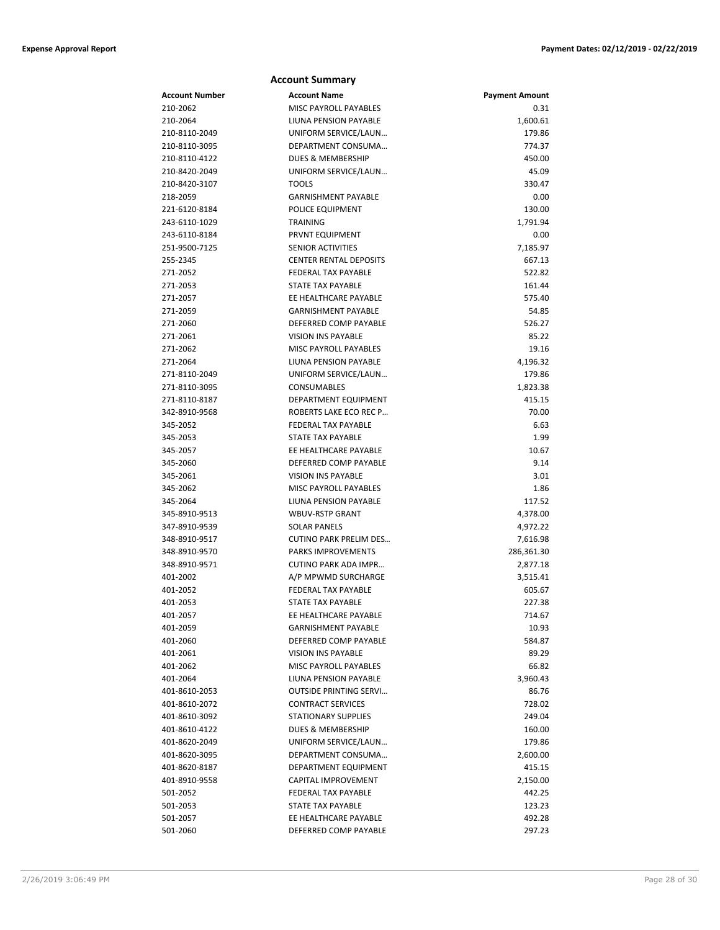|                       | <b>Account Summary</b>        |                       |
|-----------------------|-------------------------------|-----------------------|
| <b>Account Number</b> | <b>Account Name</b>           | <b>Payment Amount</b> |
| 210-2062              | <b>MISC PAYROLL PAYABLES</b>  | 0.31                  |
| 210-2064              | LIUNA PENSION PAYABLE         | 1,600.61              |
| 210-8110-2049         | UNIFORM SERVICE/LAUN          | 179.86                |
| 210-8110-3095         | DEPARTMENT CONSUMA            | 774.37                |
| 210-8110-4122         | <b>DUES &amp; MEMBERSHIP</b>  | 450.00                |
| 210-8420-2049         | UNIFORM SERVICE/LAUN          | 45.09                 |
| 210-8420-3107         | <b>TOOLS</b>                  | 330.47                |
| 218-2059              | <b>GARNISHMENT PAYABLE</b>    | 0.00                  |
| 221-6120-8184         | POLICE EQUIPMENT              | 130.00                |
| 243-6110-1029         | TRAINING                      | 1,791.94              |
| 243-6110-8184         | PRVNT EQUIPMENT               | 0.00                  |
| 251-9500-7125         | <b>SENIOR ACTIVITIES</b>      | 7,185.97              |
| 255-2345              | <b>CENTER RENTAL DEPOSITS</b> | 667.13                |
| 271-2052              | <b>FEDERAL TAX PAYABLE</b>    | 522.82                |
| 271-2053              | <b>STATE TAX PAYABLE</b>      | 161.44                |
| 271-2057              | EE HEALTHCARE PAYABLE         | 575.40                |
| 271-2059              | <b>GARNISHMENT PAYABLE</b>    | 54.85                 |
| 271-2060              | DEFERRED COMP PAYABLE         | 526.27                |
| 271-2061              | <b>VISION INS PAYABLE</b>     | 85.22                 |
| 271-2062              | MISC PAYROLL PAYABLES         | 19.16                 |
| 271-2064              | LIUNA PENSION PAYABLE         | 4,196.32              |
| 271-8110-2049         | UNIFORM SERVICE/LAUN          | 179.86                |
| 271-8110-3095         | CONSUMABLES                   | 1,823.38              |
| 271-8110-8187         | DEPARTMENT EQUIPMENT          | 415.15                |
| 342-8910-9568         | ROBERTS LAKE ECO REC P        | 70.00                 |
| 345-2052              | <b>FEDERAL TAX PAYABLE</b>    | 6.63                  |
| 345-2053              | STATE TAX PAYABLE             | 1.99                  |
| 345-2057              | EE HEALTHCARE PAYABLE         | 10.67                 |
| 345-2060              | DEFERRED COMP PAYABLE         | 9.14                  |
| 345-2061              | <b>VISION INS PAYABLE</b>     | 3.01                  |
| 345-2062              | <b>MISC PAYROLL PAYABLES</b>  | 1.86                  |
| 345-2064              | LIUNA PENSION PAYABLE         | 117.52                |
| 345-8910-9513         | <b>WBUV-RSTP GRANT</b>        | 4,378.00              |
| 347-8910-9539         | <b>SOLAR PANELS</b>           | 4,972.22              |
| 348-8910-9517         | <b>CUTINO PARK PRELIM DES</b> | 7,616.98              |
| 348-8910-9570         | <b>PARKS IMPROVEMENTS</b>     | 286,361.30            |
| 348-8910-9571         | <b>CUTINO PARK ADA IMPR</b>   | 2,877.18              |
| 401-2002              | A/P MPWMD SURCHARGE           | 3,515.41              |
| 401-2052              | FEDERAL TAX PAYABLE           | 605.67                |
| 401-2053              | <b>STATE TAX PAYABLE</b>      | 227.38                |
| 401-2057              | EE HEALTHCARE PAYABLE         | 714.67                |
| 401-2059              | <b>GARNISHMENT PAYABLE</b>    | 10.93                 |
| 401-2060              | DEFERRED COMP PAYABLE         | 584.87                |
| 401-2061              | <b>VISION INS PAYABLE</b>     | 89.29                 |
| 401-2062              | <b>MISC PAYROLL PAYABLES</b>  | 66.82                 |
| 401-2064              | LIUNA PENSION PAYABLE         | 3,960.43              |
| 401-8610-2053         | <b>OUTSIDE PRINTING SERVI</b> | 86.76                 |
| 401-8610-2072         | <b>CONTRACT SERVICES</b>      | 728.02                |
| 401-8610-3092         | <b>STATIONARY SUPPLIES</b>    | 249.04                |
| 401-8610-4122         | DUES & MEMBERSHIP             | 160.00                |
| 401-8620-2049         | UNIFORM SERVICE/LAUN          | 179.86                |
| 401-8620-3095         | DEPARTMENT CONSUMA            | 2,600.00              |
| 401-8620-8187         | DEPARTMENT EQUIPMENT          | 415.15                |
| 401-8910-9558         | CAPITAL IMPROVEMENT           | 2,150.00              |
| 501-2052              | FEDERAL TAX PAYABLE           | 442.25                |
| 501-2053              | STATE TAX PAYABLE             | 123.23                |
| 501-2057              | EE HEALTHCARE PAYABLE         | 492.28                |
| 501-2060              | DEFERRED COMP PAYABLE         | 297.23                |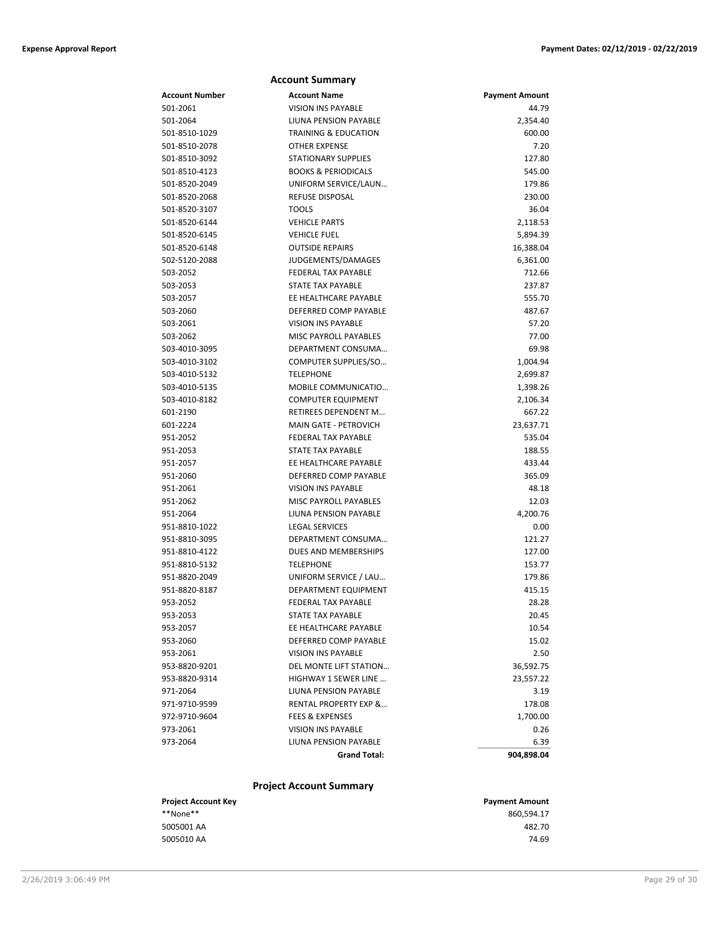|                | <b>Account Summary</b>           |                       |
|----------------|----------------------------------|-----------------------|
| Account Number | <b>Account Name</b>              | <b>Payment Amount</b> |
| 501-2061       | <b>VISION INS PAYABLE</b>        | 44.79                 |
| 501-2064       | LIUNA PENSION PAYABLE            | 2,354.40              |
| 501-8510-1029  | <b>TRAINING &amp; EDUCATION</b>  | 600.00                |
| 501-8510-2078  | <b>OTHER EXPENSE</b>             | 7.20                  |
| 501-8510-3092  | <b>STATIONARY SUPPLIES</b>       | 127.80                |
| 501-8510-4123  | <b>BOOKS &amp; PERIODICALS</b>   | 545.00                |
| 501-8520-2049  | UNIFORM SERVICE/LAUN             | 179.86                |
| 501-8520-2068  | <b>REFUSE DISPOSAL</b>           | 230.00                |
| 501-8520-3107  | <b>TOOLS</b>                     | 36.04                 |
| 501-8520-6144  | <b>VEHICLE PARTS</b>             | 2,118.53              |
| 501-8520-6145  | <b>VEHICLE FUEL</b>              | 5,894.39              |
| 501-8520-6148  | <b>OUTSIDE REPAIRS</b>           | 16,388.04             |
| 502-5120-2088  | JUDGEMENTS/DAMAGES               | 6,361.00              |
| 503-2052       | FEDERAL TAX PAYABLE              | 712.66                |
| 503-2053       | STATE TAX PAYABLE                | 237.87                |
| 503-2057       | EE HEALTHCARE PAYABLE            | 555.70                |
| 503-2060       | DEFERRED COMP PAYABLE            | 487.67                |
| 503-2061       | <b>VISION INS PAYABLE</b>        | 57.20                 |
| 503-2062       | <b>MISC PAYROLL PAYABLES</b>     | 77.00                 |
| 503-4010-3095  | DEPARTMENT CONSUMA               | 69.98                 |
| 503-4010-3102  | COMPUTER SUPPLIES/SO             | 1,004.94              |
| 503-4010-5132  | <b>TELEPHONE</b>                 | 2,699.87              |
| 503-4010-5135  | MOBILE COMMUNICATIO              | 1,398.26              |
| 503-4010-8182  | <b>COMPUTER EQUIPMENT</b>        | 2,106.34              |
| 601-2190       | RETIREES DEPENDENT M             | 667.22                |
| 601-2224       | <b>MAIN GATE - PETROVICH</b>     | 23,637.71             |
| 951-2052       | <b>FEDERAL TAX PAYABLE</b>       | 535.04                |
| 951-2053       | <b>STATE TAX PAYABLE</b>         | 188.55                |
| 951-2057       | EE HEALTHCARE PAYABLE            | 433.44                |
| 951-2060       | DEFERRED COMP PAYABLE            | 365.09                |
| 951-2061       | <b>VISION INS PAYABLE</b>        | 48.18                 |
| 951-2062       | MISC PAYROLL PAYABLES            | 12.03                 |
| 951-2064       | LIUNA PENSION PAYABLE            | 4,200.76              |
| 951-8810-1022  | <b>LEGAL SERVICES</b>            | 0.00                  |
| 951-8810-3095  | DEPARTMENT CONSUMA               | 121.27                |
| 951-8810-4122  | DUES AND MEMBERSHIPS             | 127.00                |
| 951-8810-5132  | <b>TELEPHONE</b>                 | 153.77                |
| 951-8820-2049  | UNIFORM SERVICE / LAU            | 179.86                |
| 951-8820-8187  | DEPARTMENT EQUIPMENT             | 415.15                |
| 953-2052       | FEDERAL TAX PAYABLE              | 28.28                 |
| 953-2053       | STATE TAX PAYABLE                | 20.45                 |
| 953-2057       | EE HEALTHCARE PAYABLE            | 10.54                 |
| 953-2060       | DEFERRED COMP PAYABLE            | 15.02                 |
| 953-2061       | <b>VISION INS PAYABLE</b>        | 2.50                  |
| 953-8820-9201  | DEL MONTE LIFT STATION           | 36,592.75             |
| 953-8820-9314  | HIGHWAY 1 SEWER LINE             | 23,557.22             |
| 971-2064       | LIUNA PENSION PAYABLE            | 3.19                  |
| 971-9710-9599  | <b>RENTAL PROPERTY EXP &amp;</b> | 178.08                |
| 972-9710-9604  | <b>FEES &amp; EXPENSES</b>       | 1,700.00              |
| 973-2061       | <b>VISION INS PAYABLE</b>        | 0.26                  |
| 973-2064       | LIUNA PENSION PAYABLE            | 6.39                  |
|                | <b>Grand Total:</b>              | 904,898.04            |
|                |                                  |                       |

### **Project Account Summary**

| <b>Project Account Key</b> | <b>Payment Amount</b> |
|----------------------------|-----------------------|
| **None**                   | 860.594.17            |
| 5005001 AA                 | 482.70                |
| 5005010 AA                 | 74.69                 |
|                            |                       |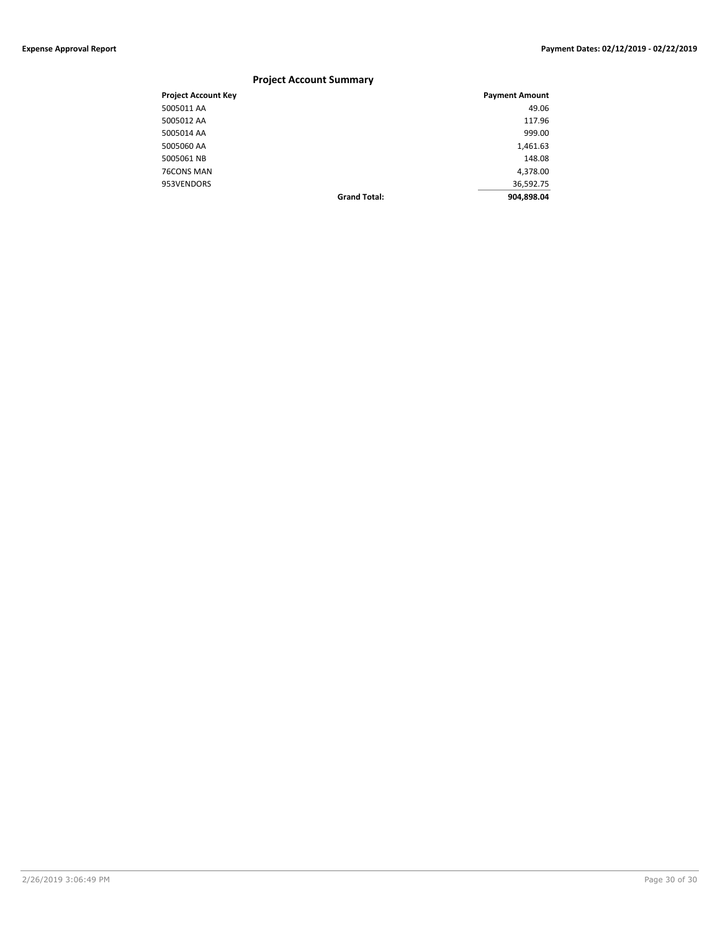### **Project Account Summary**

| <b>Project Account Key</b> |                     | <b>Payment Amount</b> |
|----------------------------|---------------------|-----------------------|
| 5005011 AA                 |                     | 49.06                 |
| 5005012 AA                 |                     | 117.96                |
| 5005014 AA                 |                     | 999.00                |
| 5005060 AA                 |                     | 1,461.63              |
| 5005061 NB                 |                     | 148.08                |
| 76CONS MAN                 |                     | 4,378.00              |
| 953VENDORS                 |                     | 36,592.75             |
|                            | <b>Grand Total:</b> | 904,898.04            |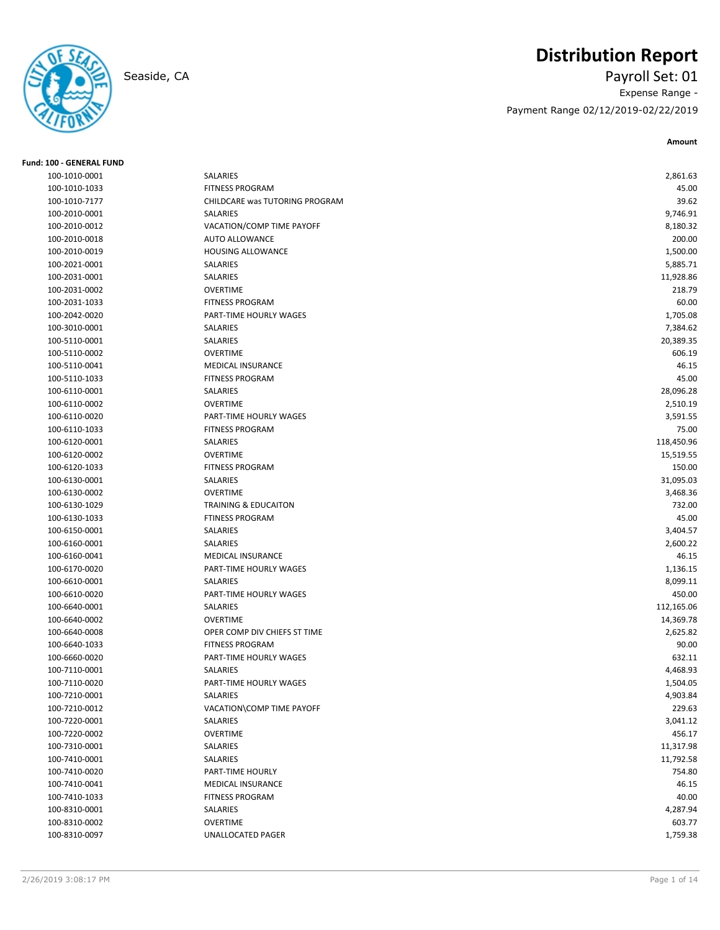# **Distribution Report**

## Seaside, CA Payroll Set: 01 Expense Range - Payment Range 02/12/2019-02/22/2019

**Amount**

| <b>Fund: 100 - GENERAL FUND</b> |                                 |            |
|---------------------------------|---------------------------------|------------|
| 100-1010-0001                   | SALARIES                        | 2,861.63   |
| 100-1010-1033                   | <b>FITNESS PROGRAM</b>          | 45.00      |
| 100-1010-7177                   | CHILDCARE was TUTORING PROGRAM  | 39.62      |
| 100-2010-0001                   | SALARIES                        | 9,746.91   |
| 100-2010-0012                   | VACATION/COMP TIME PAYOFF       | 8,180.32   |
| 100-2010-0018                   | <b>AUTO ALLOWANCE</b>           | 200.00     |
| 100-2010-0019                   | <b>HOUSING ALLOWANCE</b>        | 1,500.00   |
| 100-2021-0001                   | SALARIES                        | 5,885.71   |
| 100-2031-0001                   | SALARIES                        | 11,928.86  |
| 100-2031-0002                   | <b>OVERTIME</b>                 | 218.79     |
| 100-2031-1033                   | <b>FITNESS PROGRAM</b>          | 60.00      |
| 100-2042-0020                   | PART-TIME HOURLY WAGES          | 1,705.08   |
| 100-3010-0001                   | SALARIES                        | 7,384.62   |
| 100-5110-0001                   | SALARIES                        | 20,389.35  |
| 100-5110-0002                   | <b>OVERTIME</b>                 | 606.19     |
| 100-5110-0041                   | MEDICAL INSURANCE               | 46.15      |
| 100-5110-1033                   | <b>FITNESS PROGRAM</b>          | 45.00      |
| 100-6110-0001                   | SALARIES                        | 28,096.28  |
| 100-6110-0002                   | <b>OVERTIME</b>                 | 2,510.19   |
| 100-6110-0020                   | PART-TIME HOURLY WAGES          | 3,591.55   |
| 100-6110-1033                   | <b>FITNESS PROGRAM</b>          | 75.00      |
| 100-6120-0001                   | SALARIES                        | 118,450.96 |
| 100-6120-0002                   | <b>OVERTIME</b>                 | 15,519.55  |
| 100-6120-1033                   | <b>FITNESS PROGRAM</b>          | 150.00     |
| 100-6130-0001                   | SALARIES                        | 31,095.03  |
| 100-6130-0002                   | <b>OVERTIME</b>                 | 3,468.36   |
| 100-6130-1029                   | <b>TRAINING &amp; EDUCAITON</b> | 732.00     |
| 100-6130-1033                   | <b>FTINESS PROGRAM</b>          | 45.00      |
| 100-6150-0001                   | SALARIES                        | 3,404.57   |
| 100-6160-0001                   | SALARIES                        | 2,600.22   |
| 100-6160-0041                   | <b>MEDICAL INSURANCE</b>        | 46.15      |
| 100-6170-0020                   | PART-TIME HOURLY WAGES          | 1,136.15   |
| 100-6610-0001                   | SALARIES                        | 8,099.11   |
| 100-6610-0020                   | PART-TIME HOURLY WAGES          | 450.00     |
| 100-6640-0001                   | SALARIES                        | 112,165.06 |
| 100-6640-0002                   | <b>OVERTIME</b>                 | 14,369.78  |
| 100-6640-0008                   | OPER COMP DIV CHIEFS ST TIME    | 2,625.82   |
| 100-6640-1033                   | <b>FITNESS PROGRAM</b>          | 90.00      |
| 100-6660-0020                   | PART-TIME HOURLY WAGES          | 632.11     |
| 100-7110-0001                   | SALARIES                        | 4,468.93   |
| 100-7110-0020                   | PART-TIME HOURLY WAGES          | 1,504.05   |
| 100-7210-0001                   | SALARIES                        | 4,903.84   |
| 100-7210-0012                   | VACATION\COMP TIME PAYOFF       | 229.63     |
| 100-7220-0001                   | SALARIES                        | 3,041.12   |
| 100-7220-0002                   | <b>OVERTIME</b>                 | 456.17     |
| 100-7310-0001                   | SALARIES                        | 11,317.98  |
| 100-7410-0001                   | SALARIES                        | 11,792.58  |
| 100-7410-0020                   | PART-TIME HOURLY                | 754.80     |
| 100-7410-0041                   | MEDICAL INSURANCE               | 46.15      |
| 100-7410-1033                   | <b>FITNESS PROGRAM</b>          | 40.00      |
| 100-8310-0001                   | SALARIES                        | 4,287.94   |
| 100-8310-0002                   | <b>OVERTIME</b>                 | 603.77     |
| 100-8310-0097                   | UNALLOCATED PAGER               | 1,759.38   |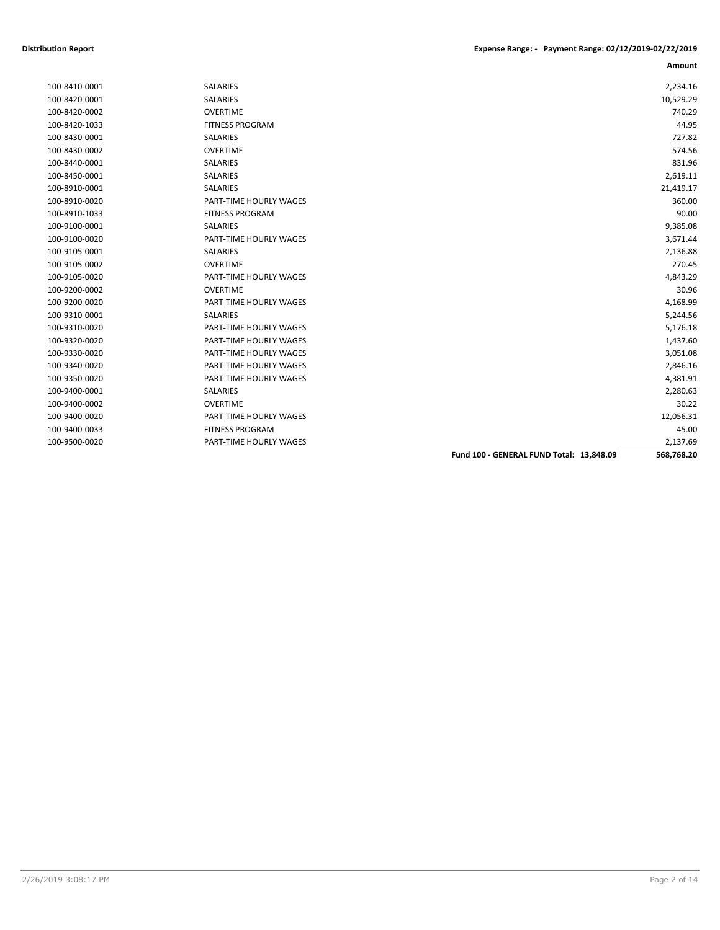| 100-8410-0001 | SALARIES               |                                                 | 2,234.16   |
|---------------|------------------------|-------------------------------------------------|------------|
| 100-8420-0001 | <b>SALARIES</b>        |                                                 | 10,529.29  |
| 100-8420-0002 | <b>OVERTIME</b>        |                                                 | 740.29     |
| 100-8420-1033 | <b>FITNESS PROGRAM</b> |                                                 | 44.95      |
| 100-8430-0001 | <b>SALARIES</b>        |                                                 | 727.82     |
| 100-8430-0002 | <b>OVERTIME</b>        |                                                 | 574.56     |
| 100-8440-0001 | <b>SALARIES</b>        |                                                 | 831.96     |
| 100-8450-0001 | <b>SALARIES</b>        |                                                 | 2,619.11   |
| 100-8910-0001 | SALARIES               |                                                 | 21,419.17  |
| 100-8910-0020 | PART-TIME HOURLY WAGES |                                                 | 360.00     |
| 100-8910-1033 | <b>FITNESS PROGRAM</b> |                                                 | 90.00      |
| 100-9100-0001 | <b>SALARIES</b>        |                                                 | 9,385.08   |
| 100-9100-0020 | PART-TIME HOURLY WAGES |                                                 | 3,671.44   |
| 100-9105-0001 | SALARIES               |                                                 | 2,136.88   |
| 100-9105-0002 | <b>OVERTIME</b>        |                                                 | 270.45     |
| 100-9105-0020 | PART-TIME HOURLY WAGES |                                                 | 4,843.29   |
| 100-9200-0002 | <b>OVERTIME</b>        |                                                 | 30.96      |
| 100-9200-0020 | PART-TIME HOURLY WAGES |                                                 | 4,168.99   |
| 100-9310-0001 | <b>SALARIES</b>        |                                                 | 5,244.56   |
| 100-9310-0020 | PART-TIME HOURLY WAGES |                                                 | 5,176.18   |
| 100-9320-0020 | PART-TIME HOURLY WAGES |                                                 | 1,437.60   |
| 100-9330-0020 | PART-TIME HOURLY WAGES |                                                 | 3,051.08   |
| 100-9340-0020 | PART-TIME HOURLY WAGES |                                                 | 2,846.16   |
| 100-9350-0020 | PART-TIME HOURLY WAGES |                                                 | 4,381.91   |
| 100-9400-0001 | <b>SALARIES</b>        |                                                 | 2,280.63   |
| 100-9400-0002 | <b>OVERTIME</b>        |                                                 | 30.22      |
| 100-9400-0020 | PART-TIME HOURLY WAGES |                                                 | 12,056.31  |
| 100-9400-0033 | <b>FITNESS PROGRAM</b> |                                                 | 45.00      |
| 100-9500-0020 | PART-TIME HOURLY WAGES |                                                 | 2,137.69   |
|               |                        | <b>Fund 100 - GENERAL FUND Total: 13.848.09</b> | 568,768.20 |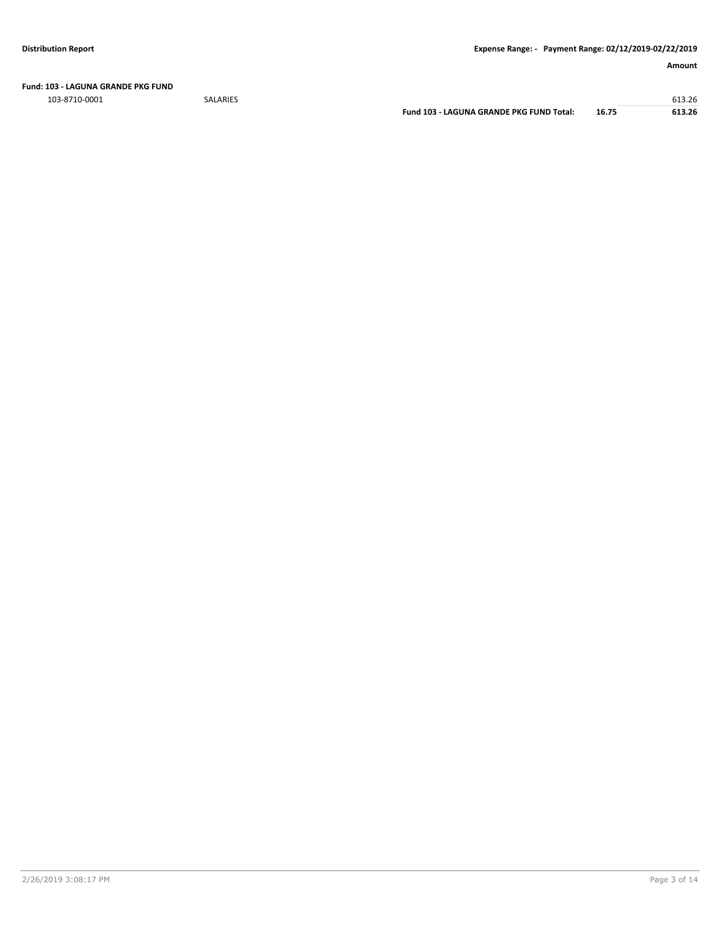**Fund: 103 - LAGUNA GRANDE PKG FUND**

103-8710-0001 SALARIES 613.26

**Fund 103 - LAGUNA GRANDE PKG FUND Total: 16.75 613.26**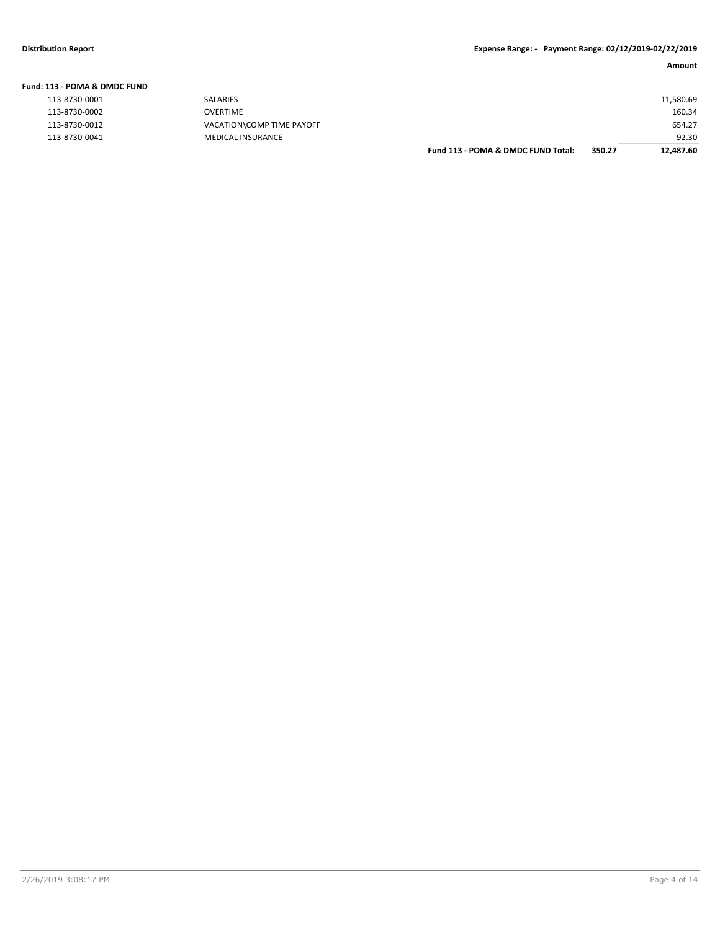|  |  | Fund: 113 - POMA & DMDC FUND |  |
|--|--|------------------------------|--|
|--|--|------------------------------|--|

| <b>SALARIES</b>           |
|---------------------------|
| <b>OVERTIME</b>           |
| VACATION\COMP TIME PAYOFF |
| <b>MEDICAL INSURANCE</b>  |

|               |                           | Fund 113 - POMA & DMDC FUND Total: | 350.27 | 12,487.60 |
|---------------|---------------------------|------------------------------------|--------|-----------|
| 113-8730-0041 | <b>MEDICAL INSURANCE</b>  |                                    |        | 92.30     |
| 113-8730-0012 | VACATION\COMP TIME PAYOFF |                                    |        | 654.27    |
| 113-8730-0002 | OVERTIME                  |                                    |        | 160.34    |
| 113-8730-0001 | <b>SALARIES</b>           |                                    |        | 11,580.69 |
|               |                           |                                    |        |           |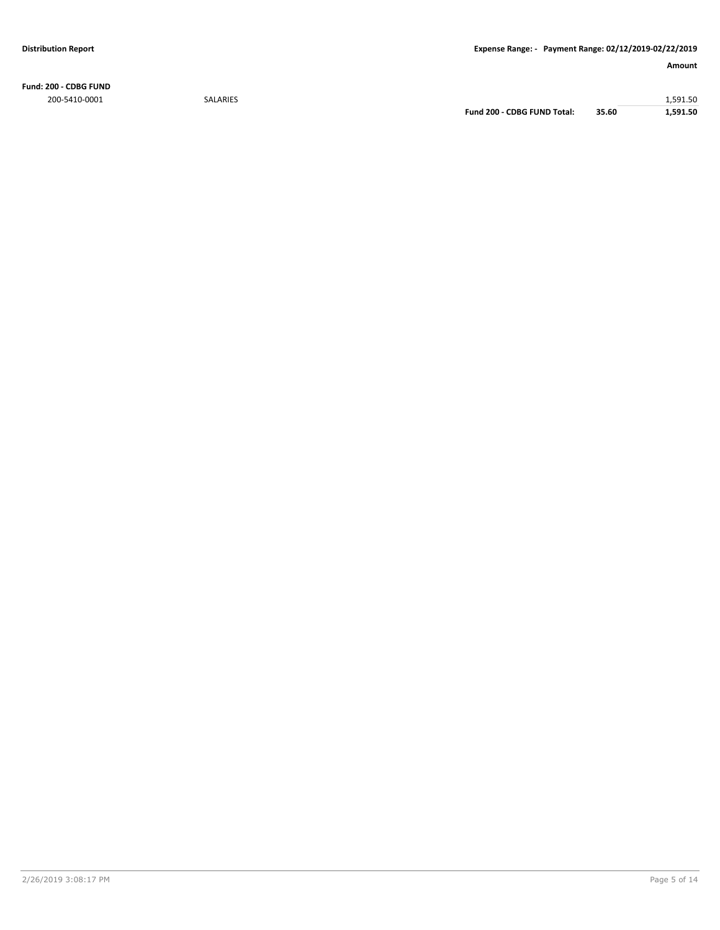**Fund: 200 - CDBG FUND** 200-5410-0001 SALARIES 1,591.50

**Fund 200 - CDBG FUND Total: 35.60 1,591.50**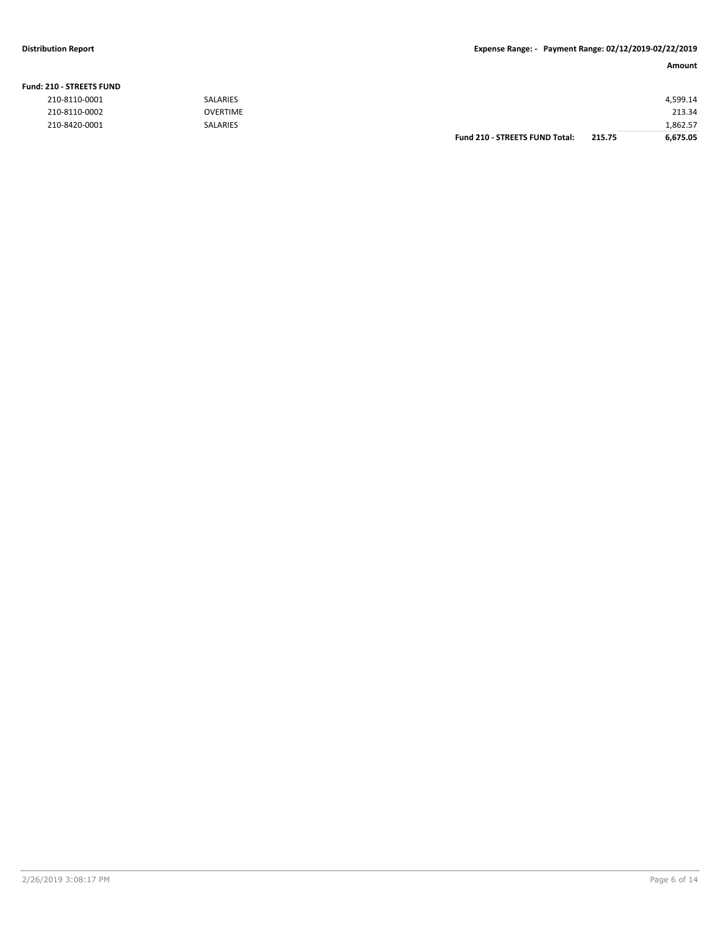Fund:

### **Distribution Report Expense Range: - Payment Range: 02/12/2019-02/22/2019**

| <b>210 - STREETS FUND</b> |                 |                                       |        |          |
|---------------------------|-----------------|---------------------------------------|--------|----------|
| 210-8110-0001             | <b>SALARIES</b> |                                       |        | 4,599.14 |
| 210-8110-0002             | <b>OVERTIME</b> |                                       |        | 213.34   |
| 210-8420-0001             | <b>SALARIES</b> |                                       |        | 1,862.57 |
|                           |                 | <b>Fund 210 - STREETS FUND Total:</b> | 215.75 | 6,675.05 |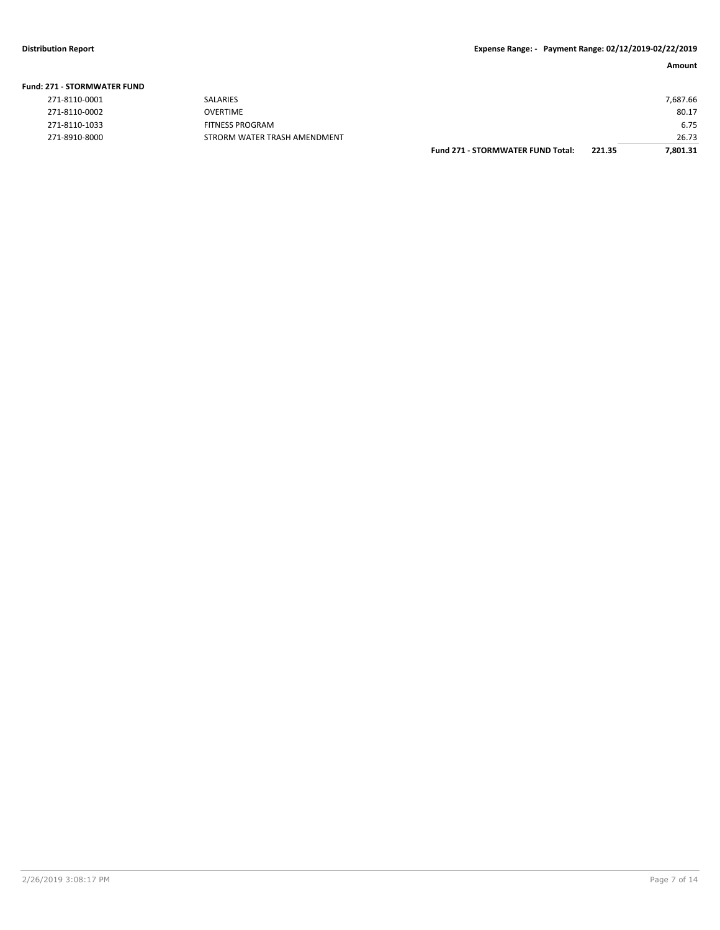## **Fund: 271 - STORMWATER FUND**

|                    |                                          |                              | I: 271 - STORMWATER FUND |
|--------------------|------------------------------------------|------------------------------|--------------------------|
| 7,687.66           |                                          | SALARIES                     | 271-8110-0001            |
| 80.17              |                                          | OVERTIME                     | 271-8110-0002            |
| 6.75               |                                          | <b>FITNESS PROGRAM</b>       | 271-8110-1033            |
| 26.73              |                                          | STRORM WATER TRASH AMENDMENT | 271-8910-8000            |
| 221.35<br>7.801.31 | <b>Fund 271 - STORMWATER FUND Total:</b> |                              |                          |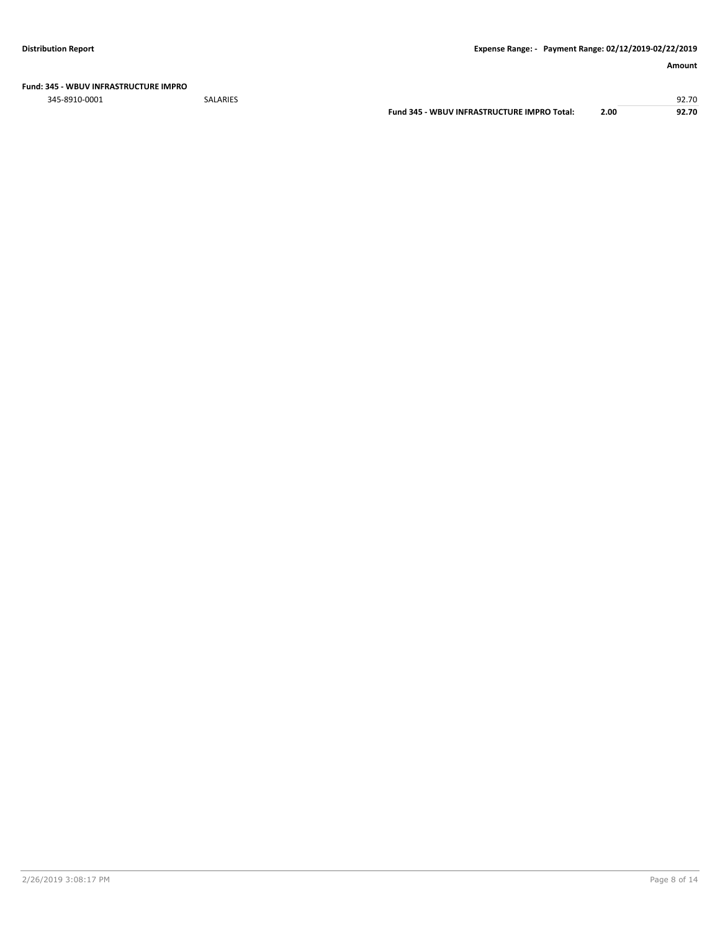### **Fund: 345 - WBUV INFRASTRUCTURE IMPRO**

345-8910-0001 SALARIES 92.70

**Fund 345 - WBUV INFRASTRUCTURE IMPRO Total: 2.00 92.70**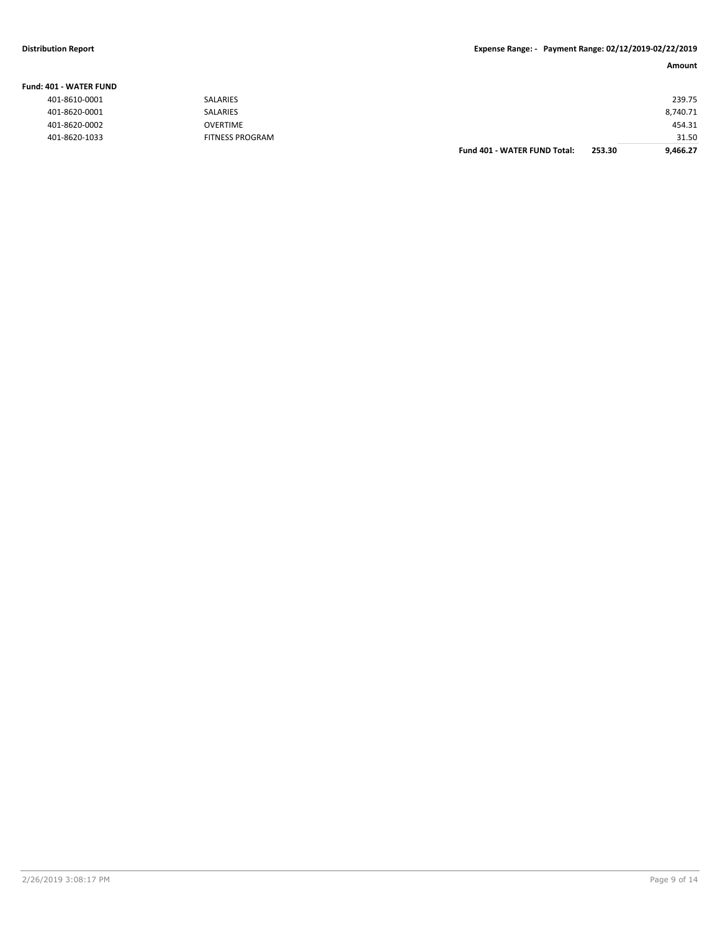### **Distribution Report Expense Range: - Payment Range: 02/12/2019-02/22/2019**

| <b>Fund: 401 - WATER FUND</b> |                        |                                     |        |          |
|-------------------------------|------------------------|-------------------------------------|--------|----------|
| 401-8610-0001                 | SALARIES               |                                     |        | 239.75   |
| 401-8620-0001                 | SALARIES               |                                     |        | 8,740.71 |
| 401-8620-0002                 | <b>OVERTIME</b>        |                                     |        | 454.31   |
| 401-8620-1033                 | <b>FITNESS PROGRAM</b> |                                     |        | 31.50    |
|                               |                        | <b>Fund 401 - WATER FUND Total:</b> | 253.30 | 9,466.27 |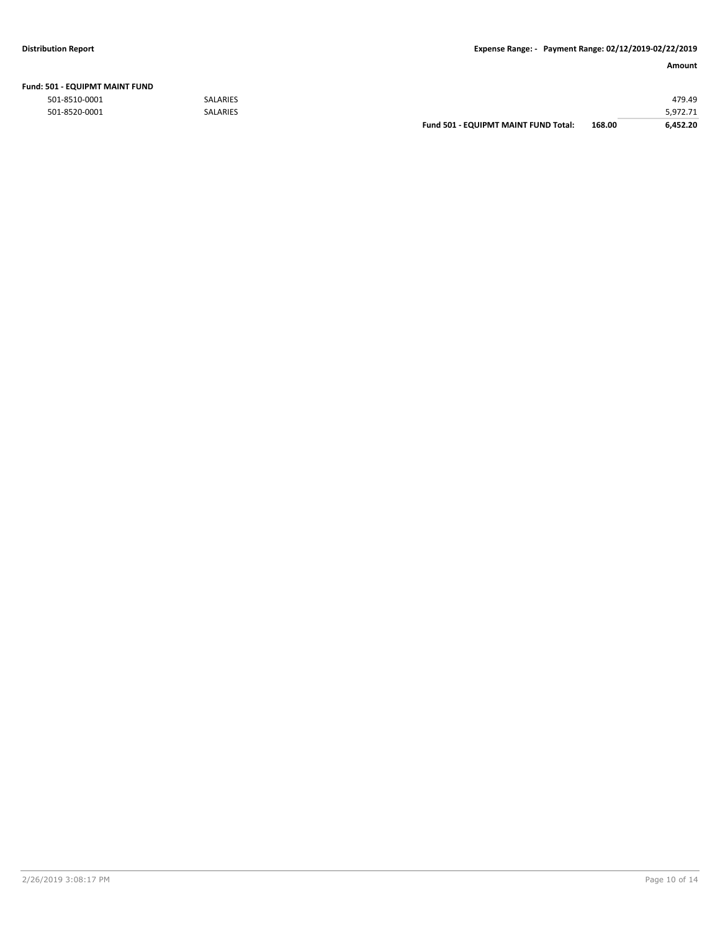| Fund: 501 - EQUIPMT MAINT FUND |  |  |  |  |  |
|--------------------------------|--|--|--|--|--|
|--------------------------------|--|--|--|--|--|

|               |                 | <b>Fund 501 - EQUIPMT MAINT FUND Total:</b> | 168.00 | 6.452.20 |
|---------------|-----------------|---------------------------------------------|--------|----------|
| 501-8520-0001 | <b>SALARIES</b> |                                             |        | 5.972.71 |
| 501-8510-0001 | <b>SALARIES</b> |                                             |        | 479.49   |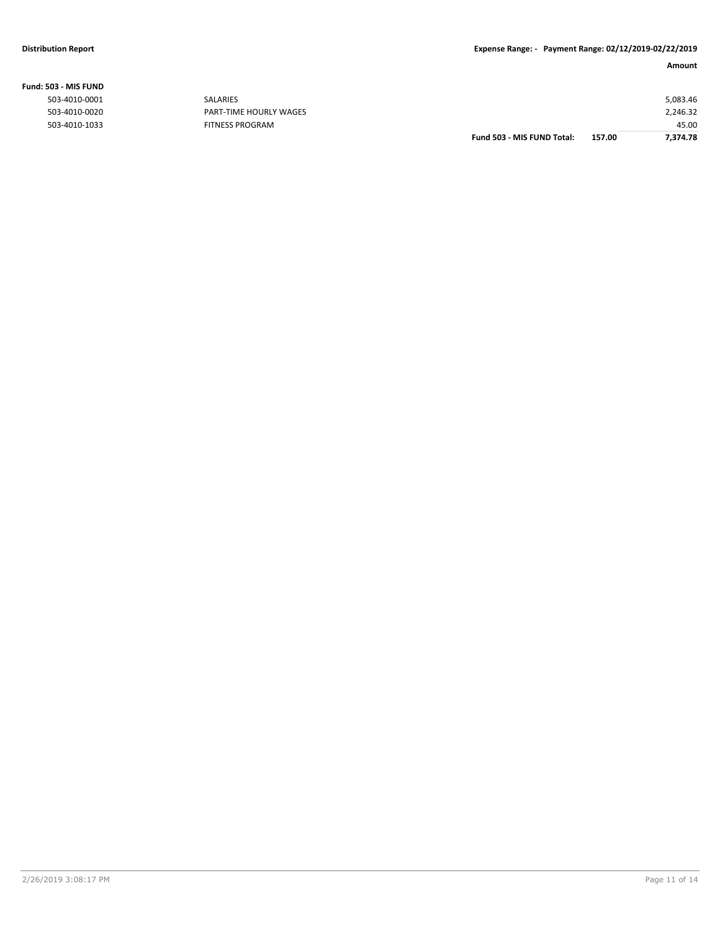| 503 - MIS FUND |                            |                    |
|----------------|----------------------------|--------------------|
| 503-4010-0001  | SALARIES                   | 5,083.46           |
| 503-4010-0020  | PART-TIME HOURLY WAGES     | 2,246.32           |
| 503-4010-1033  | <b>FITNESS PROGRAM</b>     | 45.00              |
|                | Fund 503 - MIS FUND Total: | 157.00<br>7,374.78 |

### **Fund: 503 - MIS FUND**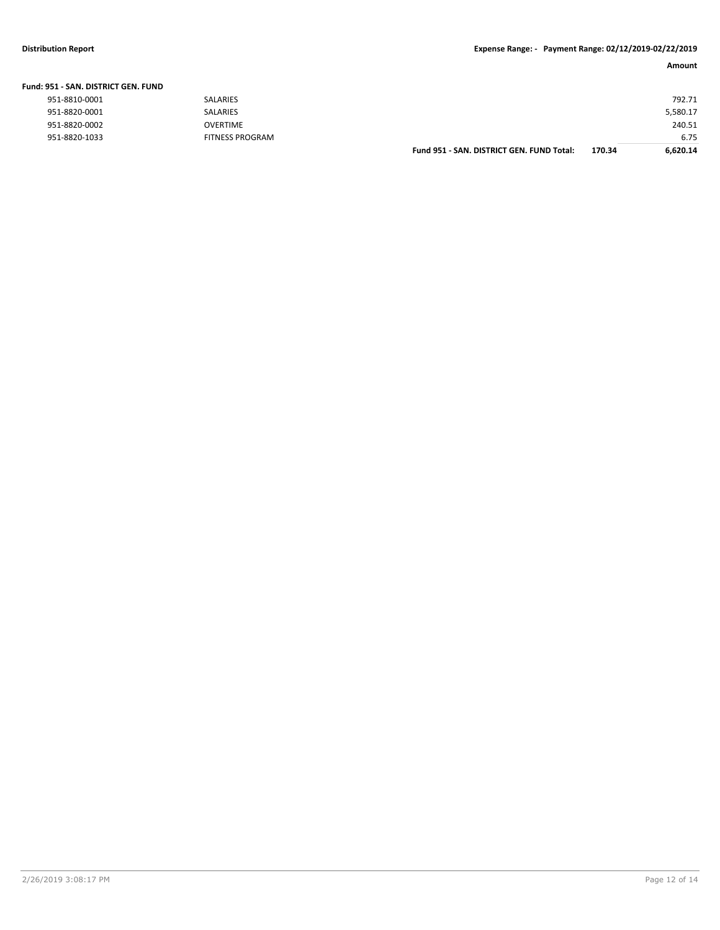**Fund: 951 - SAN. DISTRICT GEN. FUND**

### **Distribution Report Expense Range: - Payment Range: 02/12/2019-02/22/2019**

|                               |                        |                                           |        | Amount   |
|-------------------------------|------------------------|-------------------------------------------|--------|----------|
| 951 - SAN. DISTRICT GEN. FUND |                        |                                           |        |          |
| 951-8810-0001                 | SALARIES               |                                           |        | 792.71   |
| 951-8820-0001                 | SALARIES               |                                           |        | 5,580.17 |
| 951-8820-0002                 | <b>OVERTIME</b>        |                                           |        | 240.51   |
| 951-8820-1033                 | <b>FITNESS PROGRAM</b> |                                           |        | 6.75     |
|                               |                        | Fund 951 - SAN, DISTRICT GEN, FUND Total: | 170.34 | 6,620.14 |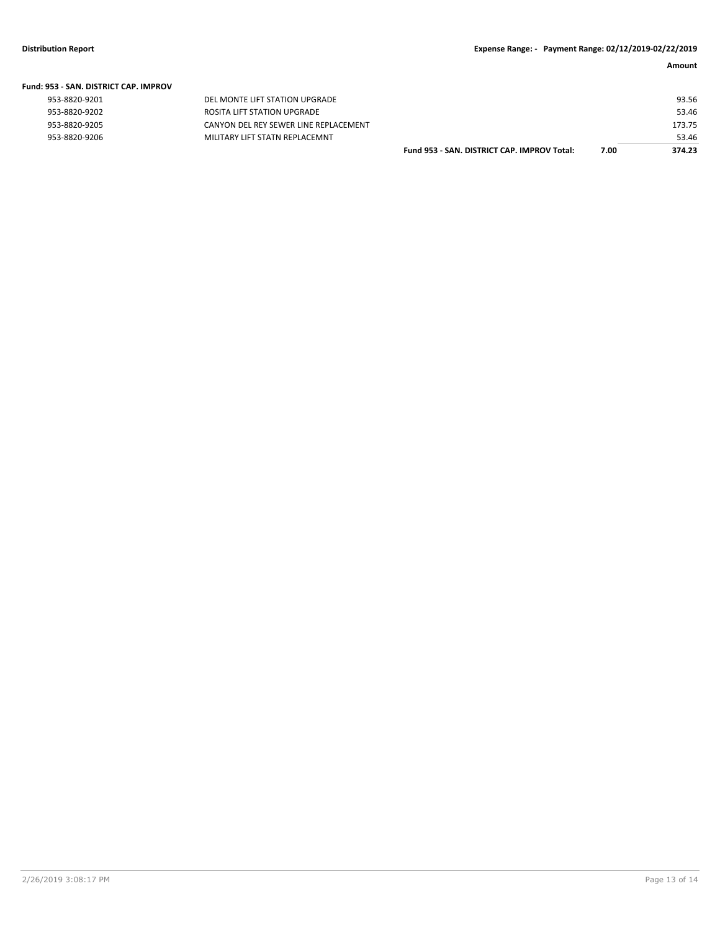| <b>Fund: 953 - SAN, DISTRICT CAP, IMPROV</b> |                                       |                                             |      |        |
|----------------------------------------------|---------------------------------------|---------------------------------------------|------|--------|
| 953-8820-9201                                | DEL MONTE LIFT STATION UPGRADE        |                                             |      | 93.56  |
| 953-8820-9202                                | ROSITA LIFT STATION UPGRADE           |                                             |      | 53.46  |
| 953-8820-9205                                | CANYON DEL REY SEWER LINE REPLACEMENT |                                             |      | 173.75 |
| 953-8820-9206                                | MILITARY LIFT STATN REPLACEMNT        |                                             |      | 53.46  |
|                                              |                                       | Fund 953 - SAN, DISTRICT CAP, IMPROV Total: | 7.00 | 374.23 |